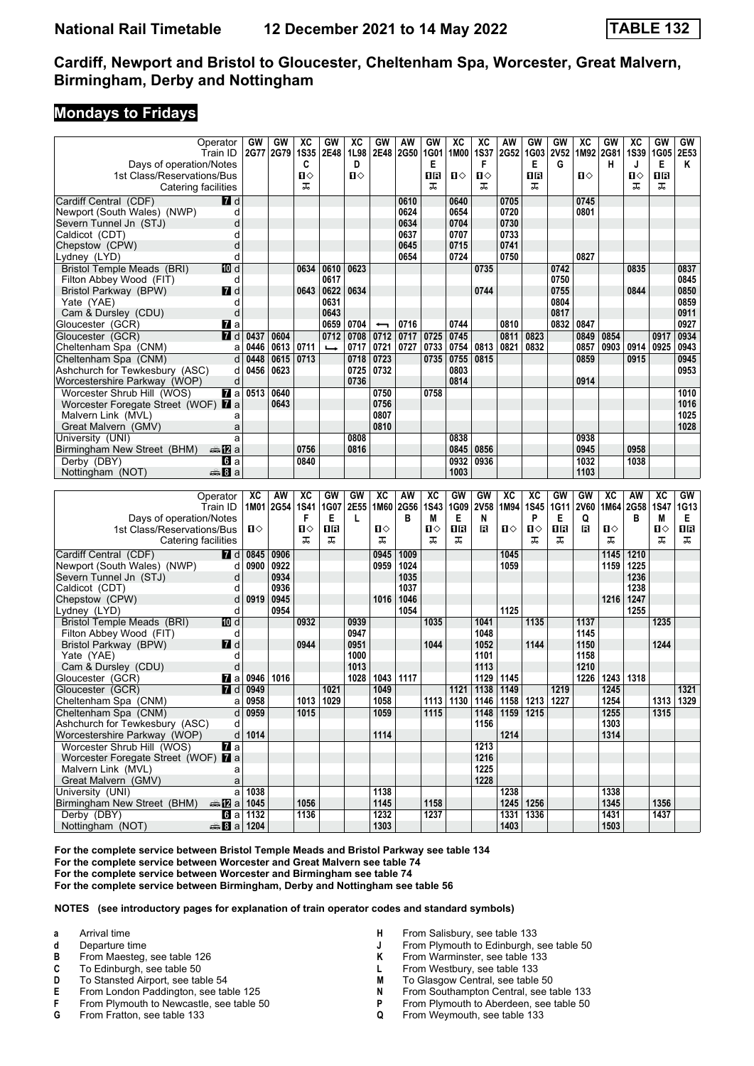#### **Mondays to Fridays**

| Operator                                              | GW                    | GW        | хc          | GW            | ХC   | GW                       | AW          | GW              | XC   | хc          | AW                                      | GW             | GW          | XC          | GW           | хc          | GW          | GW        |
|-------------------------------------------------------|-----------------------|-----------|-------------|---------------|------|--------------------------|-------------|-----------------|------|-------------|-----------------------------------------|----------------|-------------|-------------|--------------|-------------|-------------|-----------|
| Train ID                                              |                       | 2G77 2G79 | <b>1S35</b> | 2E48          | 1L98 | 2E48                     | <b>2G50</b> | 1G01            | 1M00 | <b>1S37</b> | 2G52                                    | 1G03           | <b>2V52</b> |             | 1M92 2G81    | <b>1S39</b> | 1G05        | 2E53      |
| Days of operation/Notes                               |                       |           | C           |               | D    |                          |             | Е               |      | F           |                                         | Е              | G           |             | н            | J           | Е           | Κ         |
| 1st Class/Reservations/Bus                            |                       |           | п⇔          |               | Ⅱ♦   |                          |             | 1R              | п⇔   | Ω⇔          |                                         | 1R             |             | ்ப          |              | ்ப          | 1R          |           |
| Catering facilities                                   |                       |           | ᠼ           |               |      |                          |             | ᠼ               |      | ᠼ           |                                         | ᠼ              |             |             |              | ᠼ           | ᠼ           |           |
| Cardiff Central (CDF)                                 |                       |           |             |               |      |                          |             |                 | 0640 |             | 0705                                    |                |             | 0745        |              |             |             |           |
| <b>7</b> d                                            |                       |           |             |               |      |                          | 0610        |                 |      |             |                                         |                |             |             |              |             |             |           |
| Newport (South Wales) (NWP)                           | d                     |           |             |               |      |                          | 0624        |                 | 0654 |             | 0720                                    |                |             | 0801        |              |             |             |           |
| Severn Tunnel Jn (STJ)                                | d                     |           |             |               |      |                          | 0634        |                 | 0704 |             | 0730                                    |                |             |             |              |             |             |           |
| Caldicot (CDT)                                        | d                     |           |             |               |      |                          | 0637        |                 | 0707 |             | 0733                                    |                |             |             |              |             |             |           |
| Chepstow (CPW)                                        | d                     |           |             |               |      |                          | 0645        |                 | 0715 |             | 0741                                    |                |             |             |              |             |             |           |
| Lydney (LYD)                                          | d                     |           |             |               |      |                          | 0654        |                 | 0724 |             | 0750                                    |                |             | 0827        |              |             |             |           |
| TO d<br>Bristol Temple Meads (BRI)                    |                       |           | 0634        | 0610          | 0623 |                          |             |                 |      | 0735        |                                         |                | 0742        |             |              | 0835        |             | 0837      |
| Filton Abbey Wood (FIT)                               | d                     |           |             | 0617          |      |                          |             |                 |      |             |                                         |                | 0750        |             |              |             |             | 0845      |
| $I$ d<br>Bristol Parkway (BPW)                        |                       |           |             | 0643   0622   | 0634 |                          |             |                 |      | 0744        |                                         |                | 0755        |             |              | 0844        |             | 0850      |
|                                                       | d                     |           |             | 0631          |      |                          |             |                 |      |             |                                         |                | 0804        |             |              |             |             | 0859      |
| Yate (YAE)                                            |                       |           |             |               |      |                          |             |                 |      |             |                                         |                |             |             |              |             |             |           |
| Cam & Dursley (CDU)                                   | d                     |           |             | 0643          |      |                          |             |                 |      |             |                                         |                | 0817        |             |              |             |             | 0911      |
| Gloucester (GCR)<br><b>7</b> a                        |                       |           |             | 0659          | 0704 | $\overline{\phantom{0}}$ | 0716        |                 | 0744 |             | 0810                                    |                | 0832        | 0847        |              |             |             | 0927      |
| Gloucester (GCR)<br>7 d                               | 0437                  | 0604      |             | 0712          | 0708 | 0712                     | 0717        | 0725            | 0745 |             | 0811                                    | 0823           |             | 0849        | 0854         |             | 0917        | 0934      |
| Cheltenham Spa (CNM)                                  | 0446<br>a             | 0613      | 0711        | $\rightarrow$ | 0717 | 0721                     | 0727        | 0733            | 0754 | 0813        | 0821                                    | 0832           |             | 0857        | 0903         | 0914        | 0925        | 0943      |
| Cheltenham Spa (CNM)                                  | 0448<br>d             | 0615      | 0713        |               | 0718 | 0723                     |             | 0735            | 0755 | 0815        |                                         |                |             | 0859        |              | 0915        |             | 0945      |
| Ashchurch for Tewkesbury (ASC)                        | 0456<br>d             | 0623      |             |               | 0725 | 0732                     |             |                 | 0803 |             |                                         |                |             |             |              |             |             | 0953      |
| Worcestershire Parkway (WOP)                          | d                     |           |             |               | 0736 |                          |             |                 | 0814 |             |                                         |                |             | 0914        |              |             |             |           |
| $\mathbf{z}$ a<br>Worcester Shrub Hill (WOS)          | 0513                  | 0640      |             |               |      | 0750                     |             | 0758            |      |             |                                         |                |             |             |              |             |             | 1010      |
|                                                       |                       | 0643      |             |               |      | 0756                     |             |                 |      |             |                                         |                |             |             |              |             |             |           |
| Worcester Foregate Street (WOF) 7 a                   |                       |           |             |               |      |                          |             |                 |      |             |                                         |                |             |             |              |             |             | 1016      |
| Malvern Link (MVL)                                    | a                     |           |             |               |      | 0807                     |             |                 |      |             |                                         |                |             |             |              |             |             | 1025      |
| Great Malvern (GMV)                                   | a                     |           |             |               |      | 0810                     |             |                 |      |             |                                         |                |             |             |              |             |             | 1028      |
| University (UNI)                                      | a                     |           |             |               | 0808 |                          |             |                 | 0838 |             |                                         |                |             | 0938        |              |             |             |           |
| Birmingham New Street (BHM)<br>dan 122 a              |                       |           | 0756        |               | 0816 |                          |             |                 | 0845 | 0856        |                                         |                |             | 0945        |              | 0958        |             |           |
| <b>б</b> іа<br>Derby (DBY)                            |                       |           | 0840        |               |      |                          |             |                 | 0932 | 0936        |                                         |                |             | 1032        |              | 1038        |             |           |
| <b>●Ba</b><br>Nottingham (NOT)                        |                       |           |             |               |      |                          |             |                 | 1003 |             |                                         |                |             | 1103        |              |             |             |           |
|                                                       |                       |           |             |               |      |                          |             |                 |      |             |                                         |                |             |             |              |             |             |           |
|                                                       |                       |           |             |               |      |                          |             |                 |      |             |                                         |                |             |             |              |             |             |           |
|                                                       |                       |           |             |               |      |                          |             |                 |      |             |                                         |                |             |             |              |             |             |           |
| Operator                                              | XC                    | AW        | <b>XC</b>   | GW            | GW   | XC                       | AW          | XC              | GW   | GW          | XC                                      | <b>XC</b>      | GW          | GW          | <b>XC</b>    | AW          | XC          | GW        |
| Train ID                                              |                       | 1M01 2G54 | <b>1S41</b> | 1G07          | 2E55 | 1M60                     | <b>2G56</b> | <b>1S43</b>     | 1G09 | 2V58        | 1M94                                    | <b>1S45</b>    | <b>1G11</b> | <b>2V60</b> | 1M64         | 2G58        | <b>1S47</b> | 1G13      |
| Days of operation/Notes                               |                       |           | F           | Е             | L    |                          | в           | M               | Е    | N           |                                         | P              | Е           | Q           |              | в           | М           | Е         |
| 1st Class/Reservations/Bus                            | Ⅱ♦                    |           | п⇔          | ΠR            |      | п⇔                       |             | $\P$ $\Diamond$ | 0R   | в           | п⇔                                      | $\blacksquare$ | ΠR          | в           | п⇔           |             | п⇔          | 1R        |
| Catering facilities                                   |                       |           | ᅚ           | ᠼ             |      | ᠼ                        |             | ᠼ               | ᠼ    |             |                                         | ᠼ              | ᠼ           |             | ᠼ            |             | ᠼ           | ᠼ         |
| Cardiff Central (CDF)<br><b>7</b> d                   | 0845                  | 0906      |             |               |      | 0945                     | 1009        |                 |      |             | 1045                                    |                |             |             | 1145         | 1210        |             |           |
|                                                       |                       |           |             |               |      |                          |             |                 |      |             |                                         |                |             |             |              |             |             |           |
| Newport (South Wales) (NWP)                           | 0900<br>d             | 0922      |             |               |      | 0959                     | 1024        |                 |      |             | 1059                                    |                |             |             | 1159         | 1225        |             |           |
| Severn Tunnel Jn (STJ)                                | d                     | 0934      |             |               |      |                          | 1035        |                 |      |             |                                         |                |             |             |              | 1236        |             |           |
| Caldicot (CDT)                                        | d                     | 0936      |             |               |      |                          | 1037        |                 |      |             |                                         |                |             |             |              | 1238        |             |           |
| Chepstow (CPW)                                        | 0919<br>d             | 0945      |             |               |      | 1016                     | 1046        |                 |      |             |                                         |                |             |             | 1216         | 1247        |             |           |
| Lydney (LYD)                                          | d                     | 0954      |             |               |      |                          | 1054        |                 |      |             | 1125                                    |                |             |             |              | 1255        |             |           |
| <b>Bristol Temple Meads (BRI)</b><br>TO d             |                       |           | 0932        |               | 0939 |                          |             | 1035            |      | 1041        |                                         | 1135           |             | 1137        |              |             | 1235        |           |
| Filton Abbey Wood (FIT)                               | d                     |           |             |               | 0947 |                          |             |                 |      | 1048        |                                         |                |             | 1145        |              |             |             |           |
| <b>7</b> d<br>Bristol Parkway (BPW)                   |                       |           | 0944        |               | 0951 |                          |             | 1044            |      | 1052        |                                         | 1144           |             | 1150        |              |             | 1244        |           |
| Yate (YAE)                                            | d                     |           |             |               | 1000 |                          |             |                 |      | 1101        |                                         |                |             | 1158        |              |             |             |           |
| Cam & Dursley (CDU)                                   | d                     |           |             |               | 1013 |                          |             |                 |      | 1113        |                                         |                |             | 1210        |              |             |             |           |
|                                                       | 0946                  | 1016      |             |               | 1028 | 1043                     | 1117        |                 |      | 1129        | 1145                                    |                |             | 1226        | 1243         | 1318        |             |           |
| Gloucester (GCR)<br>Maa                               |                       |           |             |               |      |                          |             |                 |      |             |                                         |                |             |             |              |             |             |           |
| Gloucester (GCR)<br>7 d                               | 0949                  |           |             | 1021          |      | 1049                     |             |                 | 1121 | 1138        | 1149                                    |                | 1219        |             | 1245         |             |             | 1321      |
| Cheltenham Spa (CNM)                                  | $a$ 0958              |           |             | 1013   1029   |      | 1058                     |             |                 |      |             | 1113   1130   1146   1158   1213   1227 |                |             |             | 1254         |             |             | 1313 1329 |
| Cheltenham Spa (CNM)                                  | 0959<br>d             |           | 1015        |               |      | 1059                     |             | 1115            |      |             | 1148 1159 1215                          |                |             |             | 1255         |             | 1315        |           |
| Ashchurch for Tewkesbury (ASC)                        | d                     |           |             |               |      |                          |             |                 |      | 1156        |                                         |                |             |             | 1303         |             |             |           |
| Worcestershire Parkway (WOP)                          | 1014<br>d             |           |             |               |      | 1114                     |             |                 |      |             | 1214                                    |                |             |             | 1314         |             |             |           |
| Worcester Shrub Hill (WOS)<br><b>7</b> a              |                       |           |             |               |      |                          |             |                 |      | 1213        |                                         |                |             |             |              |             |             |           |
| Worcester Foregate Street (WOF) 7 a                   |                       |           |             |               |      |                          |             |                 |      | 1216        |                                         |                |             |             |              |             |             |           |
| Malvern Link (MVL)                                    | a                     |           |             |               |      |                          |             |                 |      | 1225        |                                         |                |             |             |              |             |             |           |
| Great Malvern (GMV)                                   | a                     |           |             |               |      |                          |             |                 |      | 1228        |                                         |                |             |             |              |             |             |           |
|                                                       |                       |           |             |               |      |                          |             |                 |      |             |                                         |                |             |             |              |             |             |           |
| University (UNI)                                      | $a$ 1038              |           |             |               |      | 1138                     |             |                 |      |             | 1238                                    |                |             |             | 1338         |             |             |           |
| Birmingham New Street (BHM)<br><b>ata</b> a 1045      |                       |           | 1056        |               |      | 1145                     |             | 1158            |      |             |                                         | 1245   1256    |             |             | 1345         |             | 1356        |           |
| Derby (DBY)<br>Nottingham (NOT)<br><b>as 8 a 1204</b> | $\blacksquare$ a 1132 |           | 1136        |               |      | 1232<br>1303             |             | 1237            |      |             | 1403                                    | 1331 1336      |             |             | 1431<br>1503 |             | 1437        |           |

For the complete service between Bristol Temple Meads and Bristol Parkway see table 134

**For the complete service between Worcester and Great Malvern see table 4**

**For the complete service between Worcester and Birmingham see table 4**

**For the complete service between Birmingham, Derby and Nottingham see table** 

- **a** Arrival time
- **d** Departure time
- 
- **B** From Maesteg, see table 126<br>**C** To Edinburgh, see table 50
- **C** To Edinburgh, see table 50<br>**D** To Stansted Airport, see table
- **D** To Stansted Airport, see table 54<br>**E** From London Paddington, see tal **E** From London Paddington, see table 125<br>**F** From Plymouth to Newcastle see table 5
- **F** From Plymouth to Newcastle, see table 50
- **From Fratton, see table 133**
- **H** From Salisbury, see table 133
- **1** From Plymouth to Edinburgh, see table 50<br>**K** From Warminster, see table 133
- From Warminster, see table 133
- **L** From Westbury, see table 133<br>**M** To Glasgow Central, see table
- **M** To Glasgow Central, see table 50<br>**N** From Southampton Central, see to
- **N** From Southampton Central, see table 133<br>**P** From Plymouth to Aberdeen, see table 50
- **P** From Plymouth to Aberdeen, see table 50<br>**Q** From Weymouth, see table 133
- From Weymouth, see table 133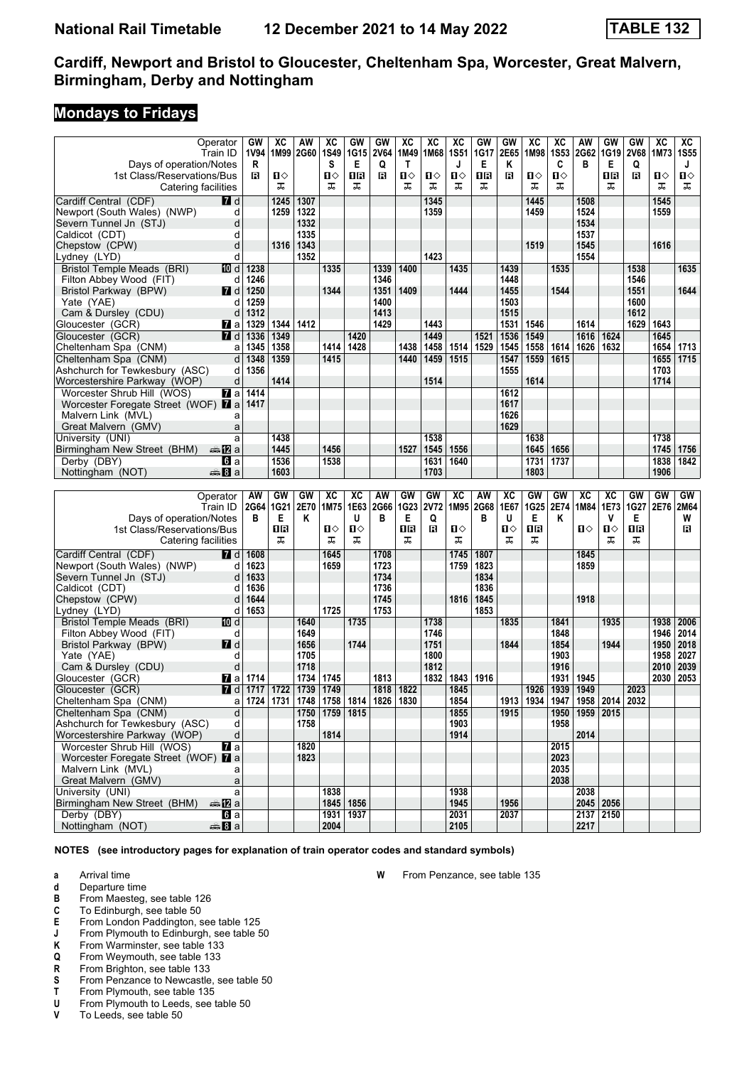#### **Mondays to Fridays**

|                                            | Operator                 | GW   | XC          | AW   | ХC                                             | GW   | GW           | XC           | ХC          | $\overline{\text{xc}}$ | GW   | GW   | $\overline{\mathbf{X}}$ | XC          | AW                 | <b>GW</b>                               | GW          | $\overline{\text{xc}}$ | XC          |
|--------------------------------------------|--------------------------|------|-------------|------|------------------------------------------------|------|--------------|--------------|-------------|------------------------|------|------|-------------------------|-------------|--------------------|-----------------------------------------|-------------|------------------------|-------------|
|                                            |                          |      |             |      |                                                |      |              |              |             | <b>1S51</b>            |      | 2E65 |                         | <b>1S53</b> |                    |                                         |             |                        | <b>1S55</b> |
|                                            | Train ID                 | 1V94 | 1M99 2G60   |      | <b>1S49</b>                                    | 1G15 | <b>2V64</b>  | 1M49         | 1M68        |                        | 1G17 |      | 1M98                    |             | 2G62               | 1G19                                    | <b>2V68</b> | 1M73                   |             |
| Days of operation/Notes                    |                          | R    |             |      | s                                              | Е    | Q            | $\mathsf{T}$ |             | J                      | Е    | Κ    |                         | C           | в                  | Е                                       | Q           |                        | J           |
| 1st Class/Reservations/Bus                 |                          | в    | ்ப          |      | П⇔                                             | 1R   | $\mathbf{B}$ | П⇔           | п⇔          | Ⅱ◇                     | ΠR   | В    | ப⇔                      | п⇔          |                    | ΠR                                      | В           | п⇔                     | П⇔          |
|                                            | Catering facilities      |      | ᠼ           |      | ᠼ                                              | ᠼ    |              | ᠼ            | ᠼ           | ᠼ                      | ᠼ    |      | ᠼ                       | ᠼ           |                    | ᠼ                                       |             | ᠼ                      | ᅚ           |
| Cardiff Central (CDF)                      | $\overline{a}$ d         |      | 1245        | 1307 |                                                |      |              |              | 1345        |                        |      |      | 1445                    |             | 1508               |                                         |             | 1545                   |             |
| Newport (South Wales) (NWP)                | d                        |      | 1259        | 1322 |                                                |      |              |              | 1359        |                        |      |      | 1459                    |             | 1524               |                                         |             | 1559                   |             |
| Severn Tunnel Jn (STJ)                     | d                        |      |             | 1332 |                                                |      |              |              |             |                        |      |      |                         |             | 1534               |                                         |             |                        |             |
| Caldicot (CDT)                             | d                        |      |             | 1335 |                                                |      |              |              |             |                        |      |      |                         |             | 1537               |                                         |             |                        |             |
| Chepstow (CPW)                             | d                        |      | 1316        | 1343 |                                                |      |              |              |             |                        |      |      | 1519                    |             | 1545               |                                         |             | 1616                   |             |
| Lydney (LYD)                               | d                        |      |             | 1352 |                                                |      |              |              | 1423        |                        |      |      |                         |             | 1554               |                                         |             |                        |             |
| Bristol Temple Meads (BRI)                 | 10 d                     | 1238 |             |      | 1335                                           |      | 1339         | 1400         |             | 1435                   |      | 1439 |                         | 1535        |                    |                                         | 1538        |                        | 1635        |
|                                            |                          |      |             |      |                                                |      | 1346         |              |             |                        |      | 1448 |                         |             |                    |                                         | 1546        |                        |             |
| Filton Abbey Wood (FIT)                    | d                        | 1246 |             |      |                                                |      |              |              |             |                        |      |      |                         |             |                    |                                         |             |                        |             |
| Bristol Parkway (BPW)                      | <b>7</b> d               | 1250 |             |      | 1344                                           |      | 1351         | 1409         |             | 1444                   |      | 1455 |                         | 1544        |                    |                                         | 1551        |                        | 1644        |
| Yate (YAE)                                 | d                        | 1259 |             |      |                                                |      | 1400         |              |             |                        |      | 1503 |                         |             |                    |                                         | 1600        |                        |             |
| Cam & Dursley (CDU)                        | d                        | 1312 |             |      |                                                |      | 1413         |              |             |                        |      | 1515 |                         |             |                    |                                         | 1612        |                        |             |
| Gloucester (GCR)                           | <b>Z</b> a               | 1329 | 1344        | 1412 |                                                |      | 1429         |              | 1443        |                        |      | 1531 | 1546                    |             | 1614               |                                         | 1629        | 1643                   |             |
| Gloucester (GCR)                           | <b>7</b> d               | 1336 | 1349        |      |                                                | 1420 |              |              | 1449        |                        | 1521 | 1536 | 1549                    |             | 1616               | 1624                                    |             | 1645                   |             |
| Cheltenham Spa (CNM)                       | a                        | 1345 | 1358        |      | 1414                                           | 1428 |              | 1438         | 1458        | 1514                   | 1529 | 1545 | 1558                    | 1614        | 1626               | 1632                                    |             | 1654                   | 1713        |
| Cheltenham Spa (CNM)                       | d                        | 1348 | 1359        |      | 1415                                           |      |              | 1440         | 1459        | 1515                   |      | 1547 | 1559                    | 1615        |                    |                                         |             | 1655                   | 1715        |
| Ashchurch for Tewkesbury (ASC)             | d                        | 1356 |             |      |                                                |      |              |              |             |                        |      | 1555 |                         |             |                    |                                         |             | 1703                   |             |
| Worcestershire Parkway (WOP)               | d                        |      | 1414        |      |                                                |      |              |              | 1514        |                        |      |      | 1614                    |             |                    |                                         |             | 1714                   |             |
| Worcester Shrub Hill (WOS)                 | $\mathbf{z}$ a           | 1414 |             |      |                                                |      |              |              |             |                        |      | 1612 |                         |             |                    |                                         |             |                        |             |
| Worcester Foregate Street (WOF) <b>7</b> a |                          | 1417 |             |      |                                                |      |              |              |             |                        |      | 1617 |                         |             |                    |                                         |             |                        |             |
| Malvern Link (MVL)                         | a                        |      |             |      |                                                |      |              |              |             |                        |      | 1626 |                         |             |                    |                                         |             |                        |             |
| Great Malvern (GMV)                        | a                        |      |             |      |                                                |      |              |              |             |                        |      | 1629 |                         |             |                    |                                         |             |                        |             |
| University (UNI)                           | a                        |      | 1438        |      |                                                |      |              |              | 1538        |                        |      |      | 1638                    |             |                    |                                         |             | 1738                   |             |
| Birmingham New Street (BHM)                |                          |      | 1445        |      |                                                |      |              |              | 1545        |                        |      |      | 1645                    | 1656        |                    |                                         |             | 1745                   |             |
|                                            | dan Ma                   |      |             |      | 1456                                           |      |              | 1527         |             | 1556                   |      |      |                         |             |                    |                                         |             |                        | 1756        |
| Derby (DBY)                                | <b>G</b> a               |      | 1536        |      | 1538                                           |      |              |              | 1631        | 1640                   |      |      | 1731                    | 1737        |                    |                                         |             | 1838                   | 1842        |
| Nottingham (NOT)                           | <b>▲Ba</b>               |      | 1603        |      |                                                |      |              |              | 1703        |                        |      |      | 1803                    |             |                    |                                         |             | 1906                   |             |
|                                            |                          |      |             |      |                                                |      |              |              |             |                        |      |      |                         |             |                    |                                         |             |                        |             |
|                                            |                          |      |             |      |                                                |      |              |              |             |                        |      |      |                         |             |                    |                                         |             |                        |             |
|                                            | Operator                 | AW   | <b>GW</b>   | GW   | XC                                             | XC   | AW           | GW           | GW          | XC                     | AW   | XC   | GW                      | GW          | XC                 | XC                                      | GW          | GW                     | GW          |
|                                            | Train ID                 | 2G64 | <b>1G21</b> | 2E70 | 1M75                                           | 1E63 | 2G66         | <b>1G23</b>  | <b>2V72</b> | 1M95                   | 2G68 | 1E67 | 1G25                    | 2E74        | 1M84               | 1E73                                    | <b>1G27</b> | 2E76                   | <b>2M64</b> |
| Days of operation/Notes                    |                          | в    | Е           | Κ    |                                                | U    | в            | Е            | Q           |                        | в    | U    | Е                       | Κ           |                    | V                                       | Е           |                        | W           |
| 1st Class/Reservations/Bus                 |                          |      | 1R          |      | п⇔                                             | П⇔   |              | ПB           | B           | п⇔                     |      | п⇔   | 1R                      |             | $\mathbf{u}$       | Ⅱ◇                                      | 16          |                        | в           |
|                                            | Catering facilities      |      | ᠼ           |      | ᠼ                                              | ᠼ    |              | ᠼ            |             | ᠼ                      |      | ᠼ    | ᠼ                       |             |                    | ᠼ                                       | ᠼ           |                        |             |
|                                            |                          |      |             |      |                                                |      |              |              |             |                        |      |      |                         |             |                    |                                         |             |                        |             |
| Cardiff Central (CDF)                      | <b>7</b> d               | 1608 |             |      | 1645                                           |      | 1708         |              |             | 1745                   | 1807 |      |                         |             | 1845               |                                         |             |                        |             |
| Newport (South Wales) (NWP)                | d                        | 1623 |             |      | 1659                                           |      | 1723         |              |             | 1759                   | 1823 |      |                         |             | 1859               |                                         |             |                        |             |
| Severn Tunnel Jn (STJ)                     | d                        | 1633 |             |      |                                                |      | 1734         |              |             |                        | 1834 |      |                         |             |                    |                                         |             |                        |             |
| Caldicot (CDT)                             | d                        | 1636 |             |      |                                                |      | 1736         |              |             |                        | 1836 |      |                         |             |                    |                                         |             |                        |             |
| Chepstow (CPW)                             | d                        | 1644 |             |      |                                                |      | 1745         |              |             | 1816                   | 1845 |      |                         |             | 1918               |                                         |             |                        |             |
| Lydney (LYD)                               | d                        | 1653 |             |      | 1725                                           |      | 1753         |              |             |                        | 1853 |      |                         |             |                    |                                         |             |                        |             |
| Bristol Temple Meads (BRI)                 | [10] d                   |      |             | 1640 |                                                | 1735 |              |              | 1738        |                        |      | 1835 |                         | 1841        |                    | 1935                                    |             | 1938                   | 2006        |
| Filton Abbey Wood (FIT)                    | d                        |      |             | 1649 |                                                |      |              |              | 1746        |                        |      |      |                         | 1848        |                    |                                         |             | 1946                   | 2014        |
| Bristol Parkway (BPW)                      | $I$ d                    |      |             | 1656 |                                                | 1744 |              |              | 1751        |                        |      | 1844 |                         | 1854        |                    | 1944                                    |             | 1950                   | 2018        |
| Yate (YAE)                                 | d                        |      |             | 1705 |                                                |      |              |              | 1800        |                        |      |      |                         | 1903        |                    |                                         |             | 1958                   | 2027        |
| Cam & Dursley (CDU)                        | d                        |      |             | 1718 |                                                |      |              |              | 1812        |                        |      |      |                         | 1916        |                    |                                         |             | 2010                   | 2039        |
| Gloucester (GCR)                           | Mala                     | 1714 |             | 1734 | 1745                                           |      | 1813         |              | 1832        | 1843                   | 1916 |      |                         | 1931        | 1945               |                                         |             | 2030                   | 2053        |
| Gloucester (GCR)                           | <b>7</b> d               | 1717 | 1722        | 1739 | 1749                                           |      | 1818         | 1822         |             | 1845                   |      |      | 1926                    | 1939        | 1949               |                                         | 2023        |                        |             |
| Cheltenham Spa (CNM)                       | al                       |      |             |      | 1724   1731   1748   1758   1814   1826   1830 |      |              |              |             | 1854                   |      |      |                         |             |                    | 1913   1934   1947   1958   2014   2032 |             |                        |             |
| Cheltenham Spa (CNM)                       | d                        |      |             |      | 1750 1759 1815                                 |      |              |              |             | 1855                   |      | 1915 |                         |             | 1950   1959   2015 |                                         |             |                        |             |
| Ashchurch for Tewkesbury (ASC)             | d                        |      |             | 1758 |                                                |      |              |              |             | 1903                   |      |      |                         | 1958        |                    |                                         |             |                        |             |
| Worcestershire Parkway (WOP)               | d                        |      |             |      | 1814                                           |      |              |              |             | 1914                   |      |      |                         |             | 2014               |                                         |             |                        |             |
| Worcester Shrub Hill (WOS)                 | <b>7</b> a               |      |             | 1820 |                                                |      |              |              |             |                        |      |      |                         | 2015        |                    |                                         |             |                        |             |
| Worcester Foregate Street (WOF) <b>7</b> a |                          |      |             | 1823 |                                                |      |              |              |             |                        |      |      |                         | 2023        |                    |                                         |             |                        |             |
|                                            | a                        |      |             |      |                                                |      |              |              |             |                        |      |      |                         | 2035        |                    |                                         |             |                        |             |
| Malvern Link (MVL)                         |                          |      |             |      |                                                |      |              |              |             |                        |      |      |                         |             |                    |                                         |             |                        |             |
| Great Malvern (GMV)                        | a                        |      |             |      |                                                |      |              |              |             |                        |      |      |                         | 2038        |                    |                                         |             |                        |             |
| University (UNI)                           | a                        |      |             |      | 1838                                           |      |              |              |             | 1938                   |      |      |                         |             | 2038               |                                         |             |                        |             |
| Birmingham New Street (BHM)                | ⊯mZa                     |      |             |      | 1845 1856                                      |      |              |              |             | 1945                   |      | 1956 |                         |             |                    | 2045 2056                               |             |                        |             |
| Derby (DBY)<br>Nottingham (NOT)            | <b>G</b> a<br>den Bianan |      |             |      | 1931 1937<br>2004                              |      |              |              |             | 2031<br>2105           |      | 2037 |                         |             | 2217               | 2137 2150                               |             |                        |             |

**NOTES (see introductory pages for explanation of train operator codes and standard symbols)**

**a** Arrival time

- **d** Departure time<br>**B** From Maesteg,
- **B** From Maesteg, see table 126
- **C** To Edinburgh, see table 50
- **E** From London Paddington, see table 125
- **J** From Plymouth to Edinburgh, see table 50<br>**K** From Warminster, see table 133
- **K** From Warminster, see table 133<br>**Q** From Weymouth, see table 133
- **4** From Weymouth, see table 133<br>**R** From Brighton, see table 133
- **R** From Brighton, see table 133<br>**S** From Penzance to Newcastle
- **6** From Penzance to Newcastle, see table 50<br>**T** From Plymouth, see table 135
- **T** From Plymouth, see table 135<br>**U** From Plymouth to Leeds, see 1
- **8 8** From Plymouth to Leeds, see table 50<br>**8** To Leeds, see table 50
- To Leeds, see table 50

**W** From Penzance, see table 135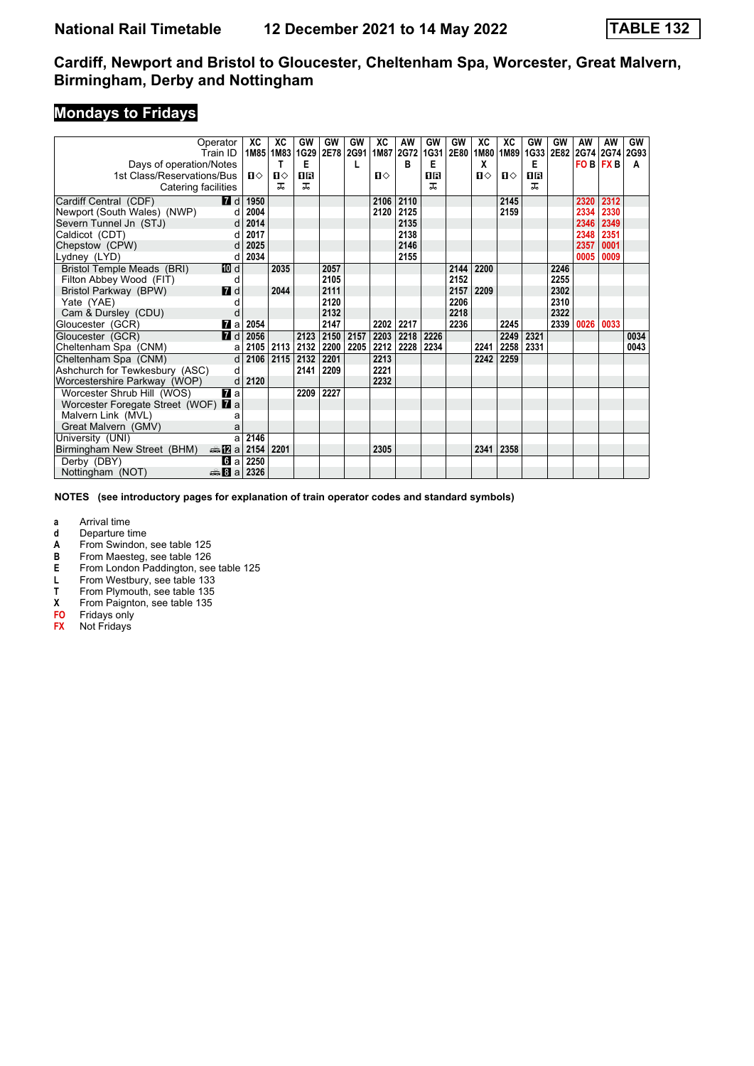# **Mondays to Fridays**

|                                            | Operator                | XC           | XC        | GW          | GW        | GW   | XC    | AW        | GW   | GW   | XC   | XC   | GW   | GW        | AW             | AW        | <b>GW</b> |
|--------------------------------------------|-------------------------|--------------|-----------|-------------|-----------|------|-------|-----------|------|------|------|------|------|-----------|----------------|-----------|-----------|
|                                            | Train ID                |              | 1M85 1M83 | <b>1G29</b> | 2E78 2G91 |      |       | 1M87 2G72 | 1G31 | 2E80 | 1M80 | 1M89 |      | 1G33 2E82 |                | 2G74 2G74 | 2G93      |
| Days of operation/Notes                    |                         |              | Т         | Е           |           | L    |       | в         | Е    |      | X    |      | Е    |           | <b>FOB FXB</b> |           | A         |
| 1st Class/Reservations/Bus                 |                         | $\mathbf{n}$ | ப⇔        | ПR          |           |      | $\Pi$ |           | OR   |      | Ⅱ♦   | ப⇔   | ПR   |           |                |           |           |
| Catering facilities                        |                         |              | ㅈ         | ᅚ           |           |      |       |           | ㅈ    |      |      |      | ᅚ    |           |                |           |           |
| Cardiff Central (CDF)                      | <b>7</b> d              | 1950         |           |             |           |      | 2106  | 2110      |      |      |      | 2145 |      |           | 2320           | 2312      |           |
| Newport (South Wales) (NWP)                | d                       | 2004         |           |             |           |      | 2120  | 2125      |      |      |      | 2159 |      |           | 2334           | 2330      |           |
| Severn Tunnel Jn (STJ)                     | d                       | 2014         |           |             |           |      |       | 2135      |      |      |      |      |      |           | 2346           | 2349      |           |
| Caldicot (CDT)                             |                         | 2017         |           |             |           |      |       | 2138      |      |      |      |      |      |           | 2348           | 2351      |           |
| Chepstow (CPW)                             | d                       | 2025         |           |             |           |      |       | 2146      |      |      |      |      |      |           | 2357           | 0001      |           |
| Lydney (LYD)                               | d                       | 2034         |           |             |           |      |       | 2155      |      |      |      |      |      |           | 0005           | 0009      |           |
| Bristol Temple Meads (BRI)                 | <b>ID</b> d             |              | 2035      |             | 2057      |      |       |           |      | 2144 | 2200 |      |      | 2246      |                |           |           |
| Filton Abbey Wood (FIT)                    | d                       |              |           |             | 2105      |      |       |           |      | 2152 |      |      |      | 2255      |                |           |           |
| Bristol Parkway (BPW)                      | 7d                      |              | 2044      |             | 2111      |      |       |           |      | 2157 | 2209 |      |      | 2302      |                |           |           |
| Yate (YAE)                                 |                         |              |           |             | 2120      |      |       |           |      | 2206 |      |      |      | 2310      |                |           |           |
| Cam & Dursley (CDU)                        | d                       |              |           |             | 2132      |      |       |           |      | 2218 |      |      |      | 2322      |                |           |           |
| Gloucester (GCR)                           | 7 a l                   | 2054         |           |             | 2147      |      |       | 2202 2217 |      | 2236 |      | 2245 |      | 2339      | 0026           | 0033      |           |
| Gloucester (GCR)                           | $\overline{\mathbf{d}}$ | 2056         |           | 2123        | 2150      | 2157 | 2203  | 2218      | 2226 |      |      | 2249 | 2321 |           |                |           | 0034      |
| Cheltenham Spa (CNM)                       | a                       |              | 2105 2113 | 2132        | 2200      | 2205 | 2212  | 2228      | 2234 |      | 2241 | 2258 | 2331 |           |                |           | 0043      |
| Cheltenham Spa (CNM)                       | $\mathsf{d}$            | 2106         | 2115      | 2132        | 2201      |      | 2213  |           |      |      | 2242 | 2259 |      |           |                |           |           |
| Ashchurch for Tewkesbury (ASC)             | d                       |              |           | 2141        | 2209      |      | 2221  |           |      |      |      |      |      |           |                |           |           |
| Worcestershire Parkway (WOP)               | d                       | 2120         |           |             |           |      | 2232  |           |      |      |      |      |      |           |                |           |           |
| Worcester Shrub Hill (WOS)                 | <b>7</b> a              |              |           | 2209        | 2227      |      |       |           |      |      |      |      |      |           |                |           |           |
| Worcester Foregate Street (WOF) <b>7</b> a |                         |              |           |             |           |      |       |           |      |      |      |      |      |           |                |           |           |
| Malvern Link (MVL)                         | a                       |              |           |             |           |      |       |           |      |      |      |      |      |           |                |           |           |
| Great Malvern (GMV)                        | a                       |              |           |             |           |      |       |           |      |      |      |      |      |           |                |           |           |
| University (UNI)                           | a                       | 2146         |           |             |           |      |       |           |      |      |      |      |      |           |                |           |           |
| Birmingham New Street (BHM)                | ⇔anZa                   | 2154         | 2201      |             |           |      | 2305  |           |      |      | 2341 | 2358 |      |           |                |           |           |
| Derby (DBY)                                | <b>G</b> a              | 2250         |           |             |           |      |       |           |      |      |      |      |      |           |                |           |           |
| Nottingham (NOT)                           | #Ba                     | 2326         |           |             |           |      |       |           |      |      |      |      |      |           |                |           |           |

**NOTES (see introductory pages for explanation of train operator codes and standard symbols)**

- **d** Departure time<br>**A** From Swindon.
- **A** From Swindon, see table 125<br>**B** From Maesteg, see table 126
- **B** From Maesteg, see table 126<br>**E** From London Paddington, see
- **From London Paddington, see table 125**
- 
- **Trem Plymouth, see table 135**
- **1** From Westbury, see table 133<br>**7** From Plymouth, see table 135<br>**X** From Paignton, see table 135 **From Paignton, see table 135**
- **FO** Fridays only
- **FX** Not Fridays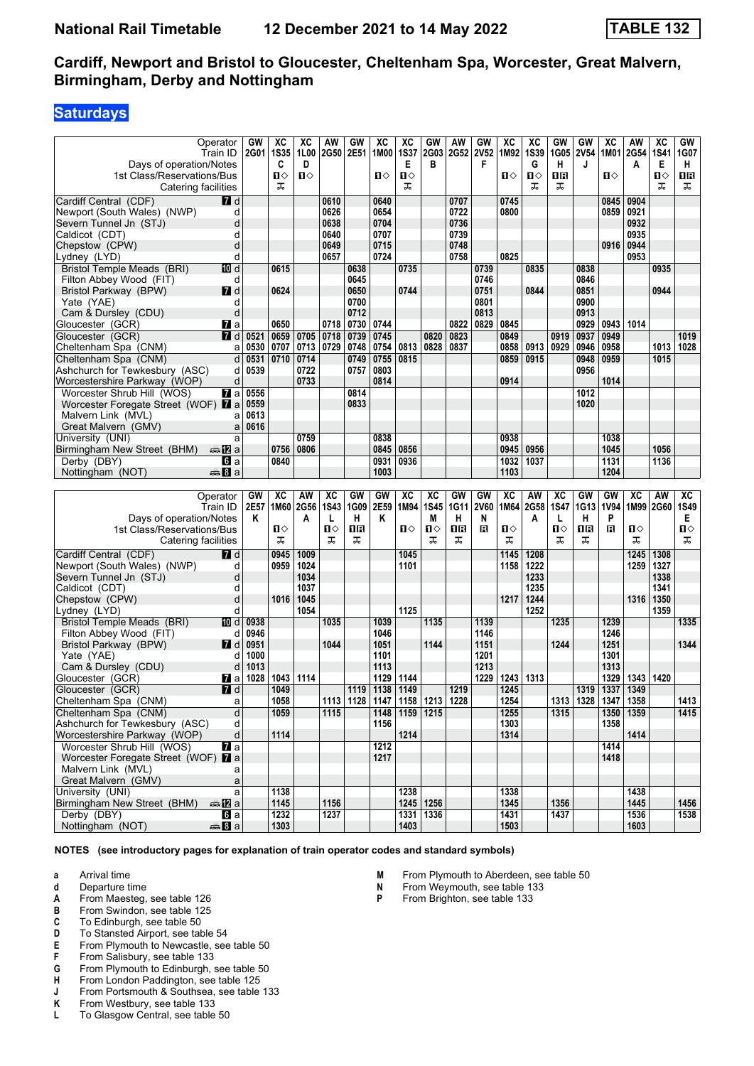# **Saturdays**

|                                            | Operator              | GW   | хc           | хc          | AW          | GW   | ХC           | XC                                      | GW           | AW          | GW          | XC           | хc          | GW          | GW                        | хc   | AW           | ХC          | GW          |
|--------------------------------------------|-----------------------|------|--------------|-------------|-------------|------|--------------|-----------------------------------------|--------------|-------------|-------------|--------------|-------------|-------------|---------------------------|------|--------------|-------------|-------------|
|                                            | Train ID              | 2G01 | <b>1S35</b>  | 1L00        | <b>2G50</b> | 2E51 | 1M00         | <b>1S37</b>                             | 2G03         | <b>2G52</b> | <b>2V52</b> | 1M92         | <b>1S39</b> | 1G05        | <b>2V54</b>               |      | 1M01 2G54    | <b>1S41</b> | 1G07        |
| Days of operation/Notes                    |                       |      | C            | D           |             |      |              | Е                                       | в            |             | F           |              | G           | н           | J                         |      | A            | Е           | H           |
| 1st Class/Reservations/Bus                 |                       |      | Ⅱ◇           | Ⅱ♦          |             |      | $\mathbf{u}$ | П⇔                                      |              |             |             | ்ப           | Ⅱ◇          | 1R          |                           | Ⅱ◇   |              | п⇔          | 1R          |
| Catering facilities                        |                       |      | ᠼ            |             |             |      |              | ᠼ                                       |              |             |             |              | ᠼ           | ᠼ           |                           |      |              | ᠼ           | ᠼ           |
|                                            |                       |      |              |             |             |      |              |                                         |              |             |             |              |             |             |                           |      |              |             |             |
| Cardiff Central (CDF)                      | <b>7</b> d            |      |              |             | 0610        |      | 0640         |                                         |              | 0707        |             | 0745         |             |             |                           | 0845 | 0904         |             |             |
| Newport (South Wales) (NWP)                | d                     |      |              |             | 0626        |      | 0654         |                                         |              | 0722        |             | 0800         |             |             |                           | 0859 | 0921         |             |             |
| Severn Tunnel Jn (STJ)                     | d                     |      |              |             | 0638        |      | 0704         |                                         |              | 0736        |             |              |             |             |                           |      | 0932         |             |             |
| Caldicot (CDT)                             | d                     |      |              |             | 0640        |      | 0707         |                                         |              | 0739        |             |              |             |             |                           |      | 0935         |             |             |
| Chepstow (CPW)                             | d                     |      |              |             | 0649        |      | 0715         |                                         |              | 0748        |             |              |             |             |                           | 0916 | 0944         |             |             |
| Lydney (LYD)                               | d                     |      |              |             | 0657        |      | 0724         |                                         |              | 0758        |             | 0825         |             |             |                           |      | 0953         |             |             |
| Bristol Temple Meads (BRI)                 | 10 d                  |      | 0615         |             |             | 0638 |              | 0735                                    |              |             | 0739        |              | 0835        |             | 0838                      |      |              | 0935        |             |
| Filton Abbey Wood (FIT)                    | d                     |      |              |             |             | 0645 |              |                                         |              |             | 0746        |              |             |             | 0846                      |      |              |             |             |
| Bristol Parkway (BPW)                      | $I$ d                 |      | 0624         |             |             | 0650 |              | 0744                                    |              |             | 0751        |              | 0844        |             | 0851                      |      |              | 0944        |             |
| Yate (YAE)                                 | d                     |      |              |             |             | 0700 |              |                                         |              |             | 0801        |              |             |             | 0900                      |      |              |             |             |
| Cam & Dursley (CDU)                        | d                     |      |              |             |             | 0712 |              |                                         |              |             | 0813        |              |             |             | 0913                      |      |              |             |             |
|                                            |                       |      |              |             |             |      |              |                                         |              |             |             |              |             |             |                           |      |              |             |             |
| Gloucester (GCR)                           | <b>7</b> a            |      | 0650         |             | 0718        | 0730 | 0744         |                                         |              | 0822        | 0829        | 0845         |             |             | 0929                      | 0943 | 1014         |             |             |
| Gloucester (GCR)                           | <b>7</b> d            | 0521 | 0659         | 0705        | 0718        | 0739 | 0745         |                                         | 0820         | 0823        |             | 0849         |             | 0919        | 0937                      | 0949 |              |             | 1019        |
| Cheltenham Spa (CNM)                       | a                     | 0530 | 0707         | 0713        | 0729        | 0748 | 0754         | 0813                                    | 0828         | 0837        |             | 0858         | 0913        | 0929        | 0946                      | 0958 |              | 1013        | 1028        |
| Cheltenham Spa (CNM)                       | d                     | 0531 | 0710         | 0714        |             | 0749 | 0755         | 0815                                    |              |             |             | 0859         | 0915        |             | 0948                      | 0959 |              | 1015        |             |
| Ashchurch for Tewkesbury (ASC)             | d                     | 0539 |              | 0722        |             | 0757 | 0803         |                                         |              |             |             |              |             |             | 0956                      |      |              |             |             |
| Worcestershire Parkway (WOP)               | d                     |      |              | 0733        |             |      | 0814         |                                         |              |             |             | 0914         |             |             |                           | 1014 |              |             |             |
| Worcester Shrub Hill (WOS)                 | <b>7</b> a            | 0556 |              |             |             | 0814 |              |                                         |              |             |             |              |             |             | 1012                      |      |              |             |             |
| Worcester Foregate Street (WOF) <b>7</b> a |                       | 0559 |              |             |             | 0833 |              |                                         |              |             |             |              |             |             | 1020                      |      |              |             |             |
| Malvern Link (MVL)                         | a                     | 0613 |              |             |             |      |              |                                         |              |             |             |              |             |             |                           |      |              |             |             |
| Great Malvern (GMV)                        | a                     | 0616 |              |             |             |      |              |                                         |              |             |             |              |             |             |                           |      |              |             |             |
| University (UNI)                           | a                     |      |              | 0759        |             |      | 0838         |                                         |              |             |             | 0938         |             |             |                           | 1038 |              |             |             |
| Birmingham New Street (BHM)                | ana Mara              |      | 0756         | 0806        |             |      | 0845         | 0856                                    |              |             |             | 0945         | 0956        |             |                           | 1045 |              | 1056        |             |
|                                            |                       |      | 0840         |             |             |      | 0931         | 0936                                    |              |             |             | 1032         | 1037        |             |                           | 1131 |              | 1136        |             |
| Derby (DBY)                                | <b>G</b> la           |      |              |             |             |      |              |                                         |              |             |             |              |             |             |                           |      |              |             |             |
| Nottingham (NOT)                           | <b>▲Ba</b>            |      |              |             |             |      | 1003         |                                         |              |             |             | 1103         |             |             |                           | 1204 |              |             |             |
|                                            |                       |      |              |             |             |      |              |                                         |              |             |             |              |             |             |                           |      |              |             |             |
|                                            |                       |      |              |             |             |      |              |                                         |              |             |             |              |             |             |                           |      |              |             |             |
|                                            | Operator              | GW   | XC           | AW          | XC          | GW   | GW           | XC                                      | XC           | GW          | GW          | XC           | AW          | XC          | GW                        | GW   | <b>XC</b>    | AW          | XC          |
|                                            | Train ID              | 2E57 | 1M60         | <b>2G56</b> | <b>1S43</b> | 1G09 | 2E59         | 1M94                                    | <b>1S45</b>  | 1G11        | <b>2V60</b> | 1M64         | 2G58        | <b>1S47</b> | 1G13                      | 1V94 | 1M99 2G60    |             | <b>1S49</b> |
| Days of operation/Notes                    |                       | Κ    |              | A           | L           | н    | Κ            |                                         | M            | н           | N           |              | A           | L           | н                         | P    |              |             | Е           |
| 1st Class/Reservations/Bus                 |                       |      | ப⇔           |             | Π           | 1R   |              | п⇔                                      | $\mathbf{u}$ | 0B          | в           | п⇔           |             | п           | 1R                        | в    | ்ப           |             | Ⅱ♦          |
| Catering facilities                        |                       |      | ᠼ            |             | ᠼ           | ᠼ    |              |                                         | ᠼ            | ᠼ           |             | ᠼ            |             | ᠼ           | ᠼ                         |      | ᠼ            |             | ᠼ           |
|                                            |                       |      |              |             |             |      |              |                                         |              |             |             |              |             |             |                           |      |              |             |             |
| Cardiff Central (CDF)                      | <b>7</b> d            |      | 0945         | 1009        |             |      |              | 1045                                    |              |             |             | 1145         | 1208        |             |                           |      | 1245         | 1308        |             |
| Newport (South Wales) (NWP)                | d                     |      | 0959         | 1024        |             |      |              | 1101                                    |              |             |             | 1158         | 1222        |             |                           |      | 1259         | 1327        |             |
| Severn Tunnel Jn (STJ)                     | d                     |      |              | 1034        |             |      |              |                                         |              |             |             |              | 1233        |             |                           |      |              | 1338        |             |
| Caldicot (CDT)                             | d                     |      |              | 1037        |             |      |              |                                         |              |             |             |              | 1235        |             |                           |      |              | 1341        |             |
| Chepstow (CPW)                             | d                     |      | 1016         | 1045        |             |      |              |                                         |              |             |             | 1217         | 1244        |             |                           |      | 1316         | 1350        |             |
| Lydney (LYD)                               | d                     |      |              | 1054        |             |      |              | 1125                                    |              |             |             |              | 1252        |             |                           |      |              | 1359        |             |
| Bristol Temple Meads (BRI)                 | [[] d                 | 0938 |              |             | 1035        |      | 1039         |                                         | 1135         |             | 1139        |              |             | 1235        |                           | 1239 |              |             | 1335        |
| Filton Abbey Wood (FIT)                    | d                     | 0946 |              |             |             |      | 1046         |                                         |              |             | 1146        |              |             |             |                           | 1246 |              |             |             |
| Bristol Parkway (BPW)                      | <b>7</b> d            | 0951 |              |             | 1044        |      | 1051         |                                         | 1144         |             | 1151        |              |             | 1244        |                           | 1251 |              |             | 1344        |
| Yate (YAE)                                 | d                     | 1000 |              |             |             |      | 1101         |                                         |              |             | 1201        |              |             |             |                           | 1301 |              |             |             |
| Cam & Dursley (CDU)                        | d                     | 1013 |              |             |             |      | 1113         |                                         |              |             | 1213        |              |             |             |                           | 1313 |              |             |             |
| Gloucester (GCR)                           | Maa                   | 1028 | 1043         | 1114        |             |      | 1129         | 1144                                    |              |             | 1229        | 1243         | 1313        |             |                           | 1329 | 1343         | 1420        |             |
|                                            |                       |      | 1049         |             |             | 1119 | 1138         | 1149                                    |              | 1219        |             | 1245         |             |             | 1319                      | 1337 | 1349         |             |             |
| Gloucester (GCR)                           | <b>7</b> d            |      |              |             |             |      |              |                                         |              |             |             |              |             |             |                           |      |              |             |             |
| Cheltenham Spa (CNM)                       | a                     |      | 1058         |             |             |      |              | 1113   1128   1147   1158   1213   1228 |              |             |             | 1254         |             |             | 1313   1328   1347   1358 |      |              |             | 1413        |
| Cheltenham Spa (CNM)                       | d                     |      | 1059         |             | 1115        |      |              | 1148   1159   1215                      |              |             |             | 1255         |             | 1315        |                           |      | 1350 1359    |             | 1415        |
| Ashchurch for Tewkesbury (ASC)             | d                     |      |              |             |             |      | 1156         |                                         |              |             |             | 1303         |             |             |                           | 1358 |              |             |             |
| Worcestershire Parkway (WOP)               | d                     |      | 1114         |             |             |      |              | 1214                                    |              |             |             | 1314         |             |             |                           |      | 1414         |             |             |
| Worcester Shrub Hill (WOS)                 | $\overline{a}$ a      |      |              |             |             |      | 1212         |                                         |              |             |             |              |             |             |                           | 1414 |              |             |             |
| Worcester Foregate Street (WOF) 7 a        |                       |      |              |             |             |      | 1217         |                                         |              |             |             |              |             |             |                           | 1418 |              |             |             |
| Malvern Link (MVL)                         | a                     |      |              |             |             |      |              |                                         |              |             |             |              |             |             |                           |      |              |             |             |
| Great Malvern (GMV)                        | a                     |      |              |             |             |      |              |                                         |              |             |             |              |             |             |                           |      |              |             |             |
| University (UNI)                           | a                     |      | 1138         |             |             |      |              | 1238                                    |              |             |             | 1338         |             |             |                           |      | 1438         |             |             |
| Birmingham New Street (BHM)                | ⊯mZa                  |      | 1145         |             | 1156        |      |              |                                         | 1245 1256    |             |             | 1345         |             | 1356        |                           |      | 1445         |             | 1456        |
| Derby (DBY)<br>Nottingham (NOT)            | <b>G</b> a<br>ana Bia |      | 1232<br>1303 |             | 1237        |      |              | 1403                                    | 1331 1336    |             |             | 1431<br>1503 |             | 1437        |                           |      | 1536<br>1603 |             | 1538        |

- **a** Arrival time
- **d** Departure time
- **A** From Maesteg, see table 126<br>**B** From Swindon, see table 125
- **B** From Swindon, see table 125<br>**C** To Edinburgh, see table 50
- **C** To Edinburgh, see table 50<br>**D** To Stansted Airport, see tab
- **D** To Stansted Airport, see table 54<br>**E** From Plymouth to Newcastle, see
- **E** From Plymouth to Newcastle, see table 50<br>**F** From Salisbury, see table 133
- **F** From Salisbury, see table 133<br>**G** From Plymouth to Edinburgh,
- **4** From Plymouth to Edinburgh, see table 50<br>**H** From London Paddington, see table 125
- **+** From London Paddington, see table 125<br>**1** From Portsmouth & Southsea, see table
- **J** From Portsmouth & Southsea, see table 133<br>**K** From Westbury, see table 133
- **K** From Westbury, see table 133<br>**L** To Glasgow Central, see table
- To Glasgow Central, see table 50
- **0** From Plymouth to Aberdeen, see table 50<br>**N** From Weymouth see table 133
- **N** From Weymouth, see table 133<br>**P** From Brighton, see table 133
	- **From Brighton, see table 133**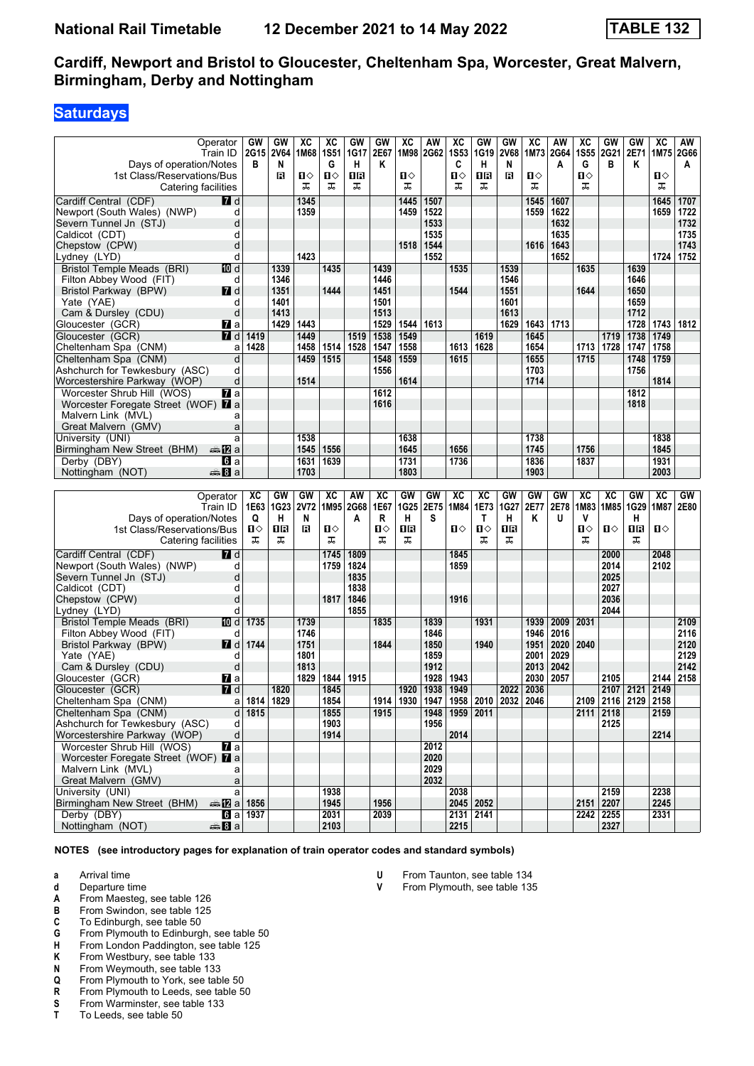# **Saturdays**

|                                     |                     | <b>GW</b>             | <b>GW</b>   | $\overline{\mathbf{X}}$ |              | GW   | GW   |      |                                                | $\overline{\text{xc}}$ | GW          | <b>GW</b>   | $\overline{\text{xc}}$ | <b>AW</b> |             | GW                | <b>GW</b>           | $\overline{AC}$ |      |
|-------------------------------------|---------------------|-----------------------|-------------|-------------------------|--------------|------|------|------|------------------------------------------------|------------------------|-------------|-------------|------------------------|-----------|-------------|-------------------|---------------------|-----------------|------|
|                                     | Operator            |                       |             |                         | ХC           |      |      | XC   | AW                                             |                        |             |             |                        |           | XC          |                   |                     |                 | AW   |
|                                     | Train ID            | 2G15                  | <b>2V64</b> | 1M68 1S51               |              | 1G17 | 2E67 |      | 1M98 2G62                                      | <b>1S53</b>            | 1G19        | <b>2V68</b> | 1M73                   | 2G64      | <b>1S55</b> | 2G21              | 2E71                | 1M75 2G66       |      |
| Days of operation/Notes             |                     | в                     | N           |                         | G            | н    | Κ    |      |                                                | C                      | н           | N           |                        | A         | G           | в                 | Κ                   |                 | A    |
| 1st Class/Reservations/Bus          |                     |                       | в           | п⇔                      | п⇔           | 1 R  |      | п⇔   |                                                | п⇔                     | ΠR          | в           | п⇔                     |           | п⇔          |                   |                     | ்ப              |      |
|                                     | Catering facilities |                       |             | ᠼ                       | ᠼ            | ᠼ    |      | ᠼ    |                                                | ᠼ                      | ᠼ           |             | ᠼ                      |           | ᠼ           |                   |                     | ᠼ               |      |
|                                     |                     |                       |             |                         |              |      |      |      |                                                |                        |             |             |                        |           |             |                   |                     |                 |      |
| Cardiff Central (CDF)               | <b>7</b> d          |                       |             | 1345                    |              |      |      | 1445 | 1507                                           |                        |             |             | 1545                   | 1607      |             |                   |                     | 1645            | 1707 |
| Newport (South Wales) (NWP)         | d                   |                       |             | 1359                    |              |      |      | 1459 | 1522                                           |                        |             |             | 1559                   | 1622      |             |                   |                     | 1659            | 1722 |
| Severn Tunnel Jn (STJ)              | d                   |                       |             |                         |              |      |      |      | 1533                                           |                        |             |             |                        | 1632      |             |                   |                     |                 | 1732 |
|                                     |                     |                       |             |                         |              |      |      |      |                                                |                        |             |             |                        |           |             |                   |                     |                 |      |
| Caldicot (CDT)                      | d                   |                       |             |                         |              |      |      |      | 1535                                           |                        |             |             |                        | 1635      |             |                   |                     |                 | 1735 |
| Chepstow (CPW)                      | d                   |                       |             |                         |              |      |      | 1518 | 1544                                           |                        |             |             | 1616                   | 1643      |             |                   |                     |                 | 1743 |
| Lydney (LYD)                        | d                   |                       |             | 1423                    |              |      |      |      | 1552                                           |                        |             |             |                        | 1652      |             |                   |                     | 1724            | 1752 |
| Bristol Temple Meads (BRI)          | 10 d                |                       | 1339        |                         | 1435         |      | 1439 |      |                                                | 1535                   |             | 1539        |                        |           | 1635        |                   | 1639                |                 |      |
|                                     |                     |                       |             |                         |              |      |      |      |                                                |                        |             |             |                        |           |             |                   |                     |                 |      |
| Filton Abbey Wood (FIT)             | d                   |                       | 1346        |                         |              |      | 1446 |      |                                                |                        |             | 1546        |                        |           |             |                   | 1646                |                 |      |
| Bristol Parkway (BPW)               | <b>7</b> d          |                       | 1351        |                         | 1444         |      | 1451 |      |                                                | 1544                   |             | 1551        |                        |           | 1644        |                   | 1650                |                 |      |
| Yate (YAE)                          | d                   |                       | 1401        |                         |              |      | 1501 |      |                                                |                        |             | 1601        |                        |           |             |                   | 1659                |                 |      |
| Cam & Dursley (CDU)                 | d                   |                       | 1413        |                         |              |      | 1513 |      |                                                |                        |             | 1613        |                        |           |             |                   | 1712                |                 |      |
|                                     |                     |                       | 1429        | 1443                    |              |      | 1529 | 1544 | 1613                                           |                        |             | 1629        | 1643                   | 1713      |             |                   | 1728                | 1743            | 1812 |
| Gloucester (GCR)                    | <b>7</b> ⊿a         |                       |             |                         |              |      |      |      |                                                |                        |             |             |                        |           |             |                   |                     |                 |      |
| Gloucester (GCR)                    | <b>7</b> d          | 1419                  |             | 1449                    |              | 1519 | 1538 | 1549 |                                                |                        | 1619        |             | 1645                   |           |             | 1719              | 1738                | 1749            |      |
| Cheltenham Spa (CNM)                | a                   | 1428                  |             | 1458                    | 1514         | 1528 | 1547 | 1558 |                                                | 1613                   | 1628        |             | 1654                   |           |             | 1713 1728         | 1747                | 1758            |      |
| Cheltenham Spa (CNM)                | d                   |                       |             | 1459                    | 1515         |      | 1548 | 1559 |                                                | 1615                   |             |             | 1655                   |           | 1715        |                   | 1748                | 1759            |      |
|                                     |                     |                       |             |                         |              |      |      |      |                                                |                        |             |             |                        |           |             |                   |                     |                 |      |
| Ashchurch for Tewkesbury (ASC)      | d                   |                       |             |                         |              |      | 1556 |      |                                                |                        |             |             | 1703                   |           |             |                   | 1756                |                 |      |
| Worcestershire Parkway (WOP)        | d                   |                       |             | 1514                    |              |      |      | 1614 |                                                |                        |             |             | 1714                   |           |             |                   |                     | 1814            |      |
| Worcester Shrub Hill (WOS)          | <b>7</b> a          |                       |             |                         |              |      | 1612 |      |                                                |                        |             |             |                        |           |             |                   | 1812                |                 |      |
| Worcester Foregate Street (WOF) 7 a |                     |                       |             |                         |              |      | 1616 |      |                                                |                        |             |             |                        |           |             |                   | 1818                |                 |      |
|                                     |                     |                       |             |                         |              |      |      |      |                                                |                        |             |             |                        |           |             |                   |                     |                 |      |
| Malvern Link (MVL)                  | a                   |                       |             |                         |              |      |      |      |                                                |                        |             |             |                        |           |             |                   |                     |                 |      |
| Great Malvern (GMV)                 | a                   |                       |             |                         |              |      |      |      |                                                |                        |             |             |                        |           |             |                   |                     |                 |      |
| University (UNI)                    | a                   |                       |             | 1538                    |              |      |      | 1638 |                                                |                        |             |             | 1738                   |           |             |                   |                     | 1838            |      |
| Birmingham New Street (BHM)         | an≞12la             |                       |             | 1545                    | 1556         |      |      | 1645 |                                                | 1656                   |             |             | 1745                   |           | 1756        |                   |                     | 1845            |      |
| Derby (DBY)                         | <b>6</b> а          |                       |             | 1631                    | 1639         |      |      | 1731 |                                                | 1736                   |             |             | 1836                   |           | 1837        |                   |                     | 1931            |      |
|                                     |                     |                       |             |                         |              |      |      |      |                                                |                        |             |             |                        |           |             |                   |                     |                 |      |
| Nottingham (NOT)                    | <b>▲Ba</b>          |                       |             | 1703                    |              |      |      | 1803 |                                                |                        |             |             | 1903                   |           |             |                   |                     | 2003            |      |
|                                     |                     |                       |             |                         |              |      |      |      |                                                |                        |             |             |                        |           |             |                   |                     |                 |      |
|                                     |                     |                       |             |                         |              |      |      |      |                                                |                        |             |             |                        |           |             |                   |                     |                 |      |
|                                     |                     |                       |             |                         |              |      |      |      |                                                |                        |             |             |                        |           |             |                   |                     |                 |      |
|                                     | Operator            | xс                    | GW          | GW                      | XC           | AW   | XC   | GW   | GW                                             | XC                     | XC          | GW          | GW                     | GW        | XC          | XC                | GW                  | XC              | GW   |
|                                     | Train ID            | 1E63                  | <b>1G23</b> | 2V72                    | 1M95         | 2G68 | 1E67 | 1G25 | 2E75                                           | 1M84                   | 1E73        | 1G27        | 2E77                   | 2E78      | 1M83        | 1M85              | 1G29                | 1M87            | 2E80 |
| Days of operation/Notes             |                     | Q                     | н           | N                       |              | A    | R    | н    | S                                              |                        | T           | н           | K                      | U         | v           |                   | H.                  |                 |      |
| 1st Class/Reservations/Bus          |                     | ்ப                    | ΠR          | в                       | п⇔           |      | Ω⇔   | 1R   |                                                | Ⅱ♦                     | П⇔          | 1R          |                        |           | Ω⇔          | $\mathbf{u}$      | 16                  | Ⅱ◇              |      |
|                                     |                     | ᠼ                     | ᠼ           |                         | ᠼ            |      | ᠼ    | ᠼ    |                                                |                        | ᠼ           | ᠼ           |                        |           | ᠼ           |                   | ᠼ                   |                 |      |
|                                     | Catering facilities |                       |             |                         |              |      |      |      |                                                |                        |             |             |                        |           |             |                   |                     |                 |      |
| Cardiff Central (CDF)               | <b>7</b> d          |                       |             |                         | 1745         | 1809 |      |      |                                                | 1845                   |             |             |                        |           |             | 2000              |                     | 2048            |      |
| Newport (South Wales) (NWP)         | d                   |                       |             |                         | 1759         | 1824 |      |      |                                                | 1859                   |             |             |                        |           |             | 2014              |                     | 2102            |      |
|                                     | d                   |                       |             |                         |              |      |      |      |                                                |                        |             |             |                        |           |             |                   |                     |                 |      |
| Severn Tunnel Jn (STJ)              |                     |                       |             |                         |              | 1835 |      |      |                                                |                        |             |             |                        |           |             | 2025              |                     |                 |      |
| Caldicot (CDT)                      | d                   |                       |             |                         |              | 1838 |      |      |                                                |                        |             |             |                        |           |             | 2027              |                     |                 |      |
| Chepstow (CPW)                      | d                   |                       |             |                         | 1817         | 1846 |      |      |                                                | 1916                   |             |             |                        |           |             | 2036              |                     |                 |      |
| Lydney (LYD)                        | d                   |                       |             |                         |              | 1855 |      |      |                                                |                        |             |             |                        |           |             | 2044              |                     |                 |      |
| Bristol Temple Meads (BRI)          | 10 d                | 1735                  |             | 1739                    |              |      | 1835 |      | 1839                                           |                        | 1931        |             | 1939                   | 2009      | 2031        |                   |                     |                 | 2109 |
|                                     | d                   |                       |             | 1746                    |              |      |      |      | 1846                                           |                        |             |             | 1946                   | 2016      |             |                   |                     |                 | 2116 |
| Filton Abbey Wood (FIT)             |                     |                       |             |                         |              |      |      |      |                                                |                        |             |             |                        |           |             |                   |                     |                 |      |
| Bristol Parkway (BPW)               | <b>7</b> d          | 1744                  |             | 1751                    |              |      | 1844 |      | 1850                                           |                        | 1940        |             | 1951                   | 2020      | 2040        |                   |                     |                 | 2120 |
| Yate (YAE)                          | d                   |                       |             | 1801                    |              |      |      |      | 1859                                           |                        |             |             | 2001                   | 2029      |             |                   |                     |                 | 2129 |
| Cam & Dursley (CDU)                 | d                   |                       |             | 1813                    |              |      |      |      | 1912                                           |                        |             |             | 2013                   | 2042      |             |                   |                     |                 | 2142 |
| Gloucester (GCR)                    | Mala                |                       |             | 1829                    | 1844         | 1915 |      |      | 1928                                           | 1943                   |             |             | 2030                   | 2057      |             | 2105              |                     | 2144            | 2158 |
|                                     |                     |                       |             |                         |              |      |      |      |                                                |                        |             |             |                        |           |             |                   |                     |                 |      |
| Gloucester (GCR)                    | 7 d                 |                       | 1820        |                         | 1845         |      |      | 1920 | 1938                                           | 1949                   |             | 2022        | 2036                   |           |             | $2107$   2121     |                     | 2149            |      |
| Cheltenham Spa (CNM)                | al                  |                       | 1814 1829   |                         | 1854         |      |      |      | 1914   1930   1947   1958   2010   2032   2046 |                        |             |             |                        |           |             |                   | 2109 2116 2129 2158 |                 |      |
| Cheltenham Spa (CNM)                |                     | $d$ 1815              |             |                         | 1855         |      | 1915 |      |                                                | 1948   1959   2011     |             |             |                        |           |             | $2111$ 2118       |                     | 2159            |      |
| Ashchurch for Tewkesbury (ASC)      | d                   |                       |             |                         | 1903         |      |      |      | 1956                                           |                        |             |             |                        |           |             | 2125              |                     |                 |      |
|                                     | d                   |                       |             |                         | 1914         |      |      |      |                                                | 2014                   |             |             |                        |           |             |                   |                     | 2214            |      |
| Worcestershire Parkway (WOP)        |                     |                       |             |                         |              |      |      |      |                                                |                        |             |             |                        |           |             |                   |                     |                 |      |
| Worcester Shrub Hill (WOS)          | <b>7</b> a          |                       |             |                         |              |      |      |      | 2012                                           |                        |             |             |                        |           |             |                   |                     |                 |      |
| Worcester Foregate Street (WOF) 7 a |                     |                       |             |                         |              |      |      |      | 2020                                           |                        |             |             |                        |           |             |                   |                     |                 |      |
| Malvern Link (MVL)                  | a                   |                       |             |                         |              |      |      |      | 2029                                           |                        |             |             |                        |           |             |                   |                     |                 |      |
|                                     | a                   |                       |             |                         |              |      |      |      | 2032                                           |                        |             |             |                        |           |             |                   |                     |                 |      |
| Great Malvern (GMV)                 |                     |                       |             |                         |              |      |      |      |                                                |                        |             |             |                        |           |             |                   |                     |                 |      |
| University (UNI)                    | a                   |                       |             |                         | 1938         |      |      |      |                                                | 2038                   |             |             |                        |           |             | 2159              |                     | 2238            |      |
| Birmingham New Street (BHM)         | <b>46 72 a 1856</b> |                       |             |                         | 1945         |      | 1956 |      |                                                |                        | 2045 2052   |             |                        |           |             | 2151 2207         |                     | 2245            |      |
| Derby (DBY)<br>Nottingham (NOT)     | da <mark>8</mark> a | $\overline{6}$ a 1937 |             |                         | 2031<br>2103 |      | 2039 |      |                                                | 2215                   | 2131   2141 |             |                        |           |             | 2242 2255<br>2327 |                     | 2331            |      |

**NOTES (see introductory pages for explanation of train operator codes and standard symbols)**

**a** Arrival time

- **d** Departure time
- **A** From Maesteg, see table 126<br>**B** From Swindon, see table 125
- **B** From Swindon, see table 125<br>**C** To Edinburgh, see table 50
- **C** To Edinburgh, see table 50<br>**G** From Plymouth to Edinburg
- **4** From Plymouth to Edinburgh, see table 50<br>**H** From London Paddington, see table 125
- **+** From London Paddington, see table 125<br>**K** From Westbury, see table 133
- **K** From Westbury, see table 133<br>**N** From Weymouth, see table 133
- **N** From Weymouth, see table 133<br>**Q** From Plymouth to York, see tab
- **4** From Plymouth to York, see table 50<br>**R** From Plymouth to Leeds, see table 5
- 
- **R** From Plymouth to Leeds, see table 50<br>**S** From Warminster, see table 133 **6** From Warminster, see table 133<br>**T** To Leeds, see table 50
- To Leeds, see table 50
- **8** From Taunton, see table 134
	- From Plymouth, see table 135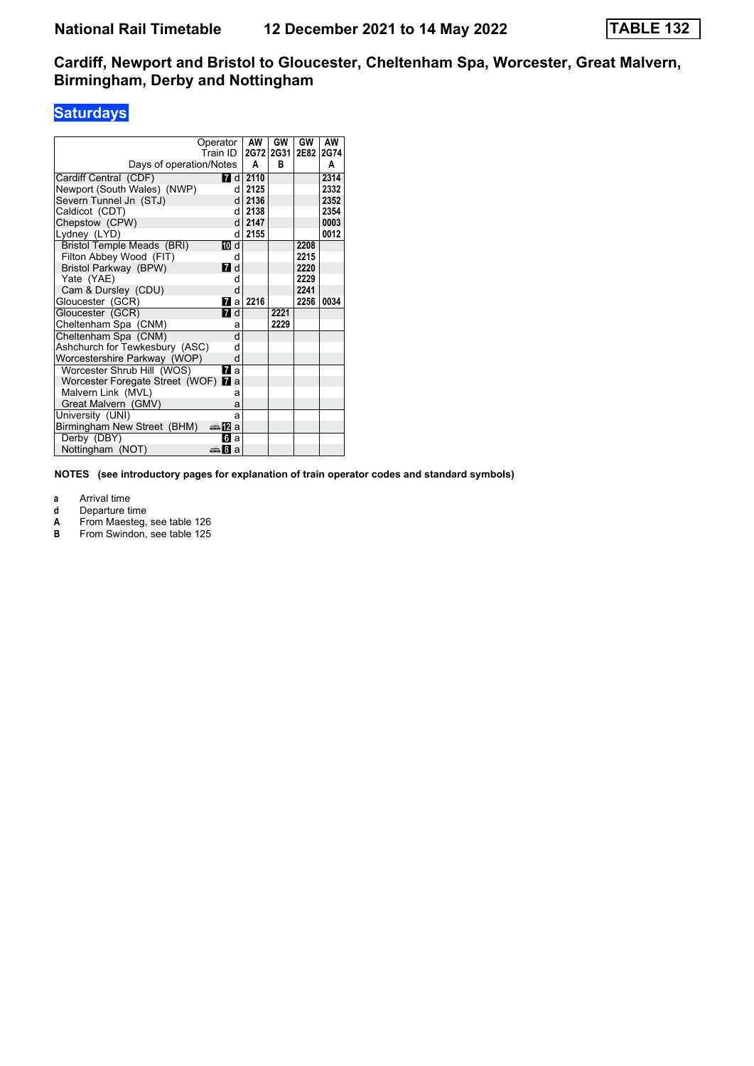# **Saturdays**

|                                     | Operator               | AW   | GW   | GW   | AW   |
|-------------------------------------|------------------------|------|------|------|------|
|                                     | Train ID               | 2G72 | 2G31 | 2E82 | 2G74 |
| Days of operation/Notes             |                        | A    | в    |      | A    |
| Cardiff Central (CDF)               | <b>7</b> d             | 2110 |      |      | 2314 |
| Newport (South Wales) (NWP)         | d                      | 2125 |      |      | 2332 |
| Severn Tunnel Jn (STJ)              | d                      | 2136 |      |      | 2352 |
| Caldicot (CDT)                      | d.                     | 2138 |      |      | 2354 |
| Chepstow (CPW)                      | <sub>d</sub>           | 2147 |      |      | 0003 |
| Lydney (LYD)                        | d                      | 2155 |      |      | 0012 |
| Bristol Temple Meads (BRI)          | 而 d                    |      |      | 2208 |      |
| Filton Abbey Wood (FIT)             | d                      |      |      | 2215 |      |
| Bristol Parkway (BPW)               | <b>7</b> d             |      |      | 2220 |      |
| Yate (YAE)                          | d                      |      |      | 2229 |      |
| Cam & Dursley (CDU)                 | d                      |      |      | 2241 |      |
| Gloucester (GCR)                    | 7a                     | 2216 |      | 2256 | 0034 |
| Gloucester (GCR)                    | <b>7</b> d             |      | 2221 |      |      |
| Cheltenham Spa (CNM)                | a                      |      | 2229 |      |      |
| Cheltenham Spa (CNM)                | d                      |      |      |      |      |
| Ashchurch for Tewkesbury (ASC)      | d                      |      |      |      |      |
| Worcestershire Parkway (WOP)        | d                      |      |      |      |      |
| Worcester Shrub Hill (WOS)          | 77 а                   |      |      |      |      |
| Worcester Foregate Street (WOF) 7 a |                        |      |      |      |      |
| Malvern Link (MVL)                  | a                      |      |      |      |      |
| Great Malvern (GMV)                 | a                      |      |      |      |      |
| University (UNI)                    | a                      |      |      |      |      |
| Birmingham New Street (BHM)         | dan <mark>m</mark> ∆ a |      |      |      |      |
| Derby (DBY)                         | Пfа                    |      |      |      |      |
| Nottingham (NOT)                    | a ا∰ت                  |      |      |      |      |

**NOTES (see introductory pages for explanation of train operator codes and standard symbols)**

**a** Arrival time

- 
- **d** Departure time<br> **A** From Maesteg,<br> **B** From Swindon, **A** From Maesteg, see table 126
- **B** From Swindon, see table 125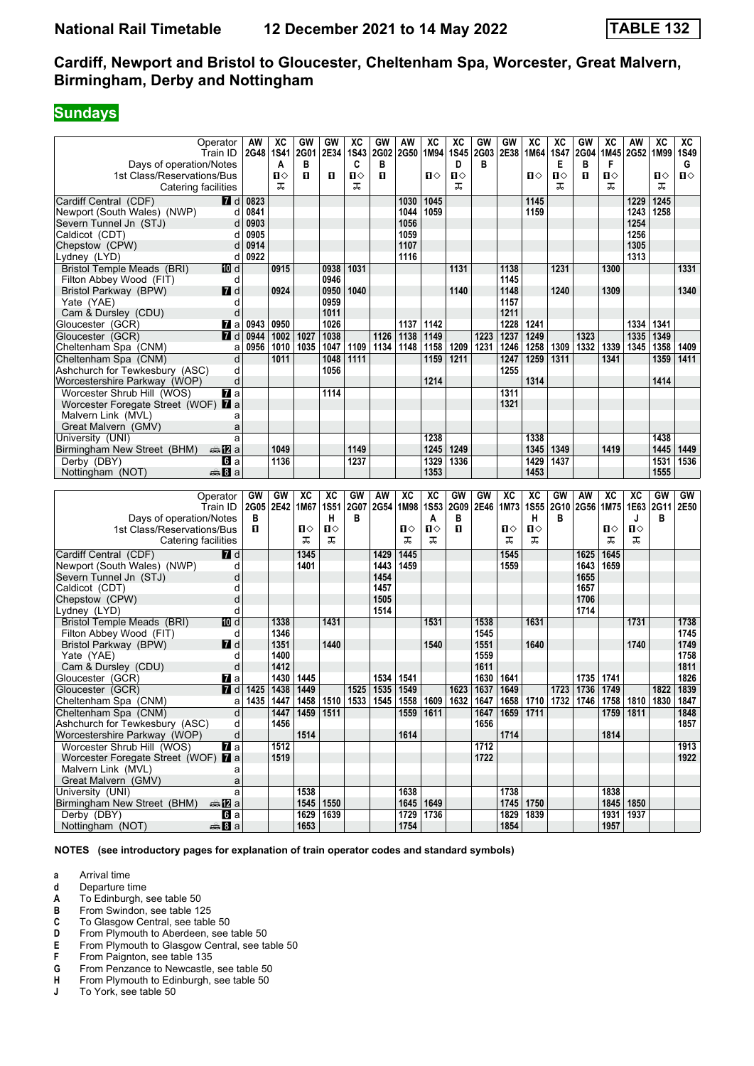#### **Sundays**

|                                            | Operator                   | AW                                                                                                                              | хc          | GW                 | GW          | XC          | GW          | AW   | $\overline{\mathbf{X}}$ | хc   | GW   | GW                 | $\overline{\text{xc}}$ | хc          | GW   | хc   | AW          | $\overline{\text{xc}}$ | XC           |
|--------------------------------------------|----------------------------|---------------------------------------------------------------------------------------------------------------------------------|-------------|--------------------|-------------|-------------|-------------|------|-------------------------|------|------|--------------------|------------------------|-------------|------|------|-------------|------------------------|--------------|
|                                            | Train ID                   | 2G48                                                                                                                            | <b>1S41</b> | 2G01               | 2E34        | <b>1S43</b> | <b>2G02</b> | 2G50 | 1M94                    | 1S45 | 2G03 | 2E38               | 1M64                   | <b>1S47</b> | 2G04 | 1M45 | 2G52 1M99   |                        | 1S49         |
| Days of operation/Notes                    |                            |                                                                                                                                 | A           | в                  |             | C           | в           |      |                         | D    | в    |                    |                        | Е           | в    | F    |             |                        | G            |
| 1st Class/Reservations/Bus                 |                            |                                                                                                                                 | 0           | O                  | п           | П⇔          | п           |      | ப⇔                      | п    |      |                    | ்ப                     | Ⅱ◇          | п    | Ⅱ♦   |             | ்ப                     | $\mathbf{u}$ |
| Catering facilities                        |                            |                                                                                                                                 | ᠼ           |                    |             | ᠼ           |             |      |                         | ᠼ    |      |                    |                        | ᠼ           |      | ᠼ    |             | ᠼ                      |              |
|                                            |                            |                                                                                                                                 |             |                    |             |             |             |      |                         |      |      |                    |                        |             |      |      |             |                        |              |
| Cardiff Central (CDF)                      | 7 d                        | 0823                                                                                                                            |             |                    |             |             |             | 1030 | 1045                    |      |      |                    | 1145                   |             |      |      | 1229        | 1245                   |              |
| Newport (South Wales) (NWP)                | d                          | 0841                                                                                                                            |             |                    |             |             |             | 1044 | 1059                    |      |      |                    | 1159                   |             |      |      | 1243        | 1258                   |              |
| Severn Tunnel Jn (STJ)                     | d                          | 0903                                                                                                                            |             |                    |             |             |             | 1056 |                         |      |      |                    |                        |             |      |      | 1254        |                        |              |
| Caldicot (CDT)                             | d                          | 0905                                                                                                                            |             |                    |             |             |             | 1059 |                         |      |      |                    |                        |             |      |      | 1256        |                        |              |
| Chepstow (CPW)                             | d                          | 0914                                                                                                                            |             |                    |             |             |             | 1107 |                         |      |      |                    |                        |             |      |      | 1305        |                        |              |
| Lydney (LYD)                               | d                          | 0922                                                                                                                            |             |                    |             |             |             | 1116 |                         |      |      |                    |                        |             |      |      | 1313        |                        |              |
|                                            |                            |                                                                                                                                 |             |                    |             | 1031        |             |      |                         | 1131 |      | 1138               |                        | 1231        |      |      |             |                        |              |
| Bristol Temple Meads (BRI)                 | 10 d                       |                                                                                                                                 | 0915        |                    | 0938        |             |             |      |                         |      |      |                    |                        |             |      | 1300 |             |                        | 1331         |
| Filton Abbey Wood (FIT)                    | d                          |                                                                                                                                 |             |                    | 0946        |             |             |      |                         |      |      | 1145               |                        |             |      |      |             |                        |              |
| Bristol Parkway (BPW)                      | <b>7</b> d                 |                                                                                                                                 | 0924        |                    | 0950        | 1040        |             |      |                         | 1140 |      | 1148               |                        | 1240        |      | 1309 |             |                        | 1340         |
| Yate (YAE)                                 | d                          |                                                                                                                                 |             |                    | 0959        |             |             |      |                         |      |      | 1157               |                        |             |      |      |             |                        |              |
| Cam & Dursley (CDU)                        | d                          |                                                                                                                                 |             |                    | 1011        |             |             |      |                         |      |      | 1211               |                        |             |      |      |             |                        |              |
| Gloucester (GCR)                           | <b>7</b> a                 | 0943                                                                                                                            | 0950        |                    | 1026        |             |             | 1137 | 1142                    |      |      | 1228               | 1241                   |             |      |      | 1334        | 1341                   |              |
| Gloucester (GCR)                           | <b>7</b> d                 | 0944                                                                                                                            | 1002        | 1027               | 1038        |             | 1126        | 1138 | 1149                    |      | 1223 | 1237               | 1249                   |             | 1323 |      | 1335        | 1349                   |              |
|                                            |                            | 0956                                                                                                                            | 1010        | 1035               | 1047        | 1109        | 1134        | 1148 | 1158                    | 1209 | 1231 | 1246               | 1258                   | 1309        | 1332 | 1339 | 1345        | 1358                   | 1409         |
| Cheltenham Spa (CNM)                       | a                          |                                                                                                                                 |             |                    |             |             |             |      |                         |      |      |                    |                        |             |      |      |             |                        |              |
| Cheltenham Spa (CNM)                       | d                          |                                                                                                                                 | 1011        |                    | 1048        | 1111        |             |      | 1159                    | 1211 |      | 1247               | 1259                   | 1311        |      | 1341 |             | 1359                   | 1411         |
| Ashchurch for Tewkesbury (ASC)             | d                          |                                                                                                                                 |             |                    | 1056        |             |             |      |                         |      |      | 1255               |                        |             |      |      |             |                        |              |
| Worcestershire Parkway (WOP)               | d                          |                                                                                                                                 |             |                    |             |             |             |      | 1214                    |      |      |                    | 1314                   |             |      |      |             | 1414                   |              |
| Worcester Shrub Hill (WOS)                 | <b>77</b> а                |                                                                                                                                 |             |                    | 1114        |             |             |      |                         |      |      | 1311               |                        |             |      |      |             |                        |              |
| Worcester Foregate Street (WOF) 7 a        |                            |                                                                                                                                 |             |                    |             |             |             |      |                         |      |      | 1321               |                        |             |      |      |             |                        |              |
| Malvern Link (MVL)                         | a                          |                                                                                                                                 |             |                    |             |             |             |      |                         |      |      |                    |                        |             |      |      |             |                        |              |
|                                            |                            |                                                                                                                                 |             |                    |             |             |             |      |                         |      |      |                    |                        |             |      |      |             |                        |              |
| Great Malvern (GMV)                        | a                          |                                                                                                                                 |             |                    |             |             |             |      |                         |      |      |                    |                        |             |      |      |             |                        |              |
| University (UNI)                           | a                          |                                                                                                                                 |             |                    |             |             |             |      | 1238                    |      |      |                    | 1338                   |             |      |      |             | 1438                   |              |
| Birmingham New Street (BHM)                | dan <b>12</b> a            |                                                                                                                                 | 1049        |                    |             | 1149        |             |      | 1245                    | 1249 |      |                    | 1345                   | 1349        |      | 1419 |             | 1445                   | 1449         |
| Derby (DBY)                                | <b>б</b> іа                |                                                                                                                                 | 1136        |                    |             | 1237        |             |      | 1329                    | 1336 |      |                    | 1429                   | 1437        |      |      |             | 1531                   | 1536         |
| Nottingham (NOT)                           | anna <mark>8</mark> la     |                                                                                                                                 |             |                    |             |             |             |      | 1353                    |      |      |                    | 1453                   |             |      |      |             | 1555                   |              |
|                                            |                            |                                                                                                                                 |             |                    |             |             |             |      |                         |      |      |                    |                        |             |      |      |             |                        |              |
|                                            |                            |                                                                                                                                 |             |                    |             |             |             |      |                         |      |      |                    |                        |             |      |      |             |                        |              |
|                                            |                            |                                                                                                                                 |             |                    |             |             |             |      |                         |      |      |                    |                        |             |      |      |             |                        |              |
|                                            | Operator                   | GW                                                                                                                              | GW          | XC                 | XC          | GW          | AW          | XC   | $\overline{\text{xc}}$  | GW   | GW   | XC                 | $\overline{\text{xc}}$ | GW          | AW   | XC   | XC          | GW                     | GW           |
|                                            | Train ID                   | 2G05                                                                                                                            | 2E42        | 1M67               | <b>1S51</b> | 2G07        | 2G54        | 1M98 | <b>1S53</b>             | 2G09 | 2E46 | 1M73               | <b>1S55</b>            | 2G10        | 2G56 | 1M75 | 1E63        | 2G11                   | 2E50         |
| Days of operation/Notes                    |                            | в                                                                                                                               |             |                    | н           | в           |             |      | A                       | в    |      |                    | н                      | в           |      |      | J           | в                      |              |
| 1st Class/Reservations/Bus                 |                            | п                                                                                                                               |             | п⇔                 | ப⇔          |             |             | Ⅱ◇   | п                       | O    |      | п⇔                 | П⇔                     |             |      | п⇔   | П⇔          |                        |              |
| Catering facilities                        |                            |                                                                                                                                 |             | ᠼ                  | ᠼ           |             |             | ᠼ    | ᠼ                       |      |      | ᠼ                  | ᠼ                      |             |      | ᠼ    | ᅚ           |                        |              |
|                                            |                            |                                                                                                                                 |             |                    |             |             |             |      |                         |      |      |                    |                        |             |      |      |             |                        |              |
| Cardiff Central (CDF)                      | <b>7</b> d                 |                                                                                                                                 |             | 1345               |             |             | 1429        | 1445 |                         |      |      | 1545               |                        |             | 1625 | 1645 |             |                        |              |
| Newport (South Wales) (NWP)                | d                          |                                                                                                                                 |             | 1401               |             |             | 1443        | 1459 |                         |      |      | 1559               |                        |             | 1643 | 1659 |             |                        |              |
| Severn Tunnel Jn (STJ)                     | d                          |                                                                                                                                 |             |                    |             |             | 1454        |      |                         |      |      |                    |                        |             | 1655 |      |             |                        |              |
| Caldicot (CDT)                             | d                          |                                                                                                                                 |             |                    |             |             | 1457        |      |                         |      |      |                    |                        |             | 1657 |      |             |                        |              |
| Chepstow (CPW)                             | d                          |                                                                                                                                 |             |                    |             |             | 1505        |      |                         |      |      |                    |                        |             | 1706 |      |             |                        |              |
| Lydney (LYD)                               | d                          |                                                                                                                                 |             |                    |             |             | 1514        |      |                         |      |      |                    |                        |             | 1714 |      |             |                        |              |
|                                            | [10] d                     |                                                                                                                                 | 1338        |                    | 1431        |             |             |      | 1531                    |      | 1538 |                    | 1631                   |             |      |      | 1731        |                        | 1738         |
| <b>Bristol Temple Meads (BRI)</b>          |                            |                                                                                                                                 |             |                    |             |             |             |      |                         |      |      |                    |                        |             |      |      |             |                        |              |
| Filton Abbey Wood (FIT)                    | d                          |                                                                                                                                 | 1346        |                    |             |             |             |      |                         |      | 1545 |                    |                        |             |      |      |             |                        | 1745         |
| Bristol Parkway (BPW)                      | 7d                         |                                                                                                                                 | 1351        |                    | 1440        |             |             |      | 1540                    |      | 1551 |                    | 1640                   |             |      |      | 1740        |                        | 1749         |
| Yate (YAE)                                 | d                          |                                                                                                                                 | 1400        |                    |             |             |             |      |                         |      | 1559 |                    |                        |             |      |      |             |                        | 1758         |
| Cam & Dursley (CDU)                        | d                          |                                                                                                                                 | 1412        |                    |             |             |             |      |                         |      | 1611 |                    |                        |             |      |      |             |                        | 1811         |
| Gloucester (GCR)                           | Maa                        |                                                                                                                                 | 1430        | 1445               |             |             | 1534        | 1541 |                         |      | 1630 | 1641               |                        |             | 1735 | 1741 |             |                        | 1826         |
| Gloucester (GCR)                           | $I$ d                      | 1425                                                                                                                            | 1438        | 1449               |             | 1525        | 1535        | 1549 |                         | 1623 | 1637 | 1649               |                        | 1723        | 1736 | 1749 |             | 1822                   | 1839         |
|                                            |                            |                                                                                                                                 |             |                    |             |             |             |      |                         |      |      |                    |                        |             |      |      |             |                        |              |
| Cheltenham Spa (CNM)                       |                            | a   1435   1447   1458   1510   1533   1545   1558   1609   1632   1647   1658   1710   1732   1746   1758   1810   1830   1847 |             |                    |             |             |             |      |                         |      |      |                    |                        |             |      |      |             |                        |              |
| Cheltenham Spa (CNM)                       | d                          |                                                                                                                                 |             | 1447   1459   1511 |             |             |             |      | 1559   1611             |      |      | 1647   1659   1711 |                        |             |      |      | 1759   1811 |                        | 1848         |
| Ashchurch for Tewkesbury (ASC)             | d                          |                                                                                                                                 | 1456        |                    |             |             |             |      |                         |      | 1656 |                    |                        |             |      |      |             |                        | 1857         |
| Worcestershire Parkway (WOP)               | d                          |                                                                                                                                 |             | 1514               |             |             |             | 1614 |                         |      |      | 1714               |                        |             |      | 1814 |             |                        |              |
| Worcester Shrub Hill (WOS)                 | $\mathbf{z}$ a             |                                                                                                                                 | 1512        |                    |             |             |             |      |                         |      | 1712 |                    |                        |             |      |      |             |                        | 1913         |
| Worcester Foregate Street (WOF) <b>7</b> a |                            |                                                                                                                                 | 1519        |                    |             |             |             |      |                         |      | 1722 |                    |                        |             |      |      |             |                        | 1922         |
| Malvern Link (MVL)                         | a                          |                                                                                                                                 |             |                    |             |             |             |      |                         |      |      |                    |                        |             |      |      |             |                        |              |
| Great Malvern (GMV)                        | a                          |                                                                                                                                 |             |                    |             |             |             |      |                         |      |      |                    |                        |             |      |      |             |                        |              |
|                                            | a                          |                                                                                                                                 |             |                    |             |             |             |      |                         |      |      |                    |                        |             |      |      |             |                        |              |
| University (UNI)                           |                            |                                                                                                                                 |             | 1538               |             |             |             | 1638 |                         |      |      | 1738               |                        |             |      | 1838 |             |                        |              |
| Birmingham New Street (BHM)                | ana <mark>n</mark> 2 a     |                                                                                                                                 |             |                    | 1545   1550 |             |             |      | 1645   1649             |      |      |                    | 1745   1750            |             |      |      | 1845   1850 |                        |              |
| Derby (DBY)<br>Nottingham (NOT)            | <b>G</b> a<br>$\oplus$ 8 a |                                                                                                                                 |             | 1653               | 1629 1639   |             |             | 1754 | 1729 1736               |      |      | 1854               | 1829 1839              |             |      | 1957 | 1931 1937   |                        |              |

**NOTES (see introductory pages for explanation of train operator codes and standard symbols)**

- **d** Departure time
- **A** To Edinburgh, see table 50<br>**B** From Swindon, see table 12
- **B** From Swindon, see table 125<br>**C** To Glasgow Central, see table
- **C** To Glasgow Central, see table 50<br>**D** From Plymouth to Aberdeen, see
- **D** From Plymouth to Aberdeen, see table 50<br>**E** From Plymouth to Glasgow Central, see ta
- **E** From Plymouth to Glasgow Central, see table 50<br> **6** From Paignton, see table 135<br> **G** From Penzance to Newcastle, see table 50
- From Paignton, see table 135
- **4** From Penzance to Newcastle, see table 50<br>**H** From Plymouth to Edinburgh, see table 50
- **+** From Plymouth to Edinburgh, see table 50<br>**J** To York, see table 50
- To York, see table 50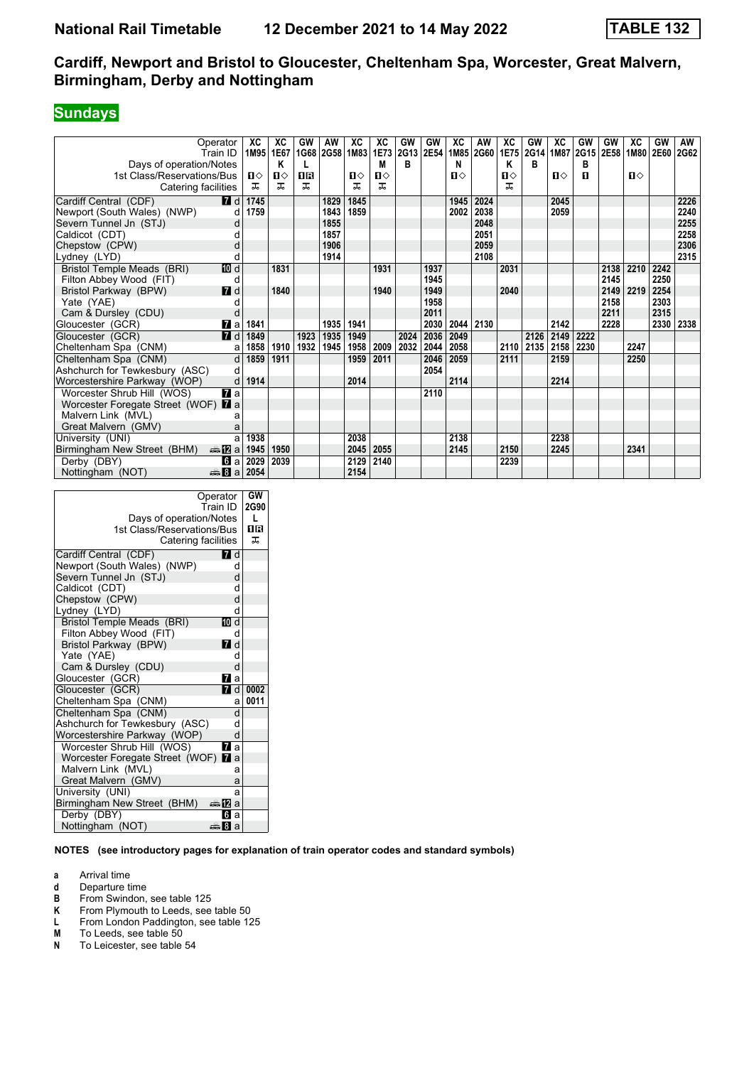# **Sundays**

| Operator<br>Train ID                         | XC           | XC<br>1M95 1E67 | GW   | AW<br>1G68 2G58 1M83 | XC           | XC   | GW<br>1E73 2G13 2E54 | GW   | ХC<br>1M85   | AW<br>2G60 | ХC<br>1E75   | GW<br>2G14 | XC           | GW<br>1M87 2G15 | GW<br>2E58 | XC<br>1M80 | GW<br>2E60 | AW<br>2G62 |
|----------------------------------------------|--------------|-----------------|------|----------------------|--------------|------|----------------------|------|--------------|------------|--------------|------------|--------------|-----------------|------------|------------|------------|------------|
| Days of operation/Notes                      |              | Κ               |      |                      |              | M    | в                    |      | N            |            | Κ            | в          |              | в               |            |            |            |            |
| 1st Class/Reservations/Bus                   | $\mathbf{u}$ | $\mathbf{u}$    | ПR   |                      | $\mathbf{n}$ | П⇔   |                      |      | $\mathbf{u}$ |            | $\mathbf{u}$ |            | $\mathbf{n}$ | п               |            | П⇔         |            |            |
| Catering facilities                          | ᠼ            | ᠼ               | ᠼ    |                      | ᅚ            | ᅚ    |                      |      |              |            | ᠼ            |            |              |                 |            |            |            |            |
| <b>7</b> d<br>Cardiff Central (CDF)          | 1745         |                 |      | 1829                 | 1845         |      |                      |      | 1945         | 2024       |              |            | 2045         |                 |            |            |            | 2226       |
| Newport (South Wales) (NWP)                  | 1759<br>d    |                 |      | 1843                 | 1859         |      |                      |      | 2002         | 2038       |              |            | 2059         |                 |            |            |            | 2240       |
| Severn Tunnel Jn (STJ)                       | d            |                 |      | 1855                 |              |      |                      |      |              | 2048       |              |            |              |                 |            |            |            | 2255       |
| Caldicot (CDT)                               |              |                 |      | 1857                 |              |      |                      |      |              | 2051       |              |            |              |                 |            |            |            | 2258       |
| Chepstow (CPW)                               | d            |                 |      | 1906                 |              |      |                      |      |              | 2059       |              |            |              |                 |            |            |            | 2306       |
| Lydney (LYD)                                 |              |                 |      | 1914                 |              |      |                      |      |              | 2108       |              |            |              |                 |            |            |            | 2315       |
| 10 d<br>Bristol Temple Meads (BRI)           |              | 1831            |      |                      |              | 1931 |                      | 1937 |              |            | 2031         |            |              |                 | 2138       | 2210       | 2242       |            |
| Filton Abbey Wood (FIT)                      | d            |                 |      |                      |              |      |                      | 1945 |              |            |              |            |              |                 | 2145       |            | 2250       |            |
| $I$ d<br>Bristol Parkway (BPW)               |              | 1840            |      |                      |              | 1940 |                      | 1949 |              |            | 2040         |            |              |                 | 2149       | 2219       | 2254       |            |
| Yate (YAE)                                   |              |                 |      |                      |              |      |                      | 1958 |              |            |              |            |              |                 | 2158       |            | 2303       |            |
| Cam & Dursley (CDU)                          |              |                 |      |                      |              |      |                      | 2011 |              |            |              |            |              |                 | 2211       |            | 2315       |            |
| $\mathbf{z}$ a<br>Gloucester (GCR)           | 1841         |                 |      | 1935                 | 1941         |      |                      | 2030 | 2044         | 2130       |              |            | 2142         |                 | 2228       |            | 2330       | 2338       |
| 7d<br>Gloucester (GCR)                       | 1849         |                 | 1923 | 1935                 | 1949         |      | 2024                 | 2036 | 2049         |            |              | 2126       | 2149         | 2222            |            |            |            |            |
| Cheltenham Spa (CNM)                         | 1858<br>a    | 1910            | 1932 | 1945                 | 1958         | 2009 | 2032                 | 2044 | 2058         |            | 2110         | 2135       | 2158         | 2230            |            | 2247       |            |            |
| Cheltenham Spa (CNM)                         | 1859<br>d    | 1911            |      |                      | 1959         | 2011 |                      | 2046 | 2059         |            | 2111         |            | 2159         |                 |            | 2250       |            |            |
| Ashchurch for Tewkesbury (ASC)               | d            |                 |      |                      |              |      |                      | 2054 |              |            |              |            |              |                 |            |            |            |            |
| Worcestershire Parkway (WOP)                 | 1914<br>d    |                 |      |                      | 2014         |      |                      |      | 2114         |            |              |            | 2214         |                 |            |            |            |            |
| $\mathbf{z}$ a<br>Worcester Shrub Hill (WOS) |              |                 |      |                      |              |      |                      | 2110 |              |            |              |            |              |                 |            |            |            |            |
| Worcester Foregate Street (WOF) 7 a          |              |                 |      |                      |              |      |                      |      |              |            |              |            |              |                 |            |            |            |            |
| Malvern Link (MVL)                           | а            |                 |      |                      |              |      |                      |      |              |            |              |            |              |                 |            |            |            |            |
| Great Malvern (GMV)                          |              |                 |      |                      |              |      |                      |      |              |            |              |            |              |                 |            |            |            |            |
| University (UNI)                             | 1938<br>a    |                 |      |                      | 2038         |      |                      |      | 2138         |            |              |            | 2238         |                 |            |            |            |            |
| <b>▲卫</b> a<br>Birmingham New Street (BHM)   | 1945         | 1950            |      |                      | 2045         | 2055 |                      |      | 2145         |            | 2150         |            | 2245         |                 |            | 2341       |            |            |
| Derby (DBY)<br><b>G</b> a                    | 2029         | 2039            |      |                      | 2129         | 2140 |                      |      |              |            | 2239         |            |              |                 |            |            |            |            |
| Nottingham (NOT)<br><del>⊯</del> ыВа         | 2054         |                 |      |                      | 2154         |      |                      |      |              |            |              |            |              |                 |            |            |            |            |

| Operator<br>Train ID                                  | GW<br>2G90 |
|-------------------------------------------------------|------------|
|                                                       | L          |
| Days of operation/Notes<br>1st Class/Reservations/Bus |            |
|                                                       | ПR<br>ᅚ    |
| Catering facilities                                   |            |
| Cardiff Central (CDF)<br>7 d                          |            |
| Newport (South Wales) (NWP)<br>d                      |            |
| Severn Tunnel Jn (STJ)<br>d                           |            |
| Caldicot (CDT)<br>d                                   |            |
| Chepstow (CPW)<br>d                                   |            |
| Lydney (LYD)<br>d                                     |            |
| <b>Bristol Temple Meads (BRI)</b><br>10 d             |            |
| Filton Abbey Wood (FIT)<br>d                          |            |
| Bristol Parkway (BPW)<br><b>7</b> d                   |            |
| Yate (YAE)<br>d                                       |            |
| Cam & Dursley (CDU)<br>d                              |            |
| Gloucester (GCR)<br><b>77</b> a                       |            |
| Gloucester (GCR)<br><b>7</b> d                        | 0002       |
| Cheltenham Spa (CNM)<br>a                             | 0011       |
| Cheltenham Spa (CNM)<br>d                             |            |
| Ashchurch for Tewkesbury (ASC)<br>d                   |            |
| Worcestershire Parkway (WOP)<br>d                     |            |
| Worcester Shrub Hill (WOS)<br><b>и</b> а              |            |
| Worcester Foregate Street (WOF) 7 a                   |            |
| Malvern Link (MVL)<br>a                               |            |
| Great Malvern (GMV)<br>a                              |            |
| University (UNI)<br>a                                 |            |
| Birmingham New Street (BHM)<br>ana Mara               |            |
| Derby (DBY)<br>61 а                                   |            |
| Nottingham (NOT)<br>anna 8∎an                         |            |

**NOTES (see introductory pages for explanation of train operator codes and standard symbols)**

- **d** Departure time<br>**B** From Swindon,
- **B** From Swindon, see table 125<br>**K** From Plymouth to Leeds, see
- **K** From Plymouth to Leeds, see table 50<br>**L** From London Paddington, see table 12
- **Last Construct Construct Construct Construct**<br> **M** To Leeds, see table 50
- **M** To Leeds, see table 50<br>**N** To Leicester, see table
- To Leicester, see table 54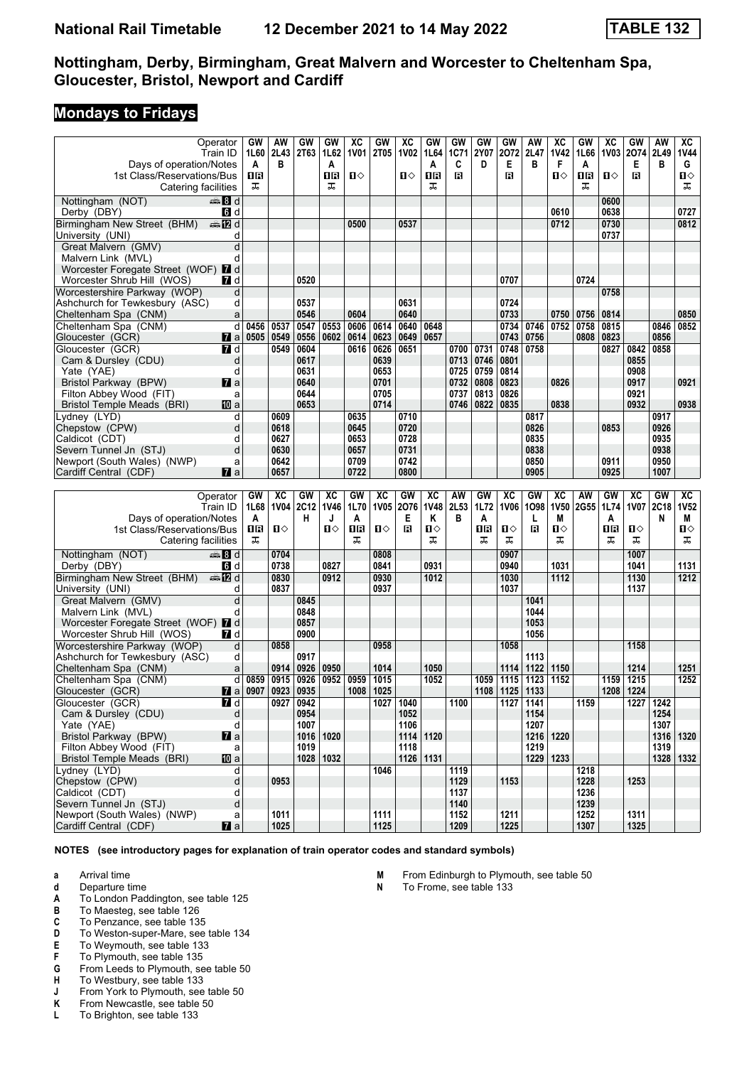#### **Mondays to Fridays**

|                                                      | Operator            | GW   | AW           | GW          | GW          | ХC          | GW           | ХC          | GW          | <b>GW</b>    | GW   | GW           | AW          | хc          | GW           | хc   | GW           | AW          | ХC          |
|------------------------------------------------------|---------------------|------|--------------|-------------|-------------|-------------|--------------|-------------|-------------|--------------|------|--------------|-------------|-------------|--------------|------|--------------|-------------|-------------|
|                                                      | Train ID            | 1L60 | 2L43         | <b>2T63</b> | 1L62        | <b>1V01</b> | 2T05         | <b>1V02</b> | 1L64        | 1C71         | 2Y07 | 2072         | 2L47        | <b>1V42</b> | 1L66         |      | 1V03 2O74    | 2L49        | <b>1V44</b> |
| Days of operation/Notes                              |                     | A    | в            |             | A           |             |              |             | A           | C            | D    | Е            | В           | F           | A            |      | Е            | в           | G           |
| 1st Class/Reservations/Bus                           |                     | 1R   |              |             | 1R          | ப⇔          |              | ்ப          | 0 B         | в            |      | в            |             | ்ப          | 1R           | ப⇔   | в            |             | Ⅱ♦          |
|                                                      |                     |      |              |             |             |             |              |             |             |              |      |              |             |             |              |      |              |             |             |
| Catering facilities                                  |                     | ᠼ    |              |             | ᠼ           |             |              |             | ᠼ           |              |      |              |             |             | ᠼ            |      |              |             | ᠼ           |
| Nottingham (NOT)                                     | ্ষী d               |      |              |             |             |             |              |             |             |              |      |              |             |             |              | 0600 |              |             |             |
|                                                      | <b>d</b> d          |      |              |             |             |             |              |             |             |              |      |              |             | 0610        |              | 0638 |              |             | 0727        |
| Derby (DBY)                                          |                     |      |              |             |             |             |              |             |             |              |      |              |             |             |              |      |              |             |             |
| Birmingham New Street (BHM)                          | nnen <b>na</b> d    |      |              |             |             | 0500        |              | 0537        |             |              |      |              |             | 0712        |              | 0730 |              |             | 0812        |
| University (UNI)                                     | d                   |      |              |             |             |             |              |             |             |              |      |              |             |             |              | 0737 |              |             |             |
| Great Malvern (GMV)                                  | d                   |      |              |             |             |             |              |             |             |              |      |              |             |             |              |      |              |             |             |
|                                                      |                     |      |              |             |             |             |              |             |             |              |      |              |             |             |              |      |              |             |             |
| Malvern Link (MVL)                                   | d                   |      |              |             |             |             |              |             |             |              |      |              |             |             |              |      |              |             |             |
| Worcester Foregate Street (WOF) 7 d                  |                     |      |              |             |             |             |              |             |             |              |      |              |             |             |              |      |              |             |             |
| Worcester Shrub Hill (WOS)                           | 7 d                 |      |              | 0520        |             |             |              |             |             |              |      | 0707         |             |             | 0724         |      |              |             |             |
| Worcestershire Parkway (WOP)                         | d                   |      |              |             |             |             |              |             |             |              |      |              |             |             |              | 0758 |              |             |             |
|                                                      |                     |      |              | 0537        |             |             |              | 0631        |             |              |      | 0724         |             |             |              |      |              |             |             |
| Ashchurch for Tewkesbury (ASC)                       | d                   |      |              |             |             |             |              |             |             |              |      |              |             |             |              |      |              |             |             |
| Cheltenham Spa (CNM)                                 | a                   |      |              | 0546        |             | 0604        |              | 0640        |             |              |      | 0733         |             | 0750        | 0756         | 0814 |              |             | 0850        |
| Cheltenham Spa (CNM)                                 | d                   | 0456 | 0537         | 0547        | 0553        | 0606        | 0614         | 0640        | 0648        |              |      | 0734         | 0746        | 0752        | 0758         | 0815 |              | 0846        | 0852        |
| Gloucester (GCR)                                     | $\mathbf{z}$ a      | 0505 | 0549         | 0556        | 0602        | 0614        | 0623         | 0649        | 0657        |              |      | 0743         | 0756        |             | 0808         | 0823 |              | 0856        |             |
|                                                      |                     |      |              |             |             |             |              |             |             |              |      |              |             |             |              |      |              |             |             |
| Gloucester (GCR)                                     | 7 d                 |      | 0549         | 0604        |             | 0616        | 0626         | 0651        |             | 0700         | 0731 | 0748         | 0758        |             |              | 0827 | 0842         | 0858        |             |
| Cam & Dursley (CDU)                                  | d                   |      |              | 0617        |             |             | 0639         |             |             | 0713         | 0746 | 0801         |             |             |              |      | 0855         |             |             |
| Yate (YAE)                                           | d                   |      |              | 0631        |             |             | 0653         |             |             | 0725         | 0759 | 0814         |             |             |              |      | 0908         |             |             |
| Bristol Parkway (BPW)                                | <b>7</b> a          |      |              | 0640        |             |             | 0701         |             |             | 0732         | 0808 | 0823         |             | 0826        |              |      | 0917         |             | 0921        |
| Filton Abbey Wood (FIT)                              |                     |      |              | 0644        |             |             | 0705         |             |             | 0737         | 0813 | 0826         |             |             |              |      | 0921         |             |             |
|                                                      | a                   |      |              |             |             |             |              |             |             |              |      |              |             |             |              |      |              |             |             |
| <b>Bristol Temple Meads (BRI)</b>                    | 100 a               |      |              | 0653        |             |             | 0714         |             |             | 0746         | 0822 | 0835         |             | 0838        |              |      | 0932         |             | 0938        |
| Lydney (LYD)                                         | d                   |      | 0609         |             |             | 0635        |              | 0710        |             |              |      |              | 0817        |             |              |      |              | 0917        |             |
| Chepstow (CPW)                                       | d                   |      | 0618         |             |             | 0645        |              | 0720        |             |              |      |              | 0826        |             |              | 0853 |              | 0926        |             |
| Caldicot (CDT)                                       | d                   |      | 0627         |             |             | 0653        |              | 0728        |             |              |      |              | 0835        |             |              |      |              | 0935        |             |
|                                                      |                     |      |              |             |             |             |              |             |             |              |      |              |             |             |              |      |              |             |             |
| Severn Tunnel Jn (STJ)                               | d                   |      | 0630         |             |             | 0657        |              | 0731        |             |              |      |              | 0838        |             |              |      |              | 0938        |             |
| Newport (South Wales) (NWP)                          | a                   |      | 0642         |             |             | 0709        |              | 0742        |             |              |      |              | 0850        |             |              | 0911 |              | 0950        |             |
| Cardiff Central (CDF)                                | $\mathbf Z$ a       |      | 0657         |             |             | 0722        |              | 0800        |             |              |      |              | 0905        |             |              | 0925 |              | 1007        |             |
|                                                      |                     |      |              |             |             |             |              |             |             |              |      |              |             |             |              |      |              |             |             |
|                                                      |                     |      |              |             |             |             |              |             |             |              |      |              |             |             |              |      |              |             |             |
|                                                      |                     |      |              |             |             |             |              |             |             |              |      |              |             |             |              |      |              |             |             |
|                                                      | Operator            | GW   | XC           | GW          | XC          | GW          | XC           | GW          | XC          | AW           | GW   | XC           | GW          | XC          | AW           | GW   | <b>XC</b>    | GW          | XC          |
|                                                      | Train ID            | 1L68 | <b>1V04</b>  | 2C12        | <b>1V46</b> | 1L70        | <b>1V05</b>  | 2076        | <b>1V48</b> | 2L53         | 1L72 | 1V06         | 1098        | <b>1V50</b> | 2G55         | 1L74 | <b>1V07</b>  | <b>2C18</b> | <b>1V52</b> |
|                                                      |                     | A    |              | н           | J           | A           |              | Е           | Κ           | B            | A    |              | L           | M           |              | A    |              | N           | M           |
| Days of operation/Notes                              |                     |      |              |             |             |             |              |             |             |              |      |              |             |             |              |      |              |             |             |
| 1st Class/Reservations/Bus                           |                     | 1R   | Ⅱ◇           |             | Ⅱ♦          | 1R          | П⇔           | Β           | Ⅱ♦          |              | 1R   | $\mathbf{u}$ | в           | п⇔          |              | 1R   | п⇔           |             | Ω⇔          |
| Catering facilities                                  |                     | ᠼ    |              |             |             | ᠼ           |              |             | ᠼ           |              | ᠼ    | ᠼ            |             | ᠼ           |              | ᠼ    | ᠼ            |             | ᠼ           |
|                                                      | and 8 d             |      |              |             |             |             |              |             |             |              |      | 0907         |             |             |              |      |              |             |             |
| Nottingham (NOT)                                     |                     |      | 0704         |             |             |             | 0808         |             |             |              |      |              |             |             |              |      | 1007         |             |             |
| Derby (DBY)                                          | <b>6</b> d          |      | 0738         |             | 0827        |             | 0841         |             | 0931        |              |      | 0940         |             | 1031        |              |      | 1041         |             | 1131        |
| Birmingham New Street (BHM)                          | dan <b>in</b> d     |      | 0830         |             | 0912        |             | 0930         |             | 1012        |              |      | 1030         |             | 1112        |              |      | 1130         |             | 1212        |
| University (UNI)                                     | d                   |      | 0837         |             |             |             | 0937         |             |             |              |      | 1037         |             |             |              |      | 1137         |             |             |
|                                                      |                     |      |              |             |             |             |              |             |             |              |      |              |             |             |              |      |              |             |             |
| Great Malvern (GMV)                                  | d                   |      |              | 0845        |             |             |              |             |             |              |      |              | 1041        |             |              |      |              |             |             |
| Malvern Link (MVL)                                   | d                   |      |              | 0848        |             |             |              |             |             |              |      |              | 1044        |             |              |      |              |             |             |
| Worcester Foregate Street (WOF) 7 d                  |                     |      |              | 0857        |             |             |              |             |             |              |      |              | 1053        |             |              |      |              |             |             |
| Worcester Shrub Hill (WOS)                           | 7 d                 |      |              | 0900        |             |             |              |             |             |              |      |              | 1056        |             |              |      |              |             |             |
| Worcestershire Parkway (WOP)                         | d                   |      | 0858         |             |             |             | 0958         |             |             |              |      | 1058         |             |             |              |      | 1158         |             |             |
|                                                      |                     |      |              |             |             |             |              |             |             |              |      |              |             |             |              |      |              |             |             |
| Ashchurch for Tewkesbury (ASC)                       | d                   |      |              | 0917        |             |             |              |             |             |              |      |              | 1113        |             |              |      |              |             |             |
| Cheltenham Spa (CNM)                                 | a                   |      | 0914         | 0926        | 0950        |             | 1014         |             | 1050        |              |      | 1114         | 1122        | 1150        |              |      | 1214         |             | 1251        |
| Cheltenham Spa (CNM)                                 | d                   | 0859 | 0915         | 0926        | 0952        | 0959        | 1015         |             | 1052        |              | 1059 | 1115         | 1123        | 1152        |              | 1159 | 1215         |             | 1252        |
| Gloucester (GCR)                                     | <b>7</b> a          | 0907 | 0923         | 0935        |             | 1008        | 1025         |             |             |              | 1108 | 1125         | 1133        |             |              | 1208 | 1224         |             |             |
|                                                      |                     |      |              |             |             |             |              |             |             |              |      |              |             |             |              |      |              |             |             |
| Gloucester (GCR)                                     | M d                 |      |              | 0927   0942 |             |             |              | 1027 1040   |             | 1100         |      |              | 1127   1141 |             | 1159         |      | 1227         | 1242        |             |
| Cam & Dursley (CDU)                                  | d                   |      |              | 0954        |             |             |              | 1052        |             |              |      |              | 1154        |             |              |      |              | 1254        |             |
| Yate (YAE)                                           | d                   |      |              | 1007        |             |             |              | 1106        |             |              |      |              | 1207        |             |              |      |              | 1307        |             |
| Bristol Parkway (BPW)                                | $\mathbf{z}$ a      |      |              |             | $1016$ 1020 |             |              |             | $1114$ 1120 |              |      |              | 1216        | 1220        |              |      |              |             | 1316   1320 |
|                                                      |                     |      |              |             |             |             |              |             |             |              |      |              |             |             |              |      |              |             |             |
| Filton Abbey Wood (FIT)                              | a                   |      |              | 1019        |             |             |              | 1118        |             |              |      |              | 1219        |             |              |      |              | 1319        |             |
| Bristol Temple Meads (BRI)                           | <b>ID</b> a         |      |              |             | 1028 1032   |             |              |             | 1126 1131   |              |      |              | 1229        | 1233        |              |      |              |             | 1328   1332 |
| Lydney (LYD)                                         | d                   |      |              |             |             |             | 1046         |             |             | 1119         |      |              |             |             | 1218         |      |              |             |             |
| Chepstow (CPW)                                       | d                   |      | 0953         |             |             |             |              |             |             | 1129         |      | 1153         |             |             | 1228         |      | 1253         |             |             |
| Caldicot (CDT)                                       | d                   |      |              |             |             |             |              |             |             | 1137         |      |              |             |             | 1236         |      |              |             |             |
|                                                      |                     |      |              |             |             |             |              |             |             |              |      |              |             |             |              |      |              |             |             |
| Severn Tunnel Jn (STJ)                               | d                   |      |              |             |             |             |              |             |             | 1140         |      |              |             |             | 1239         |      |              |             |             |
| Newport (South Wales) (NWP)<br>Cardiff Central (CDF) | a<br>$\mathbf{z}$ a |      | 1011<br>1025 |             |             |             | 1111<br>1125 |             |             | 1152<br>1209 |      | 1211<br>1225 |             |             | 1252<br>1307 |      | 1311<br>1325 |             |             |

- **a** Arrival time
- **d** Departure time
- **A** To London Paddington, see table 125<br>**B** To Maesteg, see table 126
- 
- **B** To Maesteg, see table 126<br>**C** To Penzance, see table 139
- **C** To Penzance, see table 135<br>**D** To Weston-super-Mare, see **D** To Weston-super-Mare, see table 134<br>**E** To Weymouth, see table 133
- **E** To Weymouth, see table 133<br>**F** To Plymouth, see table 135
- **F** To Plymouth, see table 135<br>**G** From Leeds to Plymouth, se
- **6** From Leeds to Plymouth, see table 50<br>**H** To Westbury, see table 133
- **+** To Westbury, see table 133<br>**4** From York to Plymouth, see
- **J** From York to Plymouth, see table 50<br>**K** From Newcastle, see table 50
- **K** From Newcastle, see table 50<br>**L** To Brighton, see table 133
- To Brighton, see table 133
- **0** From Edinburgh to Plymouth, see table 50<br>**N** To Frome, see table 133
	- To Frome, see table 133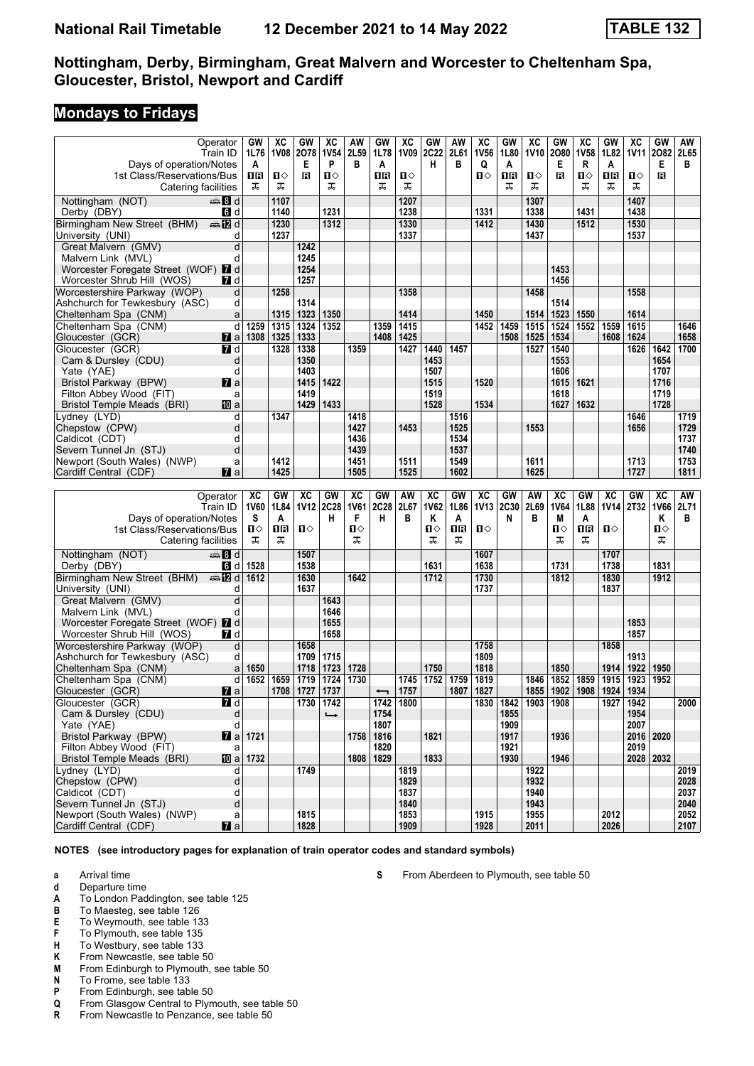### **Mondays to Fridays**

|                                         | Operator              | GW                    | ХC        | GW           | ХC            | AW           | GW                        | XC           | GW          | AW   | $\overline{\text{xc}}$ | <b>GW</b>   | XC             | GW          | XC          | <b>GW</b>    | XC          | GW   | AW   |
|-----------------------------------------|-----------------------|-----------------------|-----------|--------------|---------------|--------------|---------------------------|--------------|-------------|------|------------------------|-------------|----------------|-------------|-------------|--------------|-------------|------|------|
|                                         | Train ID              | 1L76                  | 1V08 2078 |              | <b>1V54</b>   | 2L59         | 1L78                      | 1V09         | <b>2C22</b> | 2L61 | <b>1V56</b>            | 1L80        | 1V10           | 2080        | <b>1V58</b> | 1L82         | <b>1V11</b> | 2082 | 2L65 |
| Days of operation/Notes                 |                       | A                     |           | Е            | P             | в            | A                         |              | н           | в    | Q                      | A           |                | Е           | R           | A            |             | Е    | в    |
| 1st Class/Reservations/Bus              |                       | 1R                    | п⇔        | в            | П⇔            |              | 1R                        | п⇔           |             |      | Ⅱ♦                     | 1R          | п⇔             | Β           | Ω⇔          | 1R           | Ω⇔          | в    |      |
| Catering facilities                     |                       | ᠼ                     | ᠼ         |              | ᠼ             |              | ᠼ                         | ᠼ            |             |      |                        | ᠼ           | ᠼ              |             | ᠼ           | ᠼ            | ᠼ           |      |      |
|                                         |                       |                       |           |              |               |              |                           |              |             |      |                        |             |                |             |             |              |             |      |      |
| Nottingham (NOT)                        | ্ষী d                 |                       | 1107      |              |               |              |                           | 1207         |             |      |                        |             | 1307           |             |             |              | 1407        |      |      |
| Derby (DBY)                             | <b>G</b> d            |                       | 1140      |              | 1231          |              |                           | 1238         |             |      | 1331                   |             | 1338           |             | 1431        |              | 1438        |      |      |
| Birmingham New Street (BHM)             | <b>en 12</b> d        |                       | 1230      |              | 1312          |              |                           | 1330         |             |      | 1412                   |             | 1430           |             | 1512        |              | 1530        |      |      |
| University (UNI)                        | d                     |                       | 1237      |              |               |              |                           | 1337         |             |      |                        |             | 1437           |             |             |              | 1537        |      |      |
| Great Malvern (GMV)                     | d                     |                       |           | 1242         |               |              |                           |              |             |      |                        |             |                |             |             |              |             |      |      |
| Malvern Link (MVL)                      | d                     |                       |           | 1245         |               |              |                           |              |             |      |                        |             |                |             |             |              |             |      |      |
| Worcester Foregate Street (WOF) 7 d     |                       |                       |           | 1254         |               |              |                           |              |             |      |                        |             |                | 1453        |             |              |             |      |      |
| Worcester Shrub Hill (WOS)              | <b>7</b> d            |                       |           | 1257         |               |              |                           |              |             |      |                        |             |                | 1456        |             |              |             |      |      |
| Worcestershire Parkway (WOP)            | d                     |                       | 1258      |              |               |              |                           | 1358         |             |      |                        |             | 1458           |             |             |              | 1558        |      |      |
| Ashchurch for Tewkesbury (ASC)          | d                     |                       |           | 1314         |               |              |                           |              |             |      |                        |             |                | 1514        |             |              |             |      |      |
| Cheltenham Spa (CNM)                    | a                     |                       | 1315      | 1323         | 1350          |              |                           | 1414         |             |      | 1450                   |             | 1514           | 1523        | 1550        |              | 1614        |      |      |
| Cheltenham Spa (CNM)                    | d                     | 1259                  | 1315      | 1324         | 1352          |              | 1359                      | 1415         |             |      | 1452                   | 1459        | 1515           | 1524        | 1552        | 1559         | 1615        |      | 1646 |
| Gloucester (GCR)                        | <b>7</b> a            | 1308                  | 1325      | 1333         |               |              | 1408                      | 1425         |             |      |                        | 1508        | 1525           | 1534        |             | 1608         | 1624        |      | 1658 |
| Gloucester (GCR)                        | <b>7</b> d            |                       | 1328      | 1338         |               | 1359         |                           | 1427         | 1440        | 1457 |                        |             | 1527           | 1540        |             |              | 1626        | 1642 | 1700 |
| Cam & Dursley (CDU)                     | d                     |                       |           | 1350         |               |              |                           |              | 1453        |      |                        |             |                | 1553        |             |              |             | 1654 |      |
| Yate (YAE)                              | d                     |                       |           | 1403         |               |              |                           |              | 1507        |      |                        |             |                | 1606        |             |              |             | 1707 |      |
| Bristol Parkway (BPW)                   | $\mathbf{z}$ a        |                       |           | 1415         | 1422          |              |                           |              | 1515        |      | 1520                   |             |                | 1615        | 1621        |              |             | 1716 |      |
| Filton Abbey Wood (FIT)                 | a                     |                       |           | 1419         |               |              |                           |              | 1519        |      |                        |             |                | 1618        |             |              |             | 1719 |      |
| <b>Bristol Temple Meads (BRI)</b>       | 10 a                  |                       |           | 1429         | 1433          |              |                           |              | 1528        |      | 1534                   |             |                | 1627        | 1632        |              |             | 1728 |      |
| Lydney (LYD)                            | d                     |                       | 1347      |              |               | 1418         |                           |              |             | 1516 |                        |             |                |             |             |              | 1646        |      | 1719 |
| Chepstow (CPW)                          | d                     |                       |           |              |               | 1427         |                           | 1453         |             | 1525 |                        |             | 1553           |             |             |              | 1656        |      | 1729 |
| Caldicot (CDT)                          | d                     |                       |           |              |               | 1436         |                           |              |             | 1534 |                        |             |                |             |             |              |             |      | 1737 |
| Severn Tunnel Jn (STJ)                  | d                     |                       |           |              |               | 1439         |                           |              |             | 1537 |                        |             |                |             |             |              |             |      | 1740 |
| Newport (South Wales) (NWP)             | a                     |                       | 1412      |              |               | 1451         |                           | 1511         |             | 1549 |                        |             | 1611           |             |             |              | 1713        |      | 1753 |
| Cardiff Central (CDF)                   | <b>7</b> a            |                       | 1425      |              |               | 1505         |                           | 1525         |             | 1602 |                        |             | 1625           |             |             |              | 1727        |      | 1811 |
|                                         |                       |                       |           |              |               |              |                           |              |             |      |                        |             |                |             |             |              |             |      |      |
|                                         |                       |                       |           |              |               |              |                           |              |             |      |                        |             |                |             |             |              |             |      |      |
|                                         | Operator              | XC                    | GW        | XC           | GW            | XC           | GW                        | AW           | XC          | GW   | XC                     | GW          | AW             | XC          | GW          | XC           | GW          | XC   | AW   |
|                                         | Train ID              | 1V60                  | 1L84      | <b>1V12</b>  | <b>2C28</b>   | <b>1V61</b>  | 2C28                      | 2L67         | <b>1V62</b> | 1L86 | <b>1V13</b>            | <b>2C30</b> | 2L69           | <b>1V64</b> | 1L88        |              | 1V14 2T32   | 1V66 | 2L71 |
| Days of operation/Notes                 |                       | S                     | A         |              | н             | F            | н                         | в            | Κ           | A    |                        | N           | в              | M           | A           |              |             | Κ    | в    |
| 1st Class/Reservations/Bus              |                       | $\mathbf{u}$          | 16        | п⇔           |               | $\mathbf{u}$ |                           |              | ்ப          | ΠR   | П⇔                     |             |                | п⇔          | 1R          | П⇔           |             | п⇔   |      |
| Catering facilities                     |                       | ᠼ                     | ᠼ         |              |               | ᠼ            |                           |              | ᠼ           | ᠼ    |                        |             |                | ᠼ           | ᠼ           |              |             | ᠼ    |      |
| Nottingham (NOT)                        | de 8 d                |                       |           | 1507         |               |              |                           |              |             |      | 1607                   |             |                |             |             | 1707         |             |      |      |
| Derby (DBY)                             | 6 d                   | 1528                  |           | 1538         |               |              |                           |              | 1631        |      | 1638                   |             |                | 1731        |             | 1738         |             | 1831 |      |
| Birmingham New Street (BHM)             | nnen na markata di    | 1612                  |           | 1630         |               | 1642         |                           |              | 1712        |      | 1730                   |             |                | 1812        |             | 1830         |             | 1912 |      |
| University (UNI)                        | d                     |                       |           | 1637         |               |              |                           |              |             |      | 1737                   |             |                |             |             | 1837         |             |      |      |
| Great Malvern (GMV)                     | d                     |                       |           |              | 1643          |              |                           |              |             |      |                        |             |                |             |             |              |             |      |      |
| Malvern Link (MVL)                      | d                     |                       |           |              | 1646          |              |                           |              |             |      |                        |             |                |             |             |              |             |      |      |
| Worcester Foregate Street (WOF) 7 d     |                       |                       |           |              | 1655          |              |                           |              |             |      |                        |             |                |             |             |              | 1853        |      |      |
| Worcester Shrub Hill (WOS)              | 7 d                   |                       |           |              | 1658          |              |                           |              |             |      |                        |             |                |             |             |              | 1857        |      |      |
| Worcestershire Parkway (WOP)            | d                     |                       |           | 1658         |               |              |                           |              |             |      | 1758                   |             |                |             |             | 1858         |             |      |      |
| Ashchurch for Tewkesbury (ASC)          | d                     |                       |           | 1709         | 1715          |              |                           |              |             |      | 1809                   |             |                |             |             |              | 1913        |      |      |
| Cheltenham Spa (CNM)                    | a                     | 1650                  |           | 1718         | 1723          | 1728         |                           |              | 1750        |      | 1818                   |             |                | 1850        |             | 1914         | 1922        | 1950 |      |
| Cheltenham Spa (CNM)                    | d                     | 1652                  | 1659      | 1719         | 1724          | 1730         |                           | 1745         | 1752        | 1759 | 1819                   |             | 1846           | 1852        | 1859        | 1915         | 1923        | 1952 |      |
| Gloucester (GCR)                        | <b>M</b> a            |                       | 1708      | 1727         | 1737          |              | $\overline{\phantom{0}}$  | 1757         |             | 1807 | 1827                   |             | 1855           | 1902        | 1908        | 1924         | 1934        |      |      |
|                                         | <b>74</b> d           |                       |           |              | 1730 1742     |              |                           | 1800         |             |      | 1830                   |             | 1842 1903 1908 |             |             |              | 1927 1942   |      | 2000 |
| Gloucester (GCR)<br>Cam & Dursley (CDU) | d                     |                       |           |              | $\rightarrow$ |              | $\overline{1742}$<br>1754 |              |             |      |                        | 1855        |                |             |             |              | 1954        |      |      |
| Yate (YAE)                              | d                     |                       |           |              |               |              | 1807                      |              |             |      |                        | 1909        |                |             |             |              | 2007        |      |      |
| Bristol Parkway (BPW)                   |                       | $\overline{7}$ a 1721 |           |              |               | 1758         | 1816                      |              | 1821        |      |                        | 1917        |                | 1936        |             |              | 2016 2020   |      |      |
| Filton Abbey Wood (FIT)                 | a                     |                       |           |              |               |              | 1820                      |              |             |      |                        | 1921        |                |             |             |              | 2019        |      |      |
| Bristol Temple Meads (BRI)              | ID a                  | 1732                  |           |              |               |              | 1808 1829                 |              | 1833        |      |                        | 1930        |                | 1946        |             |              | 2028 2032   |      |      |
| Lydney (LYD)                            | d                     |                       |           | 1749         |               |              |                           | 1819         |             |      |                        |             | 1922           |             |             |              |             |      | 2019 |
| Chepstow (CPW)                          | d                     |                       |           |              |               |              |                           | 1829         |             |      |                        |             | 1932           |             |             |              |             |      | 2028 |
| Caldicot (CDT)                          | d                     |                       |           |              |               |              |                           | 1837         |             |      |                        |             | 1940           |             |             |              |             |      | 2037 |
| Severn Tunnel Jn (STJ)                  | d                     |                       |           |              |               |              |                           | 1840         |             |      |                        |             | 1943           |             |             |              |             |      | 2040 |
| Newport (South Wales) (NWP)             | a<br>$\blacksquare$ a |                       |           | 1815<br>1828 |               |              |                           | 1853<br>1909 |             |      | 1915<br>1928           |             | 1955           |             |             | 2012<br>2026 |             |      | 2052 |

**NOTES (see introductory pages for explanation of train operator codes and standard symbols)**

- **a** Arrival time
- **d** Departure time
- **A** To London Paddington, see table 125<br>**B** To Maested, see table 126
- **B** To Maesteg, see table 126<br>**E** To Weymouth, see table 13
- **E** To Weymouth, see table 133<br>**F** To Plymouth, see table 135
- **F** To Plymouth, see table 135<br>**H** To Westbury, see table 133
- **+** To Westbury, see table 133<br>**K** From Newcastle, see table 5
- **K** From Newcastle, see table 50<br>**M** From Edinburgh to Plymouth, s
- **M** From Edinburgh to Plymouth, see table 50<br>**N** To Frome, see table 133
- **N** To Frome, see table 133<br>**P** From Edinburgh, see tab
- **P** From Edinburgh, see table 50<br>**Q** From Glasgow Central to Plyn
- **4** From Glasgow Central to Plymouth, see table 50<br>**R** From Newcastle to Penzance, see table 50
- From Newcastle to Penzance, see table 50

**6** From Aberdeen to Plymouth, see table 50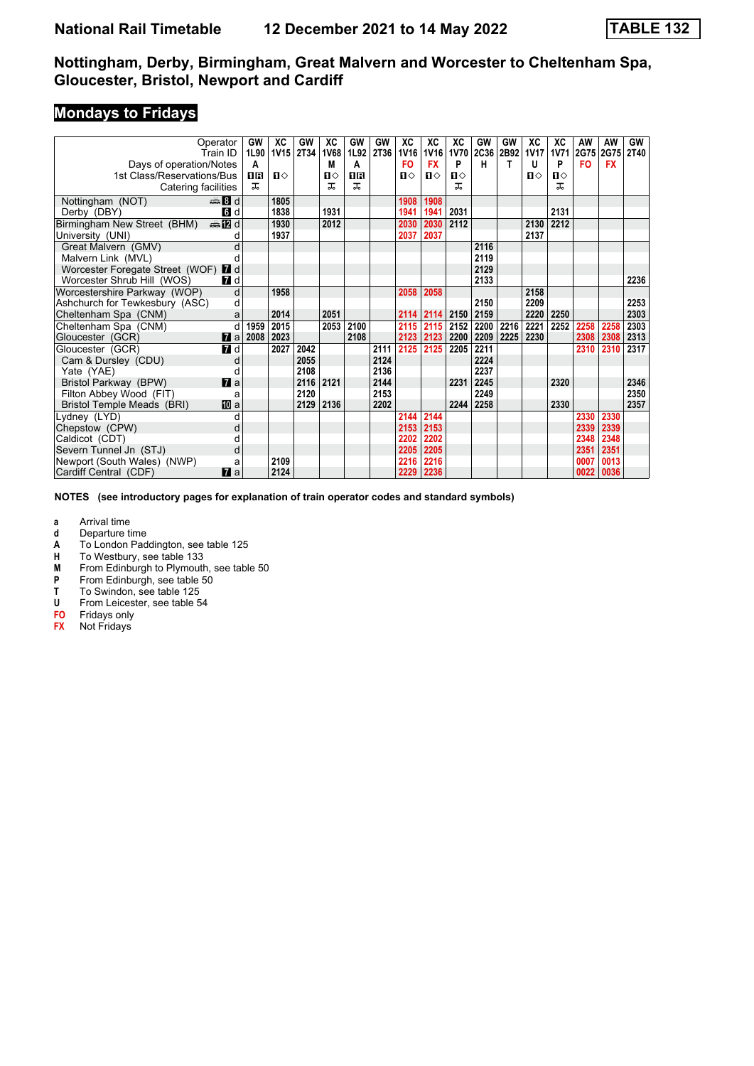# **Mondays to Fridays**

|                                     | Operator       | GW   | XC           | GW   | XC   | GW   | GW   | XC           | XC          | XC           | GW          | GW   | XC        | XC           | AW        | AW        | GW   |
|-------------------------------------|----------------|------|--------------|------|------|------|------|--------------|-------------|--------------|-------------|------|-----------|--------------|-----------|-----------|------|
|                                     | Train ID       |      | 1L90 1V15    | 2T34 | 1V68 | 1L92 | 2T36 | <b>1V16</b>  | <b>1V16</b> | <b>1V70</b>  | <b>2C36</b> |      | 2B92 1V17 | <b>1V71</b>  | 2G75      | 2G75      | 2T40 |
| Days of operation/Notes             |                | A    |              |      | м    | A    |      | <b>FO</b>    | <b>FX</b>   | P            | н           | т    | U         | P            | <b>FO</b> | <b>FX</b> |      |
| 1st Class/Reservations/Bus          |                | 18   | $\mathbf{u}$ |      | П⇔   | ПR   |      | $\mathbf{u}$ | $\Pi$       | $\mathbf{u}$ |             |      | п⇔        | $\mathbf{u}$ |           |           |      |
| Catering facilities                 |                | ᠼ    |              |      | ᠼ    | ᅚ    |      |              |             | ᠼ            |             |      |           | ᠼ            |           |           |      |
| Nottingham (NOT)                    | dan Bo         |      | 1805         |      |      |      |      | 1908         | 1908        |              |             |      |           |              |           |           |      |
| Derby (DBY)                         | 6 d            |      | 1838         |      | 1931 |      |      | 1941         | 1941        | 2031         |             |      |           | 2131         |           |           |      |
| Birmingham New Street (BHM)         | nnen 1720 d    |      | 1930         |      | 2012 |      |      | 2030         | 2030        | 2112         |             |      | 2130      | 2212         |           |           |      |
| University (UNI)                    | d              |      | 1937         |      |      |      |      | 2037         | 2037        |              |             |      | 2137      |              |           |           |      |
| Great Malvern (GMV)                 | d              |      |              |      |      |      |      |              |             |              | 2116        |      |           |              |           |           |      |
| Malvern Link (MVL)                  |                |      |              |      |      |      |      |              |             |              | 2119        |      |           |              |           |           |      |
| Worcester Foregate Street (WOF) 7 d |                |      |              |      |      |      |      |              |             |              | 2129        |      |           |              |           |           |      |
| Worcester Shrub Hill (WOS)          | 7 d            |      |              |      |      |      |      |              |             |              | 2133        |      |           |              |           |           | 2236 |
| Worcestershire Parkway (WOP)        | d              |      | 1958         |      |      |      |      | 2058         | 2058        |              |             |      | 2158      |              |           |           |      |
| Ashchurch for Tewkesbury (ASC)      | d              |      |              |      |      |      |      |              |             |              | 2150        |      | 2209      |              |           |           | 2253 |
| Cheltenham Spa (CNM)                | a              |      | 2014         |      | 2051 |      |      | 2114         | 2114        | 2150         | 2159        |      | 2220      | 2250         |           |           | 2303 |
| Cheltenham Spa (CNM)                | d              | 1959 | 2015         |      | 2053 | 2100 |      | 2115         | 2115        | 2152         | 2200        | 2216 | 2221      | 2252         | 2258      | 2258      | 2303 |
| Gloucester (GCR)                    | $\mathbf{z}$ a | 2008 | 2023         |      |      | 2108 |      | 2123         | 2123        | 2200         | 2209        | 2225 | 2230      |              | 2308      | 2308      | 2313 |
| Gloucester (GCR)                    | 7 d            |      | 2027         | 2042 |      |      | 2111 | 2125         | 2125        | 2205         | 2211        |      |           |              | 2310      | 2310      | 2317 |
| Cam & Dursley (CDU)                 | d              |      |              | 2055 |      |      | 2124 |              |             |              | 2224        |      |           |              |           |           |      |
| Yate (YAE)                          | d              |      |              | 2108 |      |      | 2136 |              |             |              | 2237        |      |           |              |           |           |      |
| Bristol Parkway (BPW)               | $\mathbf{z}$ a |      |              | 2116 | 2121 |      | 2144 |              |             | 2231         | 2245        |      |           | 2320         |           |           | 2346 |
| Filton Abbey Wood (FIT)             | a              |      |              | 2120 |      |      | 2153 |              |             |              | 2249        |      |           |              |           |           | 2350 |
| <b>Bristol Temple Meads (BRI)</b>   | <b>ID</b> a    |      |              | 2129 | 2136 |      | 2202 |              |             | 2244         | 2258        |      |           | 2330         |           |           | 2357 |
| Lydney (LYD)                        | d              |      |              |      |      |      |      | 2144         | 2144        |              |             |      |           |              | 2330      | 2330      |      |
| Chepstow (CPW)                      | d              |      |              |      |      |      |      | 2153         | 2153        |              |             |      |           |              | 2339      | 2339      |      |
| Caldicot (CDT)                      |                |      |              |      |      |      |      | 2202         | 2202        |              |             |      |           |              | 2348      | 2348      |      |
| Severn Tunnel Jn (STJ)              | d              |      |              |      |      |      |      | 2205         | 2205        |              |             |      |           |              | 2351      | 2351      |      |
| Newport (South Wales) (NWP)         | a              |      | 2109         |      |      |      |      | 2216         | 2216        |              |             |      |           |              | 0007      | 0013      |      |
| Cardiff Central (CDF)               | $\mathbf{z}$ a |      | 2124         |      |      |      |      | 2229         | 2236        |              |             |      |           |              | 0022      | 0036      |      |

**NOTES (see introductory pages for explanation of train operator codes and standard symbols)**

- **d** Departure time
- **A** To London Paddington, see table 125<br>**H** To Westbury, see table 133
- **+** To Westbury, see table 133<br>**M** From Edinburgh to Plymouth
- **M** From Edinburgh to Plymouth, see table 50<br>**P** From Edinburgh, see table 50
- **P** From Edinburgh, see table 50<br>**T** To Swindon, see table 125
- **T** To Swindon, see table 125<br>**U** From Leicester, see table 5
- From Leicester, see table 54
- **F0** Fridays only
- **FX** Not Fridays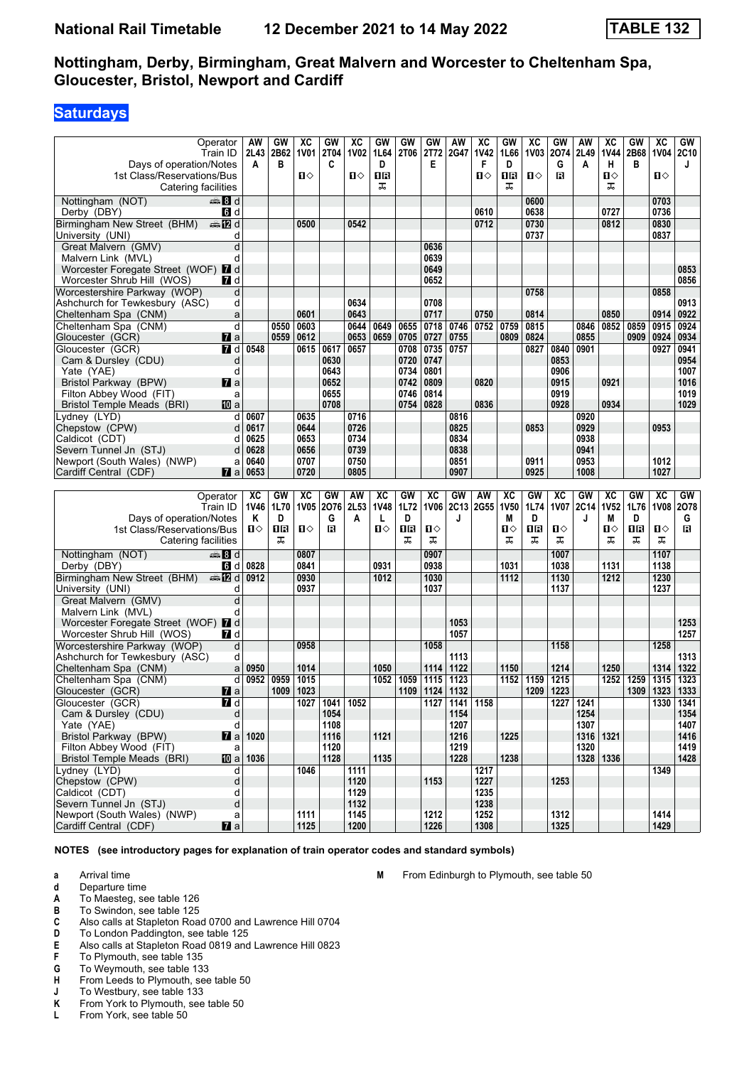# **Saturdays**

|                                                      | Operator              | AW                | GW   | XC           | GW             | XC           | GW   | GW   | GW           | AW             | $\overline{\text{xc}}$ | <b>GW</b>   | XC           | GW           | AW          | хc        | GW   | $\overline{\text{xc}}$ | GW        |
|------------------------------------------------------|-----------------------|-------------------|------|--------------|----------------|--------------|------|------|--------------|----------------|------------------------|-------------|--------------|--------------|-------------|-----------|------|------------------------|-----------|
|                                                      | Train ID              | 2L43              | 2B62 | <b>1V01</b>  | <b>2T04</b>    | <b>1V02</b>  | 1L64 | 2T06 | 2T72         | <b>2G47</b>    | <b>1V42</b>            | 1L66        | <b>1V03</b>  | 2074         | 2L49        | 1V44      | 2B68 | <b>1V04</b>            | 2C10      |
| Days of operation/Notes                              |                       | A                 | в    |              | C              |              | D    |      | Е            |                | F                      | D           |              | G            | A           | н         | в    |                        | J         |
| 1st Class/Reservations/Bus                           |                       |                   |      | ்ப           |                | П⇔           | 0R   |      |              |                | 0                      | 1R          | $\mathbf{u}$ | в            |             | Ⅱ◇        |      | п⇔                     |           |
| Catering facilities                                  |                       |                   |      |              |                |              | ᠼ    |      |              |                |                        | ᠼ           |              |              |             | ᠼ         |      |                        |           |
|                                                      |                       |                   |      |              |                |              |      |      |              |                |                        |             |              |              |             |           |      |                        |           |
| Nottingham (NOT)                                     | de 8 d                |                   |      |              |                |              |      |      |              |                |                        |             | 0600         |              |             |           |      | 0703                   |           |
| Derby (DBY)                                          | 6 d                   |                   |      |              |                |              |      |      |              |                | 0610                   |             | 0638         |              |             | 0727      |      | 0736                   |           |
| Birmingham New Street (BHM)                          | <b>⊯ 12</b> d         |                   |      | 0500         |                | 0542         |      |      |              |                | 0712                   |             | 0730         |              |             | 0812      |      | 0830                   |           |
| University (UNI)                                     | d                     |                   |      |              |                |              |      |      |              |                |                        |             | 0737         |              |             |           |      | 0837                   |           |
| Great Malvern (GMV)                                  | d                     |                   |      |              |                |              |      |      | 0636         |                |                        |             |              |              |             |           |      |                        |           |
|                                                      | d                     |                   |      |              |                |              |      |      | 0639         |                |                        |             |              |              |             |           |      |                        |           |
| Malvern Link (MVL)                                   |                       |                   |      |              |                |              |      |      |              |                |                        |             |              |              |             |           |      |                        |           |
| Worcester Foregate Street (WOF) 7 d                  |                       |                   |      |              |                |              |      |      | 0649         |                |                        |             |              |              |             |           |      |                        | 0853      |
| Worcester Shrub Hill (WOS)                           | 7 d                   |                   |      |              |                |              |      |      | 0652         |                |                        |             |              |              |             |           |      |                        | 0856      |
| Worcestershire Parkway (WOP)                         | d                     |                   |      |              |                |              |      |      |              |                |                        |             | 0758         |              |             |           |      | 0858                   |           |
| Ashchurch for Tewkesbury (ASC)                       | d                     |                   |      |              |                | 0634         |      |      | 0708         |                |                        |             |              |              |             |           |      |                        | 0913      |
| Cheltenham Spa (CNM)                                 | a                     |                   |      | 0601         |                | 0643         |      |      | 0717         |                | 0750                   |             | 0814         |              |             | 0850      |      | 0914                   | 0922      |
| Cheltenham Spa (CNM)                                 | d                     |                   | 0550 | 0603         |                | 0644         | 0649 | 0655 | 0718         | 0746           | 0752                   | 0759        | 0815         |              | 0846        | 0852      | 0859 | 0915                   | 0924      |
|                                                      |                       |                   |      |              |                |              |      |      |              |                |                        |             |              |              |             |           |      |                        |           |
| Gloucester (GCR)                                     | <b>7</b> a            |                   | 0559 | 0612         |                | 0653         | 0659 | 0705 | 0727         | 0755           |                        | 0809        | 0824         |              | 0855        |           | 0909 | 0924                   | 0934      |
| Gloucester (GCR)                                     | 7 d                   | 0548              |      | 0615         | 0617           | 0657         |      | 0708 | 0735         | 0757           |                        |             | 0827         | 0840         | 0901        |           |      | 0927                   | 0941      |
| Cam & Dursley (CDU)                                  | d                     |                   |      |              | 0630           |              |      | 0720 | 0747         |                |                        |             |              | 0853         |             |           |      |                        | 0954      |
| Yate (YAE)                                           | d                     |                   |      |              | 0643           |              |      | 0734 | 0801         |                |                        |             |              | 0906         |             |           |      |                        | 1007      |
| Bristol Parkway (BPW)                                | <b>7</b> a            |                   |      |              | 0652           |              |      | 0742 | 0809         |                | 0820                   |             |              | 0915         |             | 0921      |      |                        | 1016      |
| Filton Abbey Wood (FIT)                              | a                     |                   |      |              | 0655           |              |      | 0746 | 0814         |                |                        |             |              | 0919         |             |           |      |                        | 1019      |
| <b>Bristol Temple Meads (BRI)</b>                    | 10 a                  |                   |      |              | 0708           |              |      | 0754 | 0828         |                | 0836                   |             |              | 0928         |             | 0934      |      |                        | 1029      |
|                                                      |                       |                   |      |              |                |              |      |      |              |                |                        |             |              |              |             |           |      |                        |           |
| Lvdnev (LYD)                                         | d                     | 0607              |      | 0635         |                | 0716         |      |      |              | 0816           |                        |             |              |              | 0920        |           |      |                        |           |
| Chepstow (CPW)                                       | d                     | 0617              |      | 0644         |                | 0726         |      |      |              | 0825           |                        |             | 0853         |              | 0929        |           |      | 0953                   |           |
| Caldicot (CDT)                                       | d                     | 0625              |      | 0653         |                | 0734         |      |      |              | 0834           |                        |             |              |              | 0938        |           |      |                        |           |
| Severn Tunnel Jn (STJ)                               | d                     | 0628              |      | 0656         |                | 0739         |      |      |              | 0838           |                        |             |              |              | 0941        |           |      |                        |           |
| Newport (South Wales) (NWP)                          | a                     | 0640              |      | 0707         |                | 0750         |      |      |              | 0851           |                        |             | 0911         |              | 0953        |           |      | 1012                   |           |
| Cardiff Central (CDF)                                | <b>7</b> a            | 0653              |      | 0720         |                | 0805         |      |      |              | 0907           |                        |             | 0925         |              | 1008        |           |      | 1027                   |           |
|                                                      |                       |                   |      |              |                |              |      |      |              |                |                        |             |              |              |             |           |      |                        |           |
|                                                      |                       |                   |      |              |                |              |      |      |              |                |                        |             |              |              |             |           |      |                        |           |
|                                                      |                       |                   |      |              |                |              |      |      |              |                |                        |             |              |              |             |           |      |                        |           |
|                                                      | Operator              | XC                | GW   | XC           | GW             | AW           | XC   | GW   | XC           | GW             | AW                     | XC          | GW           | XC           | GW          | XC        | GW   | XC                     | GW        |
|                                                      | Train ID              | 1V46              | 1L70 | <b>1V05</b>  | 2076           | 2L53         | 1V48 | 1L72 | <b>1V06</b>  | <b>2C13</b>    | 2G55                   | <b>1V50</b> | 1L74         | <b>1V07</b>  | <b>2C14</b> | 1V52      | 1L76 | <b>1V08</b>            | 2078      |
| Days of operation/Notes                              |                       | Κ                 | D    |              | G              | Α            | L    | D    |              | J              |                        | M           | D            |              | J           | M         | D    |                        | G         |
| 1st Class/Reservations/Bus                           |                       | ்ப                | 1R   | Ⅱ◇           | B              |              | п⇔   | ΠR   | Ⅱ◇           |                |                        | Ⅱ♦          | ΠR           | Ⅱ◇           |             | Ⅱ♦        | 16   | Ⅱ◇                     | в         |
|                                                      |                       |                   | ᠼ    |              |                |              |      | ᠼ    | ᠼ            |                |                        | ᠼ           | ᠼ            | ᠼ            |             | ᠼ         | ᠼ    | ᠼ                      |           |
| Catering facilities                                  |                       |                   |      |              |                |              |      |      |              |                |                        |             |              |              |             |           |      |                        |           |
| Nottingham (NOT)                                     | d≣ ann                |                   |      | 0807         |                |              |      |      | 0907         |                |                        |             |              | 1007         |             |           |      | 1107                   |           |
| Derby (DBY)                                          | 6 d                   | 0828              |      | 0841         |                |              | 0931 |      | 0938         |                |                        | 1031        |              | 1038         |             | 1131      |      | 1138                   |           |
| Birmingham New Street (BHM)                          | de <b>12</b> d        | 0912              |      | 0930         |                |              | 1012 |      | 1030         |                |                        | 1112        |              | 1130         |             | 1212      |      | 1230                   |           |
| University (UNI)                                     | d                     |                   |      | 0937         |                |              |      |      | 1037         |                |                        |             |              | 1137         |             |           |      | 1237                   |           |
| Great Malvern (GMV)                                  | d                     |                   |      |              |                |              |      |      |              |                |                        |             |              |              |             |           |      |                        |           |
|                                                      |                       |                   |      |              |                |              |      |      |              |                |                        |             |              |              |             |           |      |                        |           |
| Malvern Link (MVL)                                   | d                     |                   |      |              |                |              |      |      |              |                |                        |             |              |              |             |           |      |                        |           |
| Worcester Foregate Street (WOF) 7 d                  |                       |                   |      |              |                |              |      |      |              | 1053           |                        |             |              |              |             |           |      |                        | 1253      |
| Worcester Shrub Hill (WOS)                           | 7 d                   |                   |      |              |                |              |      |      |              | 1057           |                        |             |              |              |             |           |      |                        | 1257      |
| Worcestershire Parkway (WOP)                         | d                     |                   |      | 0958         |                |              |      |      | 1058         |                |                        |             |              | 1158         |             |           |      | 1258                   |           |
| Ashchurch for Tewkesbury (ASC)                       | d                     |                   |      |              |                |              |      |      |              | 1113           |                        |             |              |              |             |           |      |                        | 1313      |
| Cheltenham Spa (CNM)                                 | a                     | 0950              |      | 1014         |                |              | 1050 |      | 1114         | 1122           |                        | 1150        |              | 1214         |             | 1250      |      | 1314                   | 1322      |
| Cheltenham Spa (CNM)                                 | d                     | $\overline{0952}$ | 0959 | 1015         |                |              | 1052 | 1059 | 1115         | 1123           |                        | 1152        | 1159         | 1215         |             | 1252      | 1259 | 1315                   | 1323      |
|                                                      |                       |                   |      |              |                |              |      |      |              |                |                        |             |              |              |             |           |      |                        |           |
| Gloucester (GCR)                                     | <b>M</b> a            |                   | 1009 | 1023         |                |              |      | 1109 | 1124         | 1132           |                        |             | 1209         | 1223         |             |           | 1309 | 1323                   | 1333      |
| Gloucester (GCR)                                     | <b>70 G</b>           |                   |      |              | 1027 1041 1052 |              |      |      |              | 1127 1141 1158 |                        |             |              |              | 1227 1241   |           |      |                        | 1330 1341 |
| Cam & Dursley (CDU)                                  | d                     |                   |      |              | 1054           |              |      |      |              | 1154           |                        |             |              |              | 1254        |           |      |                        | 1354      |
| Yate (YAE)                                           | d                     |                   |      |              | 1108           |              |      |      |              | 1207           |                        |             |              |              | 1307        |           |      |                        | 1407      |
| Bristol Parkway (BPW)                                | $\mathbf{z}$ a        | 1020              |      |              | 1116           |              | 1121 |      |              | 1216           |                        | 1225        |              |              | 1316        | 1321      |      |                        | 1416      |
| Filton Abbey Wood (FIT)                              | a                     |                   |      |              | 1120           |              |      |      |              | 1219           |                        |             |              |              | 1320        |           |      |                        | 1419      |
| <b>Bristol Temple Meads (BRI)</b>                    | <b>ID</b> a           | 1036              |      |              | 1128           |              | 1135 |      |              | 1228           |                        | 1238        |              |              |             | 1328 1336 |      |                        | 1428      |
|                                                      | d                     |                   |      |              |                |              |      |      |              |                |                        |             |              |              |             |           |      | 1349                   |           |
| Lydney (LYD)                                         |                       |                   |      | 1046         |                | 1111         |      |      |              |                | 1217                   |             |              |              |             |           |      |                        |           |
| Chepstow (CPW)                                       | d                     |                   |      |              |                | 1120         |      |      | 1153         |                | 1227                   |             |              | 1253         |             |           |      |                        |           |
| Caldicot (CDT)                                       | d                     |                   |      |              |                | 1129         |      |      |              |                | 1235                   |             |              |              |             |           |      |                        |           |
| Severn Tunnel Jn (STJ)                               | d                     |                   |      |              |                | 1132         |      |      |              |                | 1238                   |             |              |              |             |           |      |                        |           |
| Newport (South Wales) (NWP)<br>Cardiff Central (CDF) | a<br>$\blacksquare$ a |                   |      | 1111<br>1125 |                | 1145<br>1200 |      |      | 1212<br>1226 |                | 1252<br>1308           |             |              | 1312<br>1325 |             |           |      | 1414<br>1429           |           |

**NOTES (see introductory pages for explanation of train operator codes and standard symbols)**

**a** Arrival time

**d** Departure time

**A** To Maesteg, see table 126<br>**B** To Swindon, see table 125

- **B** To Swindon, see table 125
- **C** Also calls at Stapleton Road 0700 and Lawrence Hill 0704
- **D** To London Paddington, see table 125<br>**E** Also calls at Stapleton Road 0819 and
- **E** Also calls at Stapleton Road 0819 and Lawrence Hill 0823<br>**F** To Plymouth, see table 135
- **F** To Plymouth, see table 135<br>**G** To Weymouth, see table 13
- **6** To Weymouth, see table 133<br>**H** From Leeds to Plymouth, see
- **+** From Leeds to Plymouth, see table 50<br>**J** To Westbury, see table 133
- **-** To Westbury, see table 133 **K** From York to Plymouth, see
- **K** From York to Plymouth, see table 50<br>**L** From York, see table 50
- From York, see table 50

**M** From Edinburgh to Plymouth, see table 50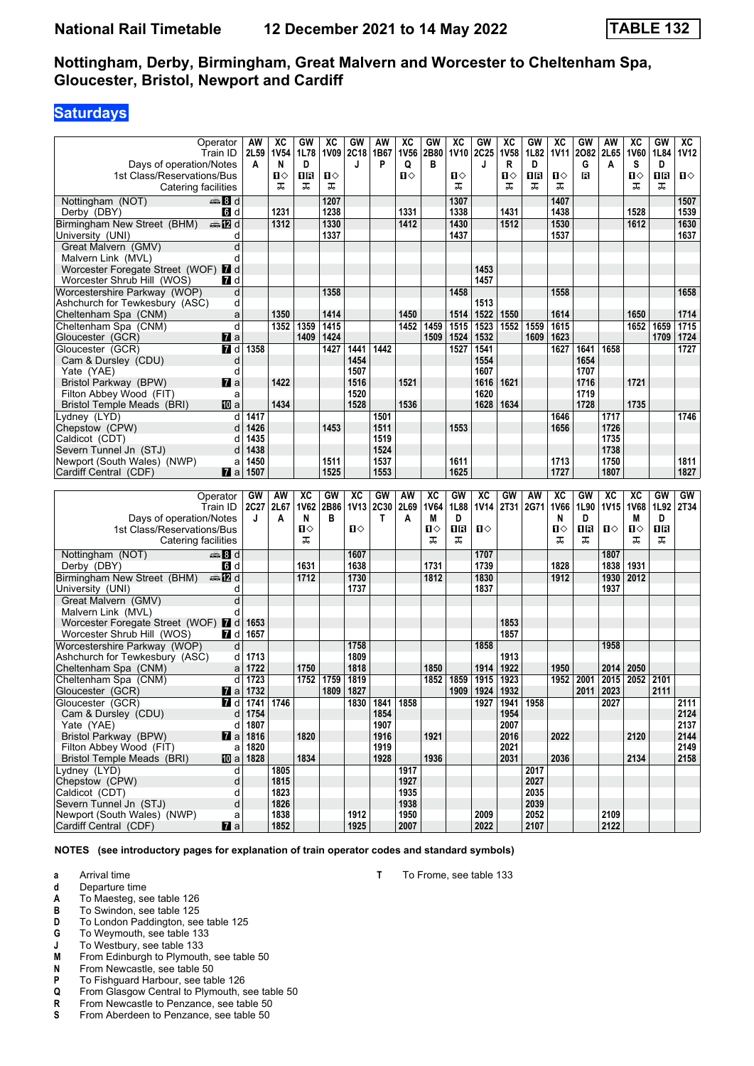# **Saturdays**

|                                                      | Operator              | AW   | ХC           | GW   | ХC   | GW           | AW        | XC           | GW          | $\overline{AC}$ | GW           | XC             | GW           | хc          | GW   | AW           | ХC          | GW   | ХC           |
|------------------------------------------------------|-----------------------|------|--------------|------|------|--------------|-----------|--------------|-------------|-----------------|--------------|----------------|--------------|-------------|------|--------------|-------------|------|--------------|
|                                                      | Train ID              | 2L59 | <b>1V54</b>  | 1L78 |      | 1V09 2C18    | 1B67      | 1V56         | 2B80        | <b>1V10</b>     | 2C25         | <b>1V58</b>    | 1L82         | <b>1V11</b> | 2082 | 2L65         | <b>1V60</b> | 1L84 | <b>1V12</b>  |
| Days of operation/Notes                              |                       | A    | N            | D    |      | J            | P         | Q            | В           |                 | J            | R              | D            |             | G    | A            | s           | D    |              |
| 1st Class/Reservations/Bus                           |                       |      | п⇔           | 18   | ப⇔   |              |           | Ⅱ♦           |             | О               |              | Ⅱ◇             | 0B           | Ⅱ◇          | в    |              | Π           | ΠR   | $\mathbf{u}$ |
| Catering facilities                                  |                       |      | ᅚ            | ᠼ    | ᠼ    |              |           |              |             | ᠼ               |              | ᠼ              | ᠼ            | ᠼ           |      |              | ᠼ           | ᠼ    |              |
| Nottingham (NOT)                                     | ্ষী d                 |      |              |      | 1207 |              |           |              |             | 1307            |              |                |              | 1407        |      |              |             |      | 1507         |
| Derby (DBY)                                          | 6 d                   |      | 1231         |      | 1238 |              |           | 1331         |             | 1338            |              | 1431           |              | 1438        |      |              | 1528        |      | 1539         |
| Birmingham New Street (BHM)                          | <b>en 12</b> d        |      | 1312         |      | 1330 |              |           | 1412         |             | 1430            |              | 1512           |              | 1530        |      |              | 1612        |      | 1630         |
| University (UNI)                                     | d                     |      |              |      | 1337 |              |           |              |             | 1437            |              |                |              | 1537        |      |              |             |      | 1637         |
| Great Malvern (GMV)                                  | d                     |      |              |      |      |              |           |              |             |                 |              |                |              |             |      |              |             |      |              |
| Malvern Link (MVL)                                   | d                     |      |              |      |      |              |           |              |             |                 |              |                |              |             |      |              |             |      |              |
| Worcester Foregate Street (WOF) 7 d                  |                       |      |              |      |      |              |           |              |             |                 | 1453         |                |              |             |      |              |             |      |              |
| Worcester Shrub Hill (WOS)                           | <b>7</b> d            |      |              |      |      |              |           |              |             |                 | 1457         |                |              |             |      |              |             |      |              |
| Worcestershire Parkway (WOP)                         | d                     |      |              |      | 1358 |              |           |              |             | 1458            |              |                |              | 1558        |      |              |             |      | 1658         |
| Ashchurch for Tewkesbury (ASC)                       | d                     |      |              |      |      |              |           |              |             |                 | 1513         |                |              |             |      |              |             |      |              |
| Cheltenham Spa (CNM)                                 | a                     |      | 1350         |      | 1414 |              |           | 1450         |             | 1514            | 1522         | 1550           |              | 1614        |      |              | 1650        |      | 1714         |
| Cheltenham Spa (CNM)                                 | d                     |      | 1352         | 1359 | 1415 |              |           | 1452         | 1459        | 1515            | 1523         | 1552           | 1559         | 1615        |      |              | 1652        | 1659 | 1715         |
| Gloucester (GCR)                                     | <b>7</b> a            |      |              | 1409 | 1424 |              |           |              | 1509        | 1524            | 1532         |                | 1609         | 1623        |      |              |             | 1709 | 1724         |
| Gloucester (GCR)                                     | 7 d                   | 1358 |              |      | 1427 | 1441         | 1442      |              |             | 1527            | 1541         |                |              | 1627        | 1641 | 1658         |             |      | 1727         |
|                                                      |                       |      |              |      |      | 1454         |           |              |             |                 | 1554         |                |              |             | 1654 |              |             |      |              |
| Cam & Dursley (CDU)                                  | d<br>d                |      |              |      |      | 1507         |           |              |             |                 | 1607         |                |              |             | 1707 |              |             |      |              |
| Yate (YAE)<br>Bristol Parkway (BPW)                  | $\mathbf{z}$ a        |      | 1422         |      |      | 1516         |           | 1521         |             |                 | 1616         | 1621           |              |             | 1716 |              | 1721        |      |              |
| Filton Abbey Wood (FIT)                              |                       |      |              |      |      | 1520         |           |              |             |                 | 1620         |                |              |             | 1719 |              |             |      |              |
|                                                      | a                     |      | 1434         |      |      | 1528         |           | 1536         |             |                 | 1628         |                |              |             | 1728 |              | 1735        |      |              |
| <b>Bristol Temple Meads (BRI)</b>                    | 10 a                  |      |              |      |      |              |           |              |             |                 |              | 1634           |              |             |      |              |             |      |              |
| Lvdnev (LYD)                                         | d                     | 1417 |              |      |      |              | 1501      |              |             |                 |              |                |              | 1646        |      | 1717         |             |      | 1746         |
| Chepstow (CPW)                                       | d                     | 1426 |              |      | 1453 |              | 1511      |              |             | 1553            |              |                |              | 1656        |      | 1726         |             |      |              |
| Caldicot (CDT)                                       | d                     | 1435 |              |      |      |              | 1519      |              |             |                 |              |                |              |             |      | 1735         |             |      |              |
| Severn Tunnel Jn (STJ)                               | d                     | 1438 |              |      |      |              | 1524      |              |             |                 |              |                |              |             |      | 1738         |             |      |              |
| Newport (South Wales) (NWP)                          | a                     | 1450 |              |      | 1511 |              | 1537      |              |             | 1611            |              |                |              | 1713        |      | 1750         |             |      | 1811         |
| Cardiff Central (CDF)                                | <b>7</b> a            | 1507 |              |      | 1525 |              | 1553      |              |             | 1625            |              |                |              | 1727        |      | 1807         |             |      | 1827         |
|                                                      |                       |      |              |      |      |              |           |              |             |                 |              |                |              |             |      |              |             |      |              |
|                                                      |                       |      |              |      |      |              |           |              |             |                 |              |                |              |             |      |              |             |      |              |
|                                                      | Operator              | GW   | AW           | XC   | GW   | XC           | GW        | AW           | XC          | GW              | XC           | GW             | AW           | XC          | GW   | XC           | XC          | GW   | GW           |
|                                                      | Train ID              | 2C27 | 2L67         | 1V62 | 2B86 | <b>1V13</b>  | 2C30      | 2L69         | <b>1V64</b> | 1L88            | <b>1V14</b>  | 2T31           | 2G71         | 1V66        | 1L90 | 1V15         | 1V68        | 1L92 | 2T34         |
| Days of operation/Notes                              |                       | J    | A            | N    | в    |              | Т         | A            | M           | D               |              |                |              | N           | D    |              | М           | D    |              |
| 1st Class/Reservations/Bus                           |                       |      |              | О    |      | $\mathbf{u}$ |           |              | п⇔          | 1R              | Ⅱ♦           |                |              | О           | 1R   | $\mathbf{u}$ | п⇔          | 1R   |              |
| Catering facilities                                  |                       |      |              | ᠼ    |      |              |           |              | ᠼ           | ᅚ               |              |                |              | ᠼ           | ᠼ    |              | ᅚ           | ᠼ    |              |
| Nottingham (NOT)                                     | ্ষী d                 |      |              |      |      | 1607         |           |              |             |                 | 1707         |                |              |             |      | 1807         |             |      |              |
| Derby (DBY)                                          | <b>G</b> d            |      |              | 1631 |      | 1638         |           |              | 1731        |                 | 1739         |                |              | 1828        |      | 1838         | 1931        |      |              |
|                                                      | dan Mad               |      |              | 1712 |      | 1730         |           |              | 1812        |                 | 1830         |                |              | 1912        |      | 1930         | 2012        |      |              |
| Birmingham New Street (BHM)<br>University (UNI)      | d                     |      |              |      |      | 1737         |           |              |             |                 | 1837         |                |              |             |      | 1937         |             |      |              |
|                                                      | d                     |      |              |      |      |              |           |              |             |                 |              |                |              |             |      |              |             |      |              |
| Great Malvern (GMV)<br>Malvern Link (MVL)            | d                     |      |              |      |      |              |           |              |             |                 |              |                |              |             |      |              |             |      |              |
| Worcester Foregate Street (WOF) 7 d                  |                       | 1653 |              |      |      |              |           |              |             |                 |              | 1853           |              |             |      |              |             |      |              |
| Worcester Shrub Hill (WOS)                           | 7 d                   | 1657 |              |      |      |              |           |              |             |                 |              | 1857           |              |             |      |              |             |      |              |
| Worcestershire Parkway (WOP)                         | d                     |      |              |      |      | 1758         |           |              |             |                 | 1858         |                |              |             |      | 1958         |             |      |              |
| Ashchurch for Tewkesbury (ASC)                       | d                     | 1713 |              |      |      | 1809         |           |              |             |                 |              | 1913           |              |             |      |              |             |      |              |
| Cheltenham Spa (CNM)                                 | a                     | 1722 |              | 1750 |      | 1818         |           |              | 1850        |                 | 1914         | 1922           |              | 1950        |      | 2014         | 2050        |      |              |
| Cheltenham Spa (CNM)                                 | d                     | 1723 |              | 1752 | 1759 | 1819         |           |              | 1852        | 1859            | 1915         | 1923           |              | 1952        | 2001 | 2015         | 2052 2101   |      |              |
| Gloucester (GCR)                                     | <b>7</b> a            | 1732 |              |      | 1809 | 1827         |           |              |             |                 | 1924         | 1932           |              |             | 2011 | 2023         |             | 2111 |              |
|                                                      |                       |      |              |      |      |              |           |              |             | 1909            |              |                |              |             |      |              |             |      |              |
| Gloucester (GCR)                                     | <b>7</b> d            |      | 1741 1746    |      |      |              | 1830 1841 | 1858         |             |                 |              | 1927 1941 1958 |              |             |      | 2027         |             |      | 2111         |
| Cam & Dursley (CDU)                                  | d                     | 1754 |              |      |      |              | 1854      |              |             |                 |              | 1954           |              |             |      |              |             |      | 2124         |
| Yate (YAE)                                           | d                     | 1807 |              |      |      |              | 1907      |              | 1921        |                 |              | 2007           |              |             |      |              |             |      | 2137         |
| Bristol Parkway (BPW)                                | $\mathbf{z}$ a        | 1816 |              | 1820 |      |              | 1916      |              |             |                 |              | 2016           |              | 2022        |      |              | 2120        |      | 2144         |
| Filton Abbey Wood (FIT)                              | a                     | 1820 |              |      |      |              | 1919      |              |             |                 |              | 2021           |              |             |      |              |             |      | 2149         |
| <b>Bristol Temple Meads (BRI)</b>                    | [10] a                | 1828 |              | 1834 |      |              | 1928      |              | 1936        |                 |              | 2031           |              | 2036        |      |              | 2134        |      | 2158         |
| Lydney (LYD)                                         | d                     |      | 1805         |      |      |              |           | 1917         |             |                 |              |                | 2017         |             |      |              |             |      |              |
| Chepstow (CPW)                                       | d                     |      | 1815         |      |      |              |           | 1927         |             |                 |              |                | 2027         |             |      |              |             |      |              |
| Caldicot (CDT)                                       | d                     |      | 1823         |      |      |              |           | 1935         |             |                 |              |                | 2035         |             |      |              |             |      |              |
| Severn Tunnel Jn (STJ)                               | d                     |      | 1826         |      |      |              |           | 1938         |             |                 |              |                | 2039         |             |      |              |             |      |              |
| Newport (South Wales) (NWP)<br>Cardiff Central (CDF) | a<br>$\blacksquare$ a |      | 1838<br>1852 |      |      | 1912<br>1925 |           | 1950<br>2007 |             |                 | 2009<br>2022 |                | 2052<br>2107 |             |      | 2109<br>2122 |             |      |              |

**NOTES (see introductory pages for explanation of train operator codes and standard symbols)**

**a** Arrival time

- **d** Departure time
- **A** To Maesteg, see table 126<br>**B** To Swindon, see table 125
- **B** To Swindon, see table 125
- **D** To London Paddington, see table 125
- **6** To Weymouth, see table 133
- **J** To Westbury, see table 133<br>**M** From Edinburgh to Plymouth
- **0** From Edinburgh to Plymouth, see table 50<br>**N** From Newcastle, see table 50
- **N** From Newcastle, see table 50<br>**P** To Fishquard Harbour, see table
- **P** To Fishguard Harbour, see table 126<br>**Q** From Glasgow Central to Plymouth, s
- **4** From Glasgow Central to Plymouth, see table 50<br>**R** From Newcastle to Penzance, see table 50
- **R** From Newcastle to Penzance, see table 50<br> **S** From Aberdeen to Penzance, see table 50
- From Aberdeen to Penzance, see table 50

**T** To Frome, see table 133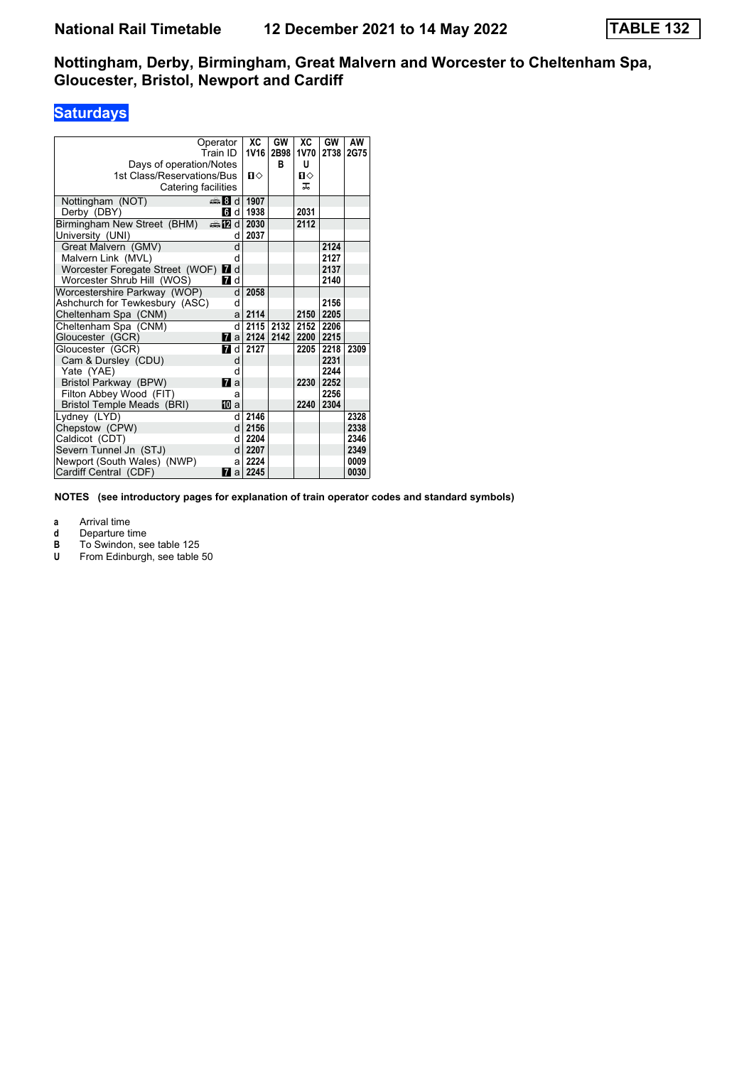# **Saturdays**

| Operator                            |                | XC          | GW   | ХC        | GW   | AW   |
|-------------------------------------|----------------|-------------|------|-----------|------|------|
| Train ID                            |                | <b>1V16</b> | 2B98 | 1V70      | 2T38 | 2G75 |
| Days of operation/Notes             |                |             | в    | U         |      |      |
| 1st Class/Reservations/Bus          |                | $\Pi$       |      | п⇔        |      |      |
| Catering facilities                 |                |             |      | ᅚ         |      |      |
| Nottingham (NOT)                    | ্ষী d          | 1907        |      |           |      |      |
| Derby (DBY)                         | 6 d            | 1938        |      | 2031      |      |      |
| Birmingham New Street (BHM)         | d≣ and         | 2030        |      | 2112      |      |      |
| University (UNI)                    | d              | 2037        |      |           |      |      |
| Great Malvern (GMV)                 | d              |             |      |           | 2124 |      |
| Malvern Link (MVL)                  | d              |             |      |           | 2127 |      |
| Worcester Foregate Street (WOF) 7 d |                |             |      |           | 2137 |      |
| Worcester Shrub Hill (WOS)          | <b>7</b> d     |             |      |           | 2140 |      |
| Worcestershire Parkway (WOP)        | d              | 2058        |      |           |      |      |
| Ashchurch for Tewkesbury (ASC)      | d              |             |      |           | 2156 |      |
| Cheltenham Spa (CNM)                | a              | 2114        |      | 2150      | 2205 |      |
| Cheltenham Spa (CNM)                | d              | 2115        | 2132 | 2152 2206 |      |      |
| Gloucester (GCR)                    | 17<br>a        | 2124        | 2142 | 2200      | 2215 |      |
| Gloucester (GCR)                    | <b>7</b> d     | 2127        |      | 2205      | 2218 | 2309 |
| Cam & Dursley (CDU)                 | d              |             |      |           | 2231 |      |
| Yate (YAE)                          | d              |             |      |           | 2244 |      |
| Bristol Parkway (BPW)               | <b>7</b> a     |             |      | 2230      | 2252 |      |
| Filton Abbey Wood (FIT)             | a              |             |      |           | 2256 |      |
| Bristol Temple Meads (BRI)          | <b>TD</b> a    |             |      | 2240      | 2304 |      |
| Lydney (LYD)                        | q              | 2146        |      |           |      | 2328 |
| Chepstow (CPW)                      | d              | 2156        |      |           |      | 2338 |
| Caldicot (CDT)                      | d              | 2204        |      |           |      | 2346 |
| Severn Tunnel Jn (STJ)              | d              | 2207        |      |           |      | 2349 |
| Newport (South Wales) (NWP)         | a              | 2224        |      |           |      | 0009 |
| Cardiff Central (CDF)               | $\mathbf{z}$ a | 2245        |      |           |      | 0030 |

**NOTES (see introductory pages for explanation of train operator codes and standard symbols)**

- **d** Departure time<br> **B** To Swindon, se<br> **U** From Edinburg To Swindon, see table 125
- From Edinburgh, see table 50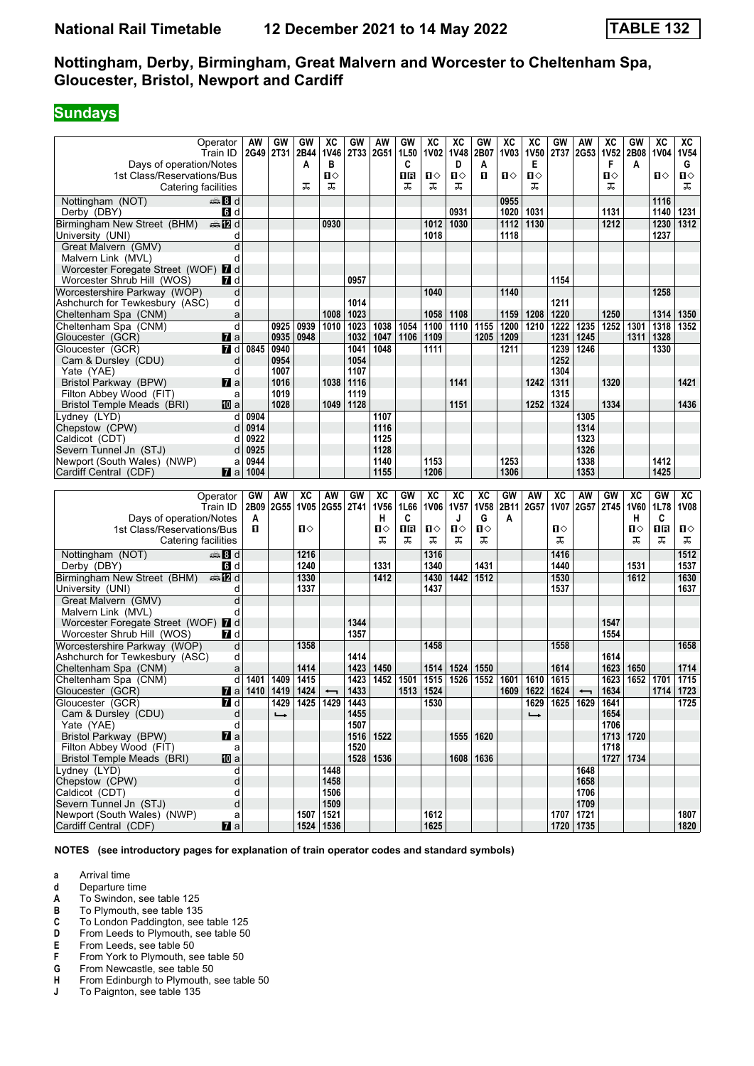# **Sundays**

|                                                      | Operator            | AW   | GW            | GW          | хc                       | GW          | AW          | GW   | XC           | XC           | GW          | $\overline{\text{xc}}$ | ХC            | GW   | AW                       | хc   | GW          | $\overline{\text{xc}}$ | ХC           |
|------------------------------------------------------|---------------------|------|---------------|-------------|--------------------------|-------------|-------------|------|--------------|--------------|-------------|------------------------|---------------|------|--------------------------|------|-------------|------------------------|--------------|
|                                                      | Train ID            | 2G49 | 2T31          | 2B44        | 1V46                     |             | 2T33 2G51   | 1L50 | <b>1V02</b>  | <b>1V48</b>  | 2B07        | <b>1V03</b>            | <b>1V50</b>   | 2T37 | 2G53                     | 1V52 | 2B08        | <b>1V04</b>            | <b>1V54</b>  |
| Days of operation/Notes                              |                     |      |               | A           | в                        |             |             | C    |              | D            | Α           |                        | Е             |      |                          | F    | A           |                        | G            |
|                                                      |                     |      |               |             | п⇔                       |             |             | 18   | П⇔           | $\mathbf{u}$ | п           | Ⅱ◇                     | п⇔            |      |                          | п⇔   |             | ்ப                     | П⇔           |
| 1st Class/Reservations/Bus                           |                     |      |               |             | ᠼ                        |             |             |      | ᠼ            | ᠼ            |             |                        | ᠼ             |      |                          |      |             |                        | ᠼ            |
| Catering facilities                                  |                     |      |               | ᠼ           |                          |             |             | ᠼ    |              |              |             |                        |               |      |                          | ᠼ    |             |                        |              |
| Nottingham (NOT)                                     | $\frac{1}{2}$ 8 d   |      |               |             |                          |             |             |      |              |              |             | 0955                   |               |      |                          |      |             | 1116                   |              |
| Derby (DBY)                                          | 6 d                 |      |               |             |                          |             |             |      |              | 0931         |             | 1020                   | 1031          |      |                          | 1131 |             | 1140                   | 1231         |
| Birmingham New Street (BHM)                          | ⊯a 172 d            |      |               |             | 0930                     |             |             |      | 1012         | 1030         |             | 1112                   | 1130          |      |                          | 1212 |             | 1230                   | 1312         |
| University (UNI)                                     | d                   |      |               |             |                          |             |             |      | 1018         |              |             | 1118                   |               |      |                          |      |             | 1237                   |              |
| Great Malvern (GMV)                                  | d                   |      |               |             |                          |             |             |      |              |              |             |                        |               |      |                          |      |             |                        |              |
| Malvern Link (MVL)                                   | d                   |      |               |             |                          |             |             |      |              |              |             |                        |               |      |                          |      |             |                        |              |
| Worcester Foregate Street (WOF) 2 d                  |                     |      |               |             |                          |             |             |      |              |              |             |                        |               |      |                          |      |             |                        |              |
| Worcester Shrub Hill (WOS)                           | <b>7</b> d          |      |               |             |                          | 0957        |             |      |              |              |             |                        |               | 1154 |                          |      |             |                        |              |
| Worcestershire Parkway (WOP)                         | d                   |      |               |             |                          |             |             |      | 1040         |              |             | 1140                   |               |      |                          |      |             | 1258                   |              |
| Ashchurch for Tewkesbury (ASC)                       | d                   |      |               |             |                          | 1014        |             |      |              |              |             |                        |               | 1211 |                          |      |             |                        |              |
| Cheltenham Spa (CNM)                                 | a                   |      |               |             | 1008                     | 1023        |             |      | 1058         | 1108         |             | 1159                   | 1208          | 1220 |                          | 1250 |             | 1314                   | 1350         |
| Cheltenham Spa (CNM)                                 | d                   |      | 0925          | 0939        | 1010                     | 1023        | 1038        | 1054 | 1100         | 1110         | 1155        | 1200                   | 1210          | 1222 | 1235                     | 1252 | 1301        | 1318                   | 1352         |
| Gloucester (GCR)                                     | <b>M</b> a          |      | 0935          | 0948        |                          | 1032        | 1047        | 1106 | 1109         |              | 1205        | 1209                   |               | 1231 | 1245                     |      | 1311        | 1328                   |              |
| Gloucester (GCR)                                     | 7 d                 | 0845 | 0940          |             |                          | 1041        | 1048        |      | 1111         |              |             | 1211                   |               | 1239 | 1246                     |      |             | 1330                   |              |
| Cam & Dursley (CDU)                                  | d                   |      | 0954          |             |                          | 1054        |             |      |              |              |             |                        |               | 1252 |                          |      |             |                        |              |
| Yate (YAE)                                           | d                   |      | 1007          |             |                          | 1107        |             |      |              |              |             |                        |               | 1304 |                          |      |             |                        |              |
| Bristol Parkway (BPW)                                | <b>7</b> a          |      | 1016          |             | 1038                     | 1116        |             |      |              | 1141         |             |                        | 1242          | 1311 |                          | 1320 |             |                        | 1421         |
| Filton Abbey Wood (FIT)                              | a                   |      | 1019          |             |                          | 1119        |             |      |              |              |             |                        |               | 1315 |                          |      |             |                        |              |
| Bristol Temple Meads (BRI)                           | 100 a               |      | 1028          |             | 1049                     | 1128        |             |      |              | 1151         |             |                        | 1252          | 1324 |                          | 1334 |             |                        | 1436         |
| Lydney (LYD)                                         | d                   | 0904 |               |             |                          |             | 1107        |      |              |              |             |                        |               |      | 1305                     |      |             |                        |              |
| Chepstow (CPW)                                       | d                   | 0914 |               |             |                          |             | 1116        |      |              |              |             |                        |               |      | 1314                     |      |             |                        |              |
| Caldicot (CDT)                                       | d                   | 0922 |               |             |                          |             | 1125        |      |              |              |             |                        |               |      | 1323                     |      |             |                        |              |
| Severn Tunnel Jn (STJ)                               | d                   | 0925 |               |             |                          |             | 1128        |      |              |              |             |                        |               |      | 1326                     |      |             |                        |              |
| Newport (South Wales) (NWP)                          | a                   | 0944 |               |             |                          |             | 1140        |      | 1153         |              |             | 1253                   |               |      | 1338                     |      |             | 1412                   |              |
| Cardiff Central (CDF)                                | <b>7</b> a          | 1004 |               |             |                          |             | 1155        |      | 1206         |              |             | 1306                   |               |      | 1353                     |      |             | 1425                   |              |
|                                                      |                     |      |               |             |                          |             |             |      |              |              |             |                        |               |      |                          |      |             |                        |              |
|                                                      |                     |      |               |             |                          |             |             |      |              |              |             |                        |               |      |                          |      |             |                        |              |
|                                                      | Operator            | GW   | AW            | <b>XC</b>   | AW                       | GW          | XC          | GW   | XC           | XC           | XC          | GW                     | AW            | XC   | AW                       | GW   | <b>XC</b>   | GW                     | XC           |
|                                                      | Train ID            | 2B09 | 2G55          | <b>1V05</b> | <b>2G55</b>              | <b>2T41</b> | <b>1V56</b> | 1L66 | <b>1V06</b>  | <b>1V57</b>  | <b>1V58</b> | 2B11                   | 2G57          | 1V07 | 2G57                     | 2T45 | <b>1V60</b> | 1L78                   | <b>1V08</b>  |
| Days of operation/Notes                              |                     | A    |               |             |                          |             | н           | C    |              | J            | G           | A                      |               |      |                          |      | н           | C                      |              |
| 1st Class/Reservations/Bus                           |                     | п    |               | Ⅱ♦          |                          |             | п⇔          | 1R   | п⇔           | $\mathbf{u}$ | ்ப          |                        |               | п⇔   |                          |      | п⇔          | 1R                     | п⇔           |
| Catering facilities                                  |                     |      |               |             |                          |             | ᠼ           | ᠼ    | ᠼ            | ᠼ            | ᠼ           |                        |               | ᠼ    |                          |      | ᠼ           | ᠼ                      | ᠼ            |
| Nottingham (NOT)                                     | anna 8 d            |      |               | 1216        |                          |             |             |      | 1316         |              |             |                        |               | 1416 |                          |      |             |                        | 1512         |
| Derby (DBY)                                          | <b>6</b> d          |      |               | 1240        |                          |             | 1331        |      | 1340         |              | 1431        |                        |               | 1440 |                          |      | 1531        |                        | 1537         |
| Birmingham New Street (BHM)                          | dan <b>in</b> d     |      |               | 1330        |                          |             | 1412        |      | 1430         | 1442         | 1512        |                        |               | 1530 |                          |      | 1612        |                        | 1630         |
| University (UNI)                                     | d                   |      |               | 1337        |                          |             |             |      | 1437         |              |             |                        |               | 1537 |                          |      |             |                        | 1637         |
| Great Malvern (GMV)                                  | d                   |      |               |             |                          |             |             |      |              |              |             |                        |               |      |                          |      |             |                        |              |
| Malvern Link (MVL)                                   | d                   |      |               |             |                          |             |             |      |              |              |             |                        |               |      |                          |      |             |                        |              |
| Worcester Foregate Street (WOF) 7 d                  |                     |      |               |             |                          | 1344        |             |      |              |              |             |                        |               |      |                          | 1547 |             |                        |              |
| Worcester Shrub Hill (WOS)                           | <b>7</b> d          |      |               |             |                          | 1357        |             |      |              |              |             |                        |               |      |                          | 1554 |             |                        |              |
| Worcestershire Parkway (WOP)                         | d                   |      |               | 1358        |                          |             |             |      | 1458         |              |             |                        |               | 1558 |                          |      |             |                        | 1658         |
| Ashchurch for Tewkesbury (ASC)                       | d                   |      |               |             |                          | 1414        |             |      |              |              |             |                        |               |      |                          | 1614 |             |                        |              |
| Cheltenham Spa (CNM)                                 | a                   |      |               | 1414        |                          | 1423        | 1450        |      | 1514         | 1524         | 1550        |                        |               | 1614 |                          | 1623 | 1650        |                        | 1714         |
| Cheltenham Spa (CNM)                                 | d                   | 1401 | 1409          | 1415        |                          | 1423        | 1452        | 1501 | 1515         | 1526         | 1552        | 1601                   | 1610          | 1615 |                          | 1623 | 1652        | 1701                   | 1715         |
| Gloucester (GCR)                                     | <b>M</b> a          | 1410 | 1419          | 1424        |                          | 1433        |             | 1513 | 1524         |              |             | 1609                   | 1622          | 1624 | $\overline{\phantom{0}}$ | 1634 |             | 1714                   | 1723         |
| Gloucester (GCR)                                     | ZI d                |      | 1429          |             | 1425   1429   1443       |             |             |      | 1530         |              |             |                        | 1629          |      | 1625   1629   1641       |      |             |                        | 1725         |
| Cam & Dursley (CDU)                                  | d                   |      | $\rightarrow$ |             |                          | 1455        |             |      |              |              |             |                        | $\rightarrow$ |      |                          | 1654 |             |                        |              |
| Yate (YAE)                                           | d                   |      |               |             |                          | 1507        |             |      |              |              |             |                        |               |      |                          | 1706 |             |                        |              |
| <b>Bristol Parkway (BPW)</b>                         | $\mathbf{z}$ a      |      |               |             |                          |             | 1516 1522   |      |              |              | 1555 1620   |                        |               |      |                          |      | 1713 1720   |                        |              |
| Filton Abbey Wood (FIT)                              | a                   |      |               |             |                          | 1520        |             |      |              |              |             |                        |               |      |                          | 1718 |             |                        |              |
| Bristol Temple Meads (BRI)                           | <b>ID</b> a         |      |               |             |                          |             | 1528 1536   |      |              |              | 1608   1636 |                        |               |      |                          |      | 1727 1734   |                        |              |
| Lydney (LYD)                                         | d                   |      |               |             | 1448                     |             |             |      |              |              |             |                        |               |      | 1648                     |      |             |                        |              |
| Chepstow (CPW)                                       | d                   |      |               |             | 1458                     |             |             |      |              |              |             |                        |               |      | 1658                     |      |             |                        |              |
| Caldicot (CDT)                                       | d                   |      |               |             | 1506                     |             |             |      |              |              |             |                        |               |      | 1706                     |      |             |                        |              |
| Severn Tunnel Jn (STJ)                               | d                   |      |               |             | 1509                     |             |             |      |              |              |             |                        |               |      | 1709                     |      |             |                        |              |
| Newport (South Wales) (NWP)<br>Cardiff Central (CDF) | a<br>$\mathbf{z}$ a |      |               |             | 1507 1521<br>1524   1536 |             |             |      | 1612<br>1625 |              |             |                        |               | 1707 | 1721<br>1720 1735        |      |             |                        | 1807<br>1820 |

- **a** Arrival time
- **d** Departure time
- **A** To Swindon, see table 125<br>**B** To Plymouth, see table 135
- **B** To Plymouth, see table 135<br>**C** To London Paddington, see
- **C** To London Paddington, see table 125<br>**D** From Leeds to Plymouth, see table 50
- **D** From Leeds to Plymouth, see table 50<br>**E** From Leeds, see table 50
- 
- **E** From Leeds, see table 50<br>**F** From York to Plymouth, see<br>**G** From Newcastle, see table From York to Plymouth, see table 50
- **6** From Newcastle, see table 50<br>**H** From Edinburgh to Plymouth, s
- **+** From Edinburgh to Plymouth, see table 50<br>**J** To Paignton, see table 135
- To Paignton, see table 135